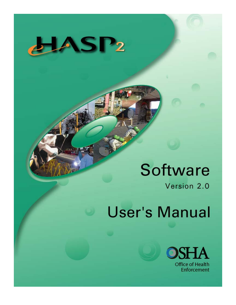

# **Software**

Version 2.0

# **User's Manual**



**Office of Health** Enforcement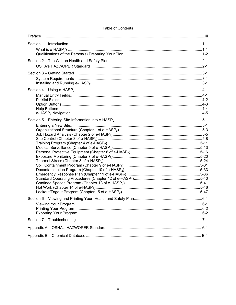#### **Table of Contents**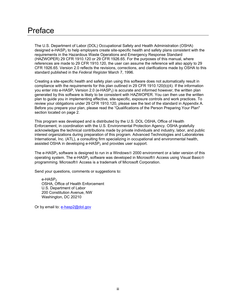# <span id="page-2-0"></span>Preface

The U.S. Department of Labor (DOL) Occupational Safety and Health Administration (OSHA) designed e-HASP<sub>2</sub> to help employers create site-specific health and safety plans consistent with the requirements in the Hazardous Waste Operations and Emergency Response Standard (HAZWOPER) 29 CFR 1910.120 or 29 CFR 1926.65. For the purposes of this manual, where references are made to 29 CFR 1910.120, the user can assume the reference will also apply to 29 CFR 1926.65. Version 2.0 reflects the revisions, corrections, and clarifications made by OSHA to this standard published in the *Federal Register* March 7, 1996.

Creating a site-specific health and safety plan using this software does not automatically result in compliance with the requirements for this plan outlined in 29 CFR 1910.120(b)(4). If the information you enter into e-HASP, Version 2.0 (e-HASP<sub>2</sub>) is accurate and informed however, the written plan generated by this software is likely to be consistent with HAZWOPER. You can then use the written plan to guide you in implementing effective, site-specific, exposure controls and work practices. To review your obligations under 29 CFR 1910.120, please see the text of the standard in Appendix A. Before you prepare your plan, please read the "Qualifications of the Person Preparing Your Plan" section located on page 2.

This program was developed and is distributed by the U.S. DOL OSHA, Office of Health Enforcement, in coordination with the U.S. Environmental Protection Agency. OSHA gratefully acknowledges the technical contributions made by private individuals and industry, labor, and public interest organizations during preparation of this program. Advanced Technologies and Laboratories International, Inc. (ATL), a consulting firm specializing in occupational and environmental health, assisted OSHA in developing  $e$ -HASP<sub>2</sub> and provides user support.

The e-HASP<sub>2</sub> software is designed to run in a Windows® 2000 environment or a later version of this operating system. The e-HASP<sub>2</sub> software was developed in Microsoft® Access using Visual Basic® programming. Microsoft® Access is a trademark of Microsoft Corporation.

Send your questions, comments or suggestions to:

e-HASP<sub>2</sub> OSHA, Office of Health Enforcement U.S. Department of Labor 200 Constitution Avenue, NW Washington, DC 20210

Or by email to: [e-hasp2@dol.gov](mailto:e-hasp2@dol.gov)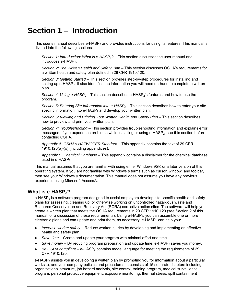# <span id="page-3-0"></span>**Section 1 – Introduction**

This user's manual describes e-HASP<sub>2</sub> and provides instructions for using its features. This manual is divided into the following sections:

*Section 1: Introduction: What is e-HASP<sub>2</sub>?* – This section discusses the user manual and introduces  $e$ -HASP<sub>2</sub>.

*Section 2: The Written Health and Safety Plan –* This section discusses OSHA's requirements for a written health and safety plan defined in 29 CFR 1910.120.

*Section 3: Getting Started –* This section provides step-by-step procedures for installing and setting up e-HASP<sub>2</sub>. It also identifies the information you will need on-hand to complete a written plan.

Section 4: Using  $e$ -HASP<sub>2</sub> – This section describes  $e$ -HASP<sub>2</sub>'s features and how to use the program.

*Section 5: Entering Site Information into e-HASP<sub>2</sub> – This section describes how to enter your site*specific information into  $e$ -HASP<sub>2</sub> and develop your written plan.

Section 6: Viewing and Printing Your Written Health and Safety Plan – This section describes how to preview and print your written plan.

*Section 7: Troubleshooting* – This section provides troubleshooting information and explains error messages. If you experience problems while installing or using  $e$ -HASP<sub>2</sub>, see this section before contacting OSHA.

*Appendix A: OSHA's HAZWOPER Standard –* This appendix contains the text of 29 CFR 1910.120(a)-(o) (including appendices).

*Appendix B: Chemical Database* – This appendix contains a disclaimer for the chemical database used in  $e$ -HASP<sub>2</sub>.

This manual assumes that you are familiar with using either Windows 95® or a later version of this operating system. If you are not familiar with Windows® terms such as cursor, window, and toolbar, then see your Windows® documentation. This manual does not assume you have any previous experience using Microsoft Access®.

## **What is e-HASP<sub>2</sub>?**

e-HASP<sub>2</sub> is a software program designed to assist employers develop site-specific health and safety plans for assessing, cleaning up, or otherwise working on uncontrolled hazardous waste and Resource Conservation and Recovery Act (RCRA) corrective action sites. The software will help you create a written plan that meets the OSHA requirements in 29 CFR 1910.120 (see Section 2 of this manual for a discussion of these requirements). Using e-HASP<sub>2</sub>, you can assemble one or more electronic plans and can update and print them, as necessary. e-HASP<sub>2</sub> can help you:

- *Increase worker safety –* Reduce worker injuries by developing and implementing an effective health and safety plan.
- *Save time* Create and update your program with minimal effort and time.
- Save money By reducing program preparation and update time, e-HASP<sub>2</sub> saves you money.
- Be OSHA compliant e-HASP<sub>2</sub> contains model language for meeting the requirements of 29 CFR 1910.120.

e-HASP<sub>2</sub> assists you in developing a written plan by prompting you for information about a particular worksite, and your company policies and procedures. It consists of 15 separate chapters including: organizational structure, job hazard analysis, site control, training program, medical surveillance program, personal protective equipment, exposure monitoring, thermal stress, spill containment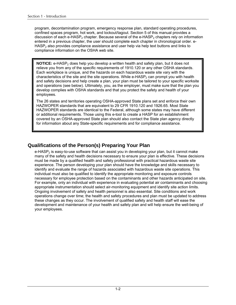<span id="page-4-0"></span>program, decontamination program, emergency response plan, standard operating procedures, confined spaces program, hot work, and lockout/tagout. Section 5 of this manual provides a discussion of each e-HASP<sub>2</sub> chapter. Because several of the e-HASP<sub>2</sub> chapters rely on information entered in a previous chapter, the user should complete each chapter in chronological order. e- $HASP<sub>2</sub>$  also provides compliance assistance and user help via help text buttons and links to compliance information on the OSHA web site.

**NOTICE:** e-HASP<sub>2</sub> does help you develop a written health and safety plan, but it does not relieve you from any of the specific requirements of 1910.120 or any other OSHA standards. Each workplace is unique, and the hazards on each hazardous waste site vary with the characteristics of the site and the site operations. While  $e$ -HASP<sub>2</sub> can prompt you with health and safety decisions and help create a plan, your plan must be tailored to your specific worksite and operations (see below). Ultimately, you, as the employer, must make sure that the plan you develop complies with OSHA standards and that you protect the safety and health of your employees.

The 26 states and territories operating OSHA-approved State plans set and enforce their own HAZWOPER standards that are equivalent to 29 CFR 1910.120 and 1926.65. Most State HAZWOPER standards are identical to the Federal, although some states may have different or additional requirements. Those using this e-tool to create a HASP for an establishment covered by an OSHA-approved State plan should also contact the State plan agency directly for information about any State-specific requirements and for compliance assistance.

# **Qualifications of the Person(s) Preparing Your Plan**

e-HASP<sub>2</sub> is easy-to-use software that can assist you in developing your plan, but it cannot make many of the safety and health decisions necessary to ensure your plan is effective. These decisions must be made by a qualified health and safety professional with practical hazardous waste site experience. The person developing your plan should have the knowledge and skills necessary to identify and evaluate the range of hazards associated with hazardous waste site operations. This individual must also be qualified to identify the appropriate monitoring and exposure controls necessary for employee protection based on the contaminants and other hazards anticipated on site. For example, only an individual with experience in evaluating potential air contaminants and choosing appropriate instrumentation should select air-monitoring equipment and identify site action limits. Ongoing involvement of safety and health personnel is also essential. Site conditions and work operations change over time; the health and safety procedures and plan must be updated to address these changes as they occur. The involvement of qualified safety and health staff will ease the development and maintenance of your health and safety plan and will help ensure the well-being of your employees.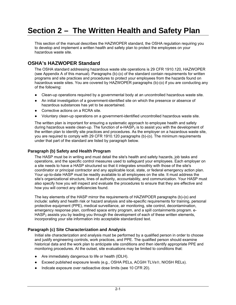# <span id="page-5-0"></span>**Section 2 – The Written Health and Safety Plan**

This section of the manual describes the HAZWOPER standard, the OSHA regulation requiring you to develop and implement a written health and safety plan to protect the employees on your hazardous waste site.

# **OSHA's HAZWOPER Standard**

The OSHA standard addressing hazardous waste site operations is 29 CFR 1910.120, HAZWOPER (see Appendix A of this manual). Paragraphs (b)-(o) of the standard contain requirements for written programs and site practices and procedures to protect your employees from the hazards found on hazardous waste sites. You are covered by HAZWOPER paragraphs (b)-(o) if you are conducting any of the following:

- Clean-up operations required by a governmental body at an uncontrolled hazardous waste site.
- An initial investigation of a government-identified site on which the presence or absence of hazardous substances has yet to be ascertained.
- Corrective actions on a RCRA site.
- Voluntary clean-up operations on a government-identified uncontrolled hazardous waste site.

The written plan is important for ensuring a systematic approach to employee health and safety during hazardous waste clean-up. The function of e-HASP<sub>2</sub> is to assist you with the development of the written plan to identify site practices and procedures. As the employer on a hazardous waste site, you are required to comply with 29 CFR 1910.120 paragraphs (b)-(o). The minimum requirements under that part of the standard are listed by paragraph below.

#### **Paragraph (b) Safety and Health Program**

The HASP must be in writing and must detail the site's health and safety hazards, job tasks and operations, and the specific control measures used to safeguard your employees. Each employer on a site needs to have a HASP structured so that it integrates smoothly with those of the site's coordinator or principal contractor and any applicable local, state, or federal emergency action plan. Your up-to-date HASP must be readily available to all employees on the site. It must address the site's organizational structure, lines of authority, accountability, and communication. Your HASP must also specify how you will inspect and evaluate the procedures to ensure that they are effective and how you will correct any deficiencies found.

The key elements of the HASP mirror the requirements of HAZWPOER paragraphs (b)-(o) and include: safety and health risk or hazard analysis and site-specific requirements for training, personal protective equipment (PPE), medical surveillance, air monitoring, site control, decontamination, emergency response plan, confined space entry program, and a spill containments program. e- $HASP<sub>2</sub>$  assists you by leading you through the development of each of these written elements, incorporating your site information into acceptable standardized text.

#### **Paragraph (c) Site Characterization and Analysis**

Initial site characterization and analysis must be performed by a qualified person in order to choose and justify engineering controls, work practices, and PPE. The qualified person should examine historical data and the work plan to anticipate site conditions and then identify appropriate PPE and monitoring procedures. At the outset, site evaluations may be limited to conditions that:

- Are immediately dangerous to life or health (IDLH).
- Exceed published exposure levels (e.g., OSHA PELs, ACGIH TLVs®, NIOSH RELs).
- Indicate exposure over radioactive dose limits (see 10 CFR 20).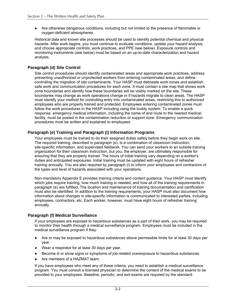● Are otherwise dangerous conditions, including but not limited to the presence of flammable or oxygen-deficient atmospheres.

Historical data and known site processes should be used to identify potential chemical and physical hazards. After work begins, you must continue to evaluate conditions, update your hazard analysis, and choose appropriate controls, work practices, and PPE (see below). Exposure controls and monitoring instruments (see below) must be based on an up-to-date characterization and hazard analysis.

#### **Paragraph (d) Site Control**

Site control procedures should identify contaminated areas and appropriate work practices, address preventing unauthorized or unprotected workers from entering contaminated areas, and define controlling the migration of site contaminants. Your HASP must delineate work zones and establish safe work and communication procedures for each zone. It must contain a site map that shows work zone boundaries and identify how these boundaries will be visibly marked on the site. These boundaries may change as work operations change or if hazards migrate to clean areas. The HASP must identify your method for controlling entry into contaminated areas, restricting this to authorized employees who are properly trained and protected. Employees entering contaminated zones must follow the work procedures in the HASP including using the buddy system. To enable a quick response, emergency medical information, including the name of and route to the nearest medical facility, must be posted in the contamination reduction or support zone. Emergency communication procedures must be written and explained to employees.

#### **Paragraph (e) Training and Paragraph (i) Information Programs**

Your employees must be trained to do their assigned duties safely before they begin work on site. The required training, described in paragraph (e), is a combination of classroom instruction, site-specific information, and supervised fieldwork. You can send your workers to an outside training organization for their classroom instruction, but you, the employer, are ultimately responsible for ensuring that they are properly trained. The hours of initial training vary depending on a worker's duties and anticipated exposures. Initial training must be updated with eight hours of refresher training annually. You are also required by paragraph (i) to inform your employees and contractors of the types and level of hazards associated with your operations.

Non-mandatory Appendix E provides training criteria and content guidance. Your HASP must identify which jobs require training, how much training is needed, and how all of the training requirements in paragraph (e) are fulfilled. The location and maintenance of training documentation and certification must also be identified. In addition to the training requirements, your HASP must also document how information about changes in site-specific information is communicated to interested parties, including employees, contractors, etc. Each worker, however, must have eight hours of refresher training annually.

#### **Paragraph (f) Medical Surveillance**

If your employees are exposed to hazardous substances as a part of their work, you may be required to monitor their health through a medical surveillance program. Employees must be included in the medical surveillance program if they:

- Are or may be exposed to hazardous substances above permissible limits for at least 30 days per year.
- Wear a respirator for at least 30 days per year.
- Become ill or show signs or symptoms of job-related overexposure to hazardous substances.
- Are members of a HAZMAT team.

If you have employees who meet any of these criteria, you need to establish a medical surveillance program. You must consult a licensed physician to determine the content of the medical exams to be provided to your employees. Baseline, periodic, and exit exams are required by the standard.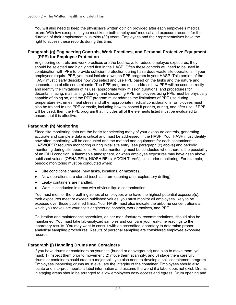You will also need to keep the physician's written opinion provided after each employee's medical exam. With few exceptions, you must keep both employees' medical and exposure records for the duration of their employment plus thirty (30) years. Employees and their representatives have the right to access these records during this time.

#### **Paragraph (g) Engineering Controls, Work Practices, and Personal Protective Equipment (PPE) for Employee Protection**

Engineering controls and work practices are the best ways to reduce employee exposures; they should be selected and highlighted first in the HASP. Often these controls will need to be used in combination with PPE to provide sufficient protection during hazardous waste site operations. If your employees require PPE, you must include a written PPE program in your HASP. This portion of the HASP must clearly describe how you select and use PPE based on the tasks and the nature and concentration of site contaminants. The PPE program must address how PPE will be used correctly and identify the limitations of its use; appropriate work mission durations; and procedures for decontaminating, maintaining, storing, and discarding PPE. Employees using PPE must be physically capable of doing so, and the PPE program must address the limitations of PPE use during temperature extremes, heat stress and other appropriate medical considerations. Employees must also be trained to use PPE correctly, including how to inspect it prior to, during, and after use. If PPE will be used, then the PPE program that includes all of the elements listed must be evaluated to ensure that it is effective.

#### **Paragraph (h) Monitoring**

Since site monitoring data are the basis for selecting many of your exposure controls, generating accurate and complete data is critical and must be addressed in the HASP. Your HASP must identify how often monitoring will be conducted and the method and equipment for each contaminant. HAZWOPER requires monitoring during initial site entry (see paragraph (c) above) and periodic monitoring during site operations. Periodic monitoring must be conducted when there is the possibility of an IDLH condition, a flammable atmosphere, or when employee exposures may have risen above published values (OSHA PELs, NIOSH RELs, ACGIH TLVs®) since prior monitoring. For example, periodic monitoring must be conducted when:

- Site conditions change (new tasks, locations, or hazards).
- New operations are started (such as drum opening after exploratory drilling).
- Leaky containers are handled.
- Work is conducted in areas with obvious liquid contamination.

You must monitor the breathing zones of employees who have the highest potential exposure(s). If their exposures meet or exceed published values, you must monitor all employees likely to be exposed over those published limits. Your HASP must also indicate the airborne concentrations at which you reevaluate your site's engineering controls, work practices, and PPE.

Calibration and maintenance schedules, as per manufacturers' recommendations, should also be maintained. You must take lab-analyzed samples and compare your real-time readings to the laboratory results. You may want to consult with an accredited laboratory to determine proper analytical sampling procedures. Results of personal sampling are considered employee exposure records.

#### **Paragraph (j) Handling Drums and Containers**

If you have drums or containers on your site (buried or aboveground) and plan to move them, you must: 1) inspect them prior to movement; 2) move them sparingly; and 3) stage them carefully. If drums or containers could create a major spill, you also need to develop a spill containment program. Employees inspecting drums must evaluate the integrity of the container. Employees should also locate and interpret important label information and assume the worst if a label does not exist. Drums in staging areas should be arranged to allow employees easy access and egress. Drum opening and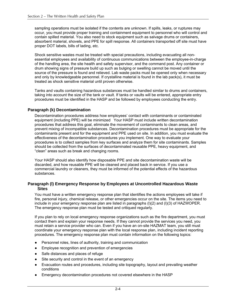sampling operations must be isolated if the contents are unknown. If spills, leaks, or ruptures may occur, you must provide proper training and containment equipment to personnel who will control and contain spilled material. You also need to stock equipment such as salvage drums or containers, absorbent material, shovels, and PPE for spill response. All containers transported off site must have proper DOT labels, bills of lading, etc.

Shock sensitive wastes must be treated with special precautions, including evacuating all nonessential employees and availability of continuous communications between the employee-in-charge of the handling area, the site health and safety supervisor, and the command post. Any container or drum showing signs of pressure build up such as bulging or swelling cannot be moved until the source of the pressure is found and relieved. Lab waste packs must be opened only when necessary and only by knowledgeable personnel. If crystalline material is found in the lab pack(s), it must be treated as shock sensitive material until proven otherwise.

Tanks and vaults containing hazardous substances must be handled similar to drums and containers, taking into account the size of the tank or vault. If tanks or vaults will be entered, appropriate entry procedures must be identified in the HASP and be followed by employees conducting the entry.

#### **Paragraph (k) Decontamination**

Decontamination procedures address how employees' contact with contaminants or contaminated equipment (including PPE) will be minimized Your HASP must include written decontamination procedures that address this goal, eliminate the movement of contaminants to clean areas, and prevent mixing of incompatible substances. Decontamination procedures must be appropriate for the contaminants present and for the equipment and PPE used on site. In addition, you must evaluate the effectiveness of the decontamination procedures you implement. One way to evaluate your procedures is to collect samples from key surfaces and analyze them for site contaminants. Samples should be collected from the surfaces of decontaminated reusable PPE, heavy equipment, and "clean" areas such as break and changing rooms.

Your HASP should also identify how disposable PPE and site decontamination waste will be discarded, and how reusable PPE will be cleaned and placed back in service. If you use a commercial laundry or cleaners, they must be informed of the potential effects of the hazardous substances.

#### **Paragraph (l) Emergency Response by Employees at Uncontrolled Hazardous Waste Sites**

You must have a written emergency response plan that identifies the actions employees will take if fire, personal injury, chemical release, or other emergencies occur on the site. The items you need to include in your emergency response plan are listed in paragraphs (l)(2) and (l)(3) of HAZWOPER. The emergency response plan must be tested and critiqued regularly.

If you plan to rely on local emergency response organizations such as the fire department, you must contact them and explain your response needs. If they cannot provide the services you need, you must retain a service provider who can. Even if you have an on-site HAZMAT team, you still must coordinate your emergency response plan with the local response plan, including incident reporting procedures. The emergency response plan must contain information on the following topics:

- Personnel roles, lines of authority, training and communication
- Employee recognition and prevention of emergencies
- Safe distances and places of refuge
- Site security and control in the event of an emergency
- Evacuation routes and procedures, including site topography, layout and prevailing weather conditions
- Emergency decontamination procedures not covered elsewhere in the HASP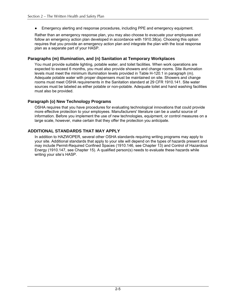● Emergency alerting and response procedures, including PPE and emergency equipment.

Rather than an emergency response plan, you may also choose to evacuate your employees and follow an emergency action plan developed in accordance with 1910.38(a). Choosing this option requires that you provide an emergency action plan and integrate the plan with the local response plan as a separate part of your HASP.

#### **Paragraphs (m) Illumination, and (n) Sanitation at Temporary Workplaces**

You must provide suitable lighting, potable water, and toilet facilities. When work operations are expected to exceed 6 months, you must also provide showers and change rooms. Site illumination levels must meet the minimum illumination levels provided in Table H-120.1 in paragraph (m). Adequate potable water with proper dispensers must be maintained on site. Showers and change rooms must meet OSHA requirements in the Sanitation standard at 29 CFR 1910.141. Site water sources must be labeled as either potable or non-potable. Adequate toilet and hand washing facilities must also be provided.

#### **Paragraph (o) New Technology Programs**

OSHA requires that you have procedures for evaluating technological innovations that could provide more effective protection to your employees. Manufacturers' literature can be a useful source of information. Before you implement the use of new technologies, equipment, or control measures on a large scale, however, make certain that they offer the protection you anticipate.

#### **ADDITIONAL STANDARDS THAT MAY APPLY**

In addition to HAZWOPER, several other OSHA standards requiring writing programs may apply to your site. Additional standards that apply to your site will depend on the types of hazards present and may include Permit-Required Confined Spaces (1910.146, see Chapter 13) and Control of Hazardous Energy (1910.147, see Chapter 15). A qualified person(s) needs to evaluate these hazards while writing your site's HASP.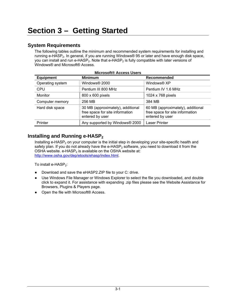## <span id="page-10-0"></span>**System Requirements**

The following tables outline the minimum and recommended system requirements for installing and running e-HASP<sub>2</sub>. In general, if you are running Windows® 95 or later and have enough disk space, you can install and run e-HASP<sub>2</sub>. Note that e-HASP<sub>2</sub> is fully compatible with later versions of Windows® and Microsoft® Access.

| <u>INICI USULLO ACCESS USEI S</u> |                                                                                         |                                                                                         |  |  |
|-----------------------------------|-----------------------------------------------------------------------------------------|-----------------------------------------------------------------------------------------|--|--|
| <b>Equipment</b>                  | <b>Minimum</b>                                                                          | Recommended                                                                             |  |  |
| Operating system                  | Windows <sup>®</sup> 2000                                                               | Windows® XP                                                                             |  |  |
| <b>CPU</b>                        | Pentium III 800 MHz                                                                     | Pentium IV 1.6 MHz                                                                      |  |  |
| <b>Monitor</b>                    | 800 x 600 pixels                                                                        | 1024 x 768 pixels                                                                       |  |  |
| Computer memory                   | 256 MB                                                                                  | 384 MB                                                                                  |  |  |
| Hard disk space                   | 30 MB (approximately), additional<br>free space for site information<br>entered by user | 60 MB (approximately), additional<br>free space for site information<br>entered by user |  |  |
| Printer                           | Any supported by Windows® 2000                                                          | <b>Laser Printer</b>                                                                    |  |  |

#### **Microsoft® Access Users**

# **Installing and Running e-HASP**<sub>2</sub>

Installing e-HASP<sub>2</sub> on your computer is the initial step in developing your site-specific health and safety plan. If you do not already have the e-HASP<sub>2</sub> software, you need to download it from the OSHA website.  $e$ -HASP<sub>2</sub> is available on the OSHA website at: <http://www.osha.gov/dep/etools/ehasp/index.html>.

To install e-HASP $_2$ :

- Download and save the eHASP2.ZIP file to your C: drive.
- Use Windows File Manager or Windows Explorer to select the file you downloaded, and double click to expand it. For assistance with expanding .zip files please see the [Website Assistance for](http://www.osha.gov/dit/help/players_and_plugins.html)  [Browsers, Plugins & Players](http://www.osha.gov/dit/help/players_and_plugins.html) page.
- Open the file with Microsoft® Access.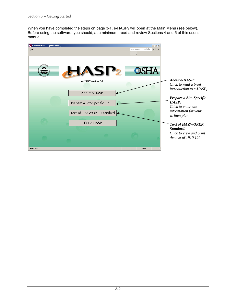When you have completed the steps on page 3-1, e-HASP<sub>2</sub> will open at the Main Menu (see below). Before using the software, you should, at a minimum, read and review Sections 4 and 5 of this user's manual.

| Microsoft Access - [Main Menu] | $ \Box$ $\times$                  |                                          |
|--------------------------------|-----------------------------------|------------------------------------------|
| Eile                           | Type a question for help<br>· 日 × |                                          |
|                                |                                   |                                          |
|                                |                                   |                                          |
|                                |                                   |                                          |
|                                |                                   |                                          |
|                                |                                   |                                          |
|                                |                                   |                                          |
| e-HASP Version 2.0             |                                   | About e-HASP:                            |
|                                |                                   | Click to read a brief                    |
|                                |                                   | introduction to $e$ -HASP <sub>2</sub> . |
| About e-HASP                   |                                   |                                          |
|                                |                                   | Prepare a Site-Specific                  |
| Prepare a Site-Specific HASP   |                                   | HASP:                                    |
|                                |                                   | Click to enter site                      |
|                                |                                   | information for your                     |
| Text of HAZWOPER Standard      |                                   | written plan.                            |
|                                |                                   |                                          |
| Exit e-HASP                    |                                   | <b>Text of HAZWOPER</b>                  |
|                                |                                   | Standard:                                |
|                                |                                   | Click to view and print                  |
|                                |                                   | the text of 1910.120.                    |
|                                |                                   |                                          |
|                                |                                   |                                          |
| Form View                      | <b>NUM</b>                        |                                          |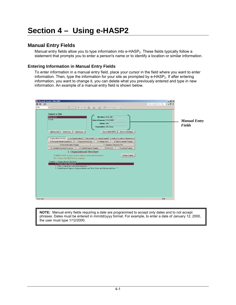# <span id="page-12-0"></span>**Section 4 – Using e-HASP2**

## **Manual Entry Fields**

Manual entry fields allow you to type information into e-HASP<sub>2</sub>. These fields typically follow a statement that prompts you to enter a person's name or to identify a location or similar information.

#### **Entering Information in Manual Entry Fields**

To enter information in a manual entry field, place your cursor in the field where you want to enter information. Then, type the information for your site as prompted by e-HASP<sub>2</sub>. If after entering information, you want to change it, you can delete what you previously entered and type in new information. An example of a manual entry field is shown below.



**NOTE:** Manual entry fields requiring a date are programmed to accept only dates and to not accept phrases. Dates must be entered in mm/dd/yyyy format. For example, to enter a date of January 12, 2000, the user must type 1/12/2000.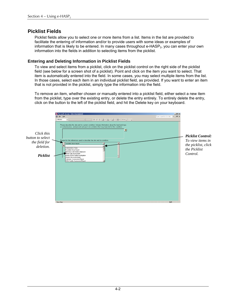## <span id="page-13-0"></span>**Picklist Fields**

Picklist fields allow you to select one or more items from a list. Items in the list are provided to facilitate the entering of information and/or to provide users with some ideas or examples of information that is likely to be entered. In many cases throughout e-HASP<sub>2</sub>, you can enter your own information into the fields in addition to selecting items from the picklist.

#### **Entering and Deleting Information in Picklist Fields**

To view and select items from a picklist, click on the picklist control on the right side of the picklist field (see below for a screen shot of a picklist). Point and click on the item you want to select. That item is automatically entered into the field. In some cases, you may select multiple items from the list. In those cases, select each item in an individual picklist field, as provided. If you want to enter an item that is not provided in the picklist, simply type the information into the field.

To remove an item, whether chosen or manually entered into a picklist field, either select a new item from the picklist, type over the existing entry, or delete the entry entirely. To entirely delete the entry, click on the button to the left of the picklist field, and hit the Delete key on your keyboard.

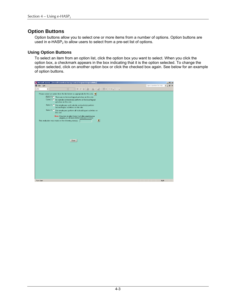## <span id="page-14-0"></span>**Option Buttons**

Option buttons allow you to select one or more items from a number of options. Option buttons are used in e-HASP $<sub>2</sub>$  to allow users to select from a pre-set list of options.</sub>

#### **Using Option Buttons**

To select an item from an option list, click the option box you want to select. When you click the option box, a checkmark appears in the box indicating that it is the option selected. To change the option selected, click on another option box or click the checked box again. See below for an example of option buttons.

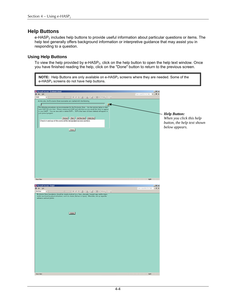#### <span id="page-15-0"></span>**Help Buttons**

e-HASP<sub>2</sub> includes help buttons to provide useful information about particular questions or items. The help text generally offers background information or interpretive guidance that may assist you in responding to a question.

#### **Using Help Buttons**

To view the help provided by e-HASP<sub>2</sub>, click on the help button to open the help text window. Once you have finished reading the help, click on the "Done" button to return to the previous screen.

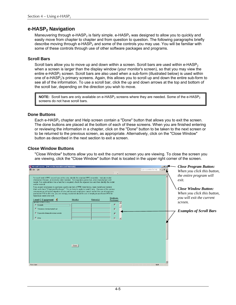## <span id="page-16-0"></span>**e-HASP<sub>2</sub> Navigation**

Maneuvering through e-HASP<sub>2</sub> is fairly simple. e-HASP<sub>2</sub> was designed to allow you to quickly and easily move from chapter to chapter and from question to question. The following paragraphs briefly describe moving through e-HASP<sub>2</sub> and some of the controls you may use. You will be familiar with some of these controls through use of other software packages and programs.

#### **Scroll Bars**

Scroll bars allow you to move up and down within a screen. Scroll bars are used within e-HASP<sub>2</sub> when a screen is larger than the display window (your monitor's screen), so that you may view the entire e-HASP<sub>2</sub> screen. Scroll bars are also used when a sub-form (illustrated below) is used within one of e-HASP<sub>2</sub>'s primary screens. Again, this allows you to scroll up and down the entire sub-form to see all of the information. To use a scroll bar, click the up and down arrows at the top and bottom of the scroll bar, depending on the direction you wish to move.

**NOTE:** Scroll bars are only available on e-HASP<sub>2</sub> screens where they are needed. Some of the e-HASP<sub>2</sub> screens do not have scroll bars.

#### **Done Buttons**

Each e-HASP $<sub>2</sub>$  chapter and Help screen contain a "Done" button that allows you to exit the screen.</sub> The done buttons are placed at the bottom of each of these screens. When you are finished entering or reviewing the information in a chapter, click on the "Done" button to be taken to the next screen or to be returned to the previous screen, as appropriate. Alternatively, click on the "Close Window" button as described in the next section to exit a screen.

#### **Close Window Buttons**

"Close Window" buttons allow you to exit the current screen you are viewing. To close the screen you are viewing, click the "Close Window" button that is located in the upper right corner of the screen.

| Microsoft Access - [PPE Levels: Ensembles and Materials]                                                                                                                                                                                                                                                                                                                                                                                                                                                                                                                                                                                                                                                                                                                                                                                                                                                                                                                                       |                  |             |                                           |                          | $-17$ $\times$ | <b>Close Program Button:</b>                                                                                                                                                                            |
|------------------------------------------------------------------------------------------------------------------------------------------------------------------------------------------------------------------------------------------------------------------------------------------------------------------------------------------------------------------------------------------------------------------------------------------------------------------------------------------------------------------------------------------------------------------------------------------------------------------------------------------------------------------------------------------------------------------------------------------------------------------------------------------------------------------------------------------------------------------------------------------------------------------------------------------------------------------------------------------------|------------------|-------------|-------------------------------------------|--------------------------|----------------|---------------------------------------------------------------------------------------------------------------------------------------------------------------------------------------------------------|
| <b>Ea File</b> Edit                                                                                                                                                                                                                                                                                                                                                                                                                                                                                                                                                                                                                                                                                                                                                                                                                                                                                                                                                                            |                  |             |                                           | Type a question for help | $   -$         |                                                                                                                                                                                                         |
| For each level of PPE you will use at this site, identify the standard PPE ensemble. Indicate model<br>information if known, or minimally enter material. For respiratory protection, enter manufacturer and<br>model. If an optional item like a hard hat is required, check the adjacent box and then identify the model<br>and/or material.<br>If you expect employees to purchase a particular item of PPE listed below, leave model and material<br>blank and check "Employee-Purchased." This is likely to apply to Level D only. Because of the serious<br>consequences of hazard migration off site and because employers cannot restrict the use of employee-<br>purchased PPE to the site, you are strongly cautioned about the use of employee-purchased PPE for<br>hazardous waste site work.<br>Level C Equipment <sup>?</sup><br>Thease check UNET<br><sup>6</sup> Coveralls<br>Two-piece chemical-splash suit<br><sup>3</sup> Disposable chemical-resistant overalls<br>© Other | Model(s)<br>Done | Material(s) | Employee<br>Purchased<br>屬<br>屬<br>屦<br>屦 |                          |                | When you click this button,<br>the entire program will<br>exit.<br><b>Close Window Button:</b><br>When you click this button,<br>you will exit the current<br>screen.<br><b>Examples of Scroll Bars</b> |
|                                                                                                                                                                                                                                                                                                                                                                                                                                                                                                                                                                                                                                                                                                                                                                                                                                                                                                                                                                                                |                  |             |                                           |                          |                |                                                                                                                                                                                                         |
| Form View                                                                                                                                                                                                                                                                                                                                                                                                                                                                                                                                                                                                                                                                                                                                                                                                                                                                                                                                                                                      |                  |             |                                           | <b>NUM</b>               |                |                                                                                                                                                                                                         |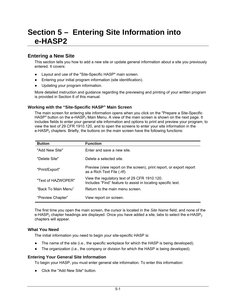# <span id="page-17-0"></span>**Section 5 – Entering Site Information into e-HASP2**

## **Entering a New Site**

This section tells you how to add a new site or update general information about a site you previously entered. It covers:

- Layout and use of the "Site-Specific HASP" main screen.
- Entering your initial program information (site identification).
- Updating your program information.

More detailed instruction and guidance regarding the previewing and printing of your written program is provided in Section 6 of this manual.

#### **Working with the "Site-Specific HASP" Main Screen**

The main screen for entering site information opens when you click on the "Prepare a Site-Specific HASP" button on the e-HASP<sub>2</sub> Main Menu. A view of the main screen is shown on the next page. It includes fields to enter your general site information and options to print and preview your program, to view the text of 29 CFR 1910.120, and to open the screens to enter your site information in the  $e$ -HASP<sub>2</sub> chapters. Briefly, the buttons on the main screen have the following functions:

| <b>Button</b>       | <b>Function</b>                                                                                              |
|---------------------|--------------------------------------------------------------------------------------------------------------|
| "Add New Site"      | Enter and save a new site.                                                                                   |
| "Delete Site"       | Delete a selected site.                                                                                      |
| "Print/Export"      | Preview (view report on the screen), print report, or export report<br>as a Rich Text File (.rtf).           |
| "Text of HAZWOPER"  | View the regulatory text of 29 CFR 1910.120.<br>Includes "Find" feature to assist in locating specific text. |
| "Back To Main Menu" | Return to the main menu screen.                                                                              |
| "Preview Chapter"   | View report on screen.                                                                                       |

The first time you open the main screen, the cursor is located in the *Site Name* field, and none of the e-HASP<sub>2</sub> chapter headings are displayed. Once you have added a site, tabs to select the e-HASP<sub>2</sub> chapters will appear.

#### **What You Need**

The initial information you need to begin your site-specific HASP is:

- The name of the site (i.e., the specific workplace for which the HASP is being developed).
- The organization (i.e., the company or division for which the HASP is being developed).

#### **Entering Your General Site Information**

To begin your HASP, you must enter general site information. To enter this information:

● Click the "Add New Site" button.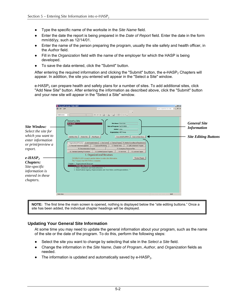- Type the specific name of the worksite in the *Site Name* field.
- Enter the date the report is being prepared in the *Date of Report* field. Enter the date in the form mm/dd/yy, such as 12/14/01.
- Enter the name of the person preparing the program, usually the site safety and health officer, in the *Author* field.
- Fill in the *Organization* field with the name of the employer for which the HASP is being developed.
- To save the data entered, click the "Submit" button.

After entering the required information and clicking the "Submit" button, the e-HASP<sub>2</sub> Chapters will appear. In addition, the site you entered will appear in the "Select a Site" window.

 $e$ -HASP<sub>2</sub> can prepare health and safety plans for a number of sites. To add additional sites, click "Add New Site" button. After entering the information as described above, click the "Submit" button and your new site will appear in the "Select a Site" window.

|                                                                                                                                                                                                                                         | Microsoft Access - [Site Edit]                                                                                                                                                                                                                                                                                                                                                                                                                                                                                                                                                                                                                                                                                                                                                                                                                                                                                                                                                                                                | $-10x$                                          |                                                                          |
|-----------------------------------------------------------------------------------------------------------------------------------------------------------------------------------------------------------------------------------------|-------------------------------------------------------------------------------------------------------------------------------------------------------------------------------------------------------------------------------------------------------------------------------------------------------------------------------------------------------------------------------------------------------------------------------------------------------------------------------------------------------------------------------------------------------------------------------------------------------------------------------------------------------------------------------------------------------------------------------------------------------------------------------------------------------------------------------------------------------------------------------------------------------------------------------------------------------------------------------------------------------------------------------|-------------------------------------------------|--------------------------------------------------------------------------|
|                                                                                                                                                                                                                                         | EB Elle Edit                                                                                                                                                                                                                                                                                                                                                                                                                                                                                                                                                                                                                                                                                                                                                                                                                                                                                                                                                                                                                  | Type a question for help<br>$  \sigma$ $\times$ |                                                                          |
|                                                                                                                                                                                                                                         | $\cdot$ B $I$ U $\Delta$ $\cdot$ $\Delta$ $\cdot$ $I$ $\cdot$ $\cdots$<br>TabContent<br>$\sim$<br>×.                                                                                                                                                                                                                                                                                                                                                                                                                                                                                                                                                                                                                                                                                                                                                                                                                                                                                                                          |                                                 |                                                                          |
| Site Window:<br>Select the site for<br>which you want to<br>enter information<br>or print/preview a<br>report.<br>$e$ -HASP <sub>2</sub><br><b>Chapters:</b><br>Site-specific<br>information is<br>entered in these<br><i>chapters.</i> | Select a Site<br><b>River Side</b><br>Site Hame River Side<br>Urban<br>Date of Program 04/23/2003<br>Author John<br>Organization ABC Group<br>Add New Site<br>Delete Site<br>Print/Export<br>Text of HAZWOPER<br>Back to Main Menu<br>1. Organizational Structure 2. Job Hazard Analysis 3. Site Control<br>4. Training Program 5. Medical Surveillance Requirements<br>6. Personal Protective Equipment<br>9. Spill Containment Program<br>7. Exposure Monitoring<br>8. Thermal Stress<br>10. Decontamination Program<br>11. Emergency Response Plan<br>13. Confined Spaces Programs<br>15. Lockout/Tagout<br>12. Standard Operating Procedures<br>14. Hot Work<br>1. Organizational Structure<br>DOUBLE-CLICK on each section below to enter site information<br>Preview Chapter<br>The * means that SECTION is complete.<br>Chapter 1. Organizational Structure<br>1. Primary Site Personnel<br>2. Other Contractors and Subcontractors *<br>3. State/Federal Agency Representative and Their Roles and Responsibilities * |                                                 | <b>General Site</b><br><b>Information</b><br><b>Site Editing Buttons</b> |
|                                                                                                                                                                                                                                         | Form View                                                                                                                                                                                                                                                                                                                                                                                                                                                                                                                                                                                                                                                                                                                                                                                                                                                                                                                                                                                                                     | <b>NLIM</b>                                     |                                                                          |
|                                                                                                                                                                                                                                         |                                                                                                                                                                                                                                                                                                                                                                                                                                                                                                                                                                                                                                                                                                                                                                                                                                                                                                                                                                                                                               |                                                 |                                                                          |

**NOTE:** The first time the main screen is opened, nothing is displayed below the "site editing buttons." Once a site has been added, the individual chapter headings will be displayed.

#### **Updating Your General Site Information**

At some time you may need to update the general information about your program, such as the name of the site or the date of the program. To do this, perform the following steps:

- Select the site you want to change by selecting that site in the *Select a Site* field.
- Change the information in the *Site Name*, *Date of Program*, *Author*, and *Organization* fields as needed.
- The information is updated and automatically saved by  $e$ -HASP<sub>2</sub>.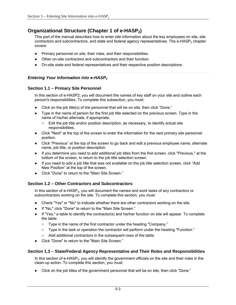# <span id="page-19-0"></span>**Organizational Structure (Chapter 1 of e-HASP<sub>2</sub>)**

This part of the manual describes how to enter site information about the key employees on site, site contractors and subcontractors, and state and federal agency representatives. The  $e$ -HASP<sub>2</sub> chapter covers:

- Primary personnel on site, their roles, and their responsibilities.
- Other on-site contractors and subcontractors and their function.
- On-site state and federal representatives and their respective position descriptions.

#### *Entering Your Information into e-HASP2*

#### **Section 1.1 – Primary Site Personnel**

In this section of e-HASP2, you will document the names of key staff on your site and outline each person's responsibilities. To complete this subsection, you must:

- Click on the job title(s) of the personnel that will be on site, then click "Done."
- Type in the name of person for the first job title selected on the previous screen. Type in the name of his/her alternate, if appropriate.
	- Edit the job title and/or position description, as necessary, to identify actual site responsibilities.
- Click "Next" at the top of the screen to enter the information for the next primary site personnel position.
- Click "Previous" at the top of the screen to go back and edit a previous employee name, alternate name, job title, or position description.
- If you determine you need to add additional job titles from the first screen, click "Previous," at the bottom of the screen, to return to the job title selection screen.
- If you need to add a job title that was not available on the job title selection screen, click "Add New Position" at the top of the screen.
- Click "Done" to return to the "Main Site Screen."

#### **Section 1.2 – Other Contractors and Subcontractors**

In this section of  $e$ -HASP<sub>2</sub>, you will document the names and work tasks of any contractors or subcontractors working on the site. To complete this section, you must:

- Check "Yes" or "No" to indicate whether there are other contractors working on the site.
- If "No," click "Done" to return to the "Main Site Screen."
- If "Yes," a table to identify the contractor(s) and his/her function on site will appear. To complete the table:
	- Type in the name of the first contractor under the heading "Company."
	- Type in the task or operation the contractor will perform under the heading "Function."
	- Add additional contractors in the subsequent rows of the table.
- Click "Done" to return to the "Main Site Screen."

#### **Section 1.3 – State/Federal Agency Representative and Their Roles and Responsibilities**

In this section of e-HASP<sub>2</sub>, you will identify the government officials on the site and their roles in the clean-up action. To complete this section, you must:

● Click on the job titles of the government personnel that will be on site, then click "Done."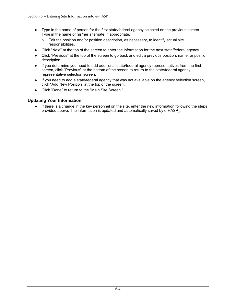- Type in the name of person for the first state/federal agency selected on the previous screen. Type in the name of his/her alternate, if appropriate.
	- Edit the position and/or position description, as necessary, to identify actual site responsibilities.
- Click "Next" at the top of the screen to enter the information for the next state/federal agency.
- Click "Previous" at the top of the screen to go back and edit a previous position, name, or position description.
- If you determine you need to add additional state/federal agency representatives from the first screen, click "Previous" at the bottom of the screen to return to the state/federal agency representative selection screen.
- If you need to add a state/federal agency that was not available on the agency selection screen, click "Add New Position" at the top of the screen.
- Click "Done" to return to the "Main Site Screen."

#### **Updating Your Information**

● If there is a change in the key personnel on the site, enter the new information following the steps provided above. The information is updated and automatically saved by  $e$ -HASP<sub>2</sub>.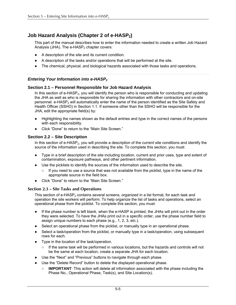# <span id="page-21-0"></span>**Job Hazard Analysis (Chapter 2 of e-HASP<sub>2</sub>)**

This part of the manual describes how to enter the information needed to create a written Job Hazard Analysis (JHA). The e-HASP $_2$  chapter covers:

- A description of the site and its current condition.
- A description of the tasks and/or operations that will be performed at the site.
- The chemical, physical, and biological hazards associated with those tasks and operations.

#### *Entering Your Information into e-HASP2*

#### **Section 2.1 – Personnel Responsible for Job Hazard Analysis**

In this section of e-HASP<sub>2</sub>, you will identify the person who is responsible for conducting and updating the JHA as well as who is responsible for sharing the information with other contractors and on-site personnel. e-HASP<sub>2</sub> will automatically enter the name of the person identified as the Site Safety and Health Officer (SSHO) in Section 1.1. If someone other than the SSHO will be responsible for the JHA, edit the appropriate field(s) by:

- Highlighting the names shown as the default entries and type in the correct names of the persons with each responsibility.
- Click "Done" to return to the "Main Site Screen."

#### **Section 2.2 – Site Description**

In this section of e-HASP<sub>2</sub>, you will provide a description of the current site conditions and identify the source of the information used in describing the site. To complete this section, you must:

- Type in a brief description of the site including location, current and prior uses, type and extent of contamination, exposure pathways, and other pertinent information.
- Use the picklists to identify the sources of the information used to describe the site.
	- If you need to use a source that was not available from the picklist, type in the name of the appropriate source in the field box.
- Click "Done" to return to the "Main Site Screen."

#### **Section 2.3 – Site Tasks and Operations**

This section of  $e$ -HASP<sub>2</sub> contains several screens, organized in a list format, for each task and operation the site workers will perform. To help organize the list of tasks and operations, select an operational phase from the picklist. To complete this section, you must:

- If the phase number is left blank, when the e-HASP is printed, the JHAs will print out in the order they were selected. To have the JHAs print out in a specific order, use the phase number field to assign unique numbers to each phase (e.g., 1, 2, 3, etc.).
- Select an operational phase from the picklist, or manually type in an operational phase.
- Select a task/operation from the picklist, or manually type in a task/operation, using subsequent rows for each.
- Type in the location of the task/operation.
	- If the same task will be performed in various locations, but the hazards and controls will not be the same at each location, create a separate JHA for each location.
- Use the "Next" and "Previous" buttons to navigate through each phase.
- Use the "Delete Record" button to delete the displayed operational phase.
	- **IMPORTANT:** This action will delete all information associated with the phase including the Phase No., Operational Phase, Task(s), and Site Location(s).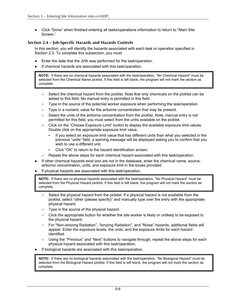● Click "Done" when finished entering all tasks/operations information to return to "Main Site Screen."

#### **Section 2.4 – Job-Specific Hazards and Hazards Controls**

In this section, you will identify the hazards associated with each task or operation specified in Section 2.3. To complete this subsection, you must:

- Enter the date that the JHA was performed for the task/operation.
- If chemical hazards are associated with this task/operation,

**NOTE:** If there are no chemical hazards associated with the task/operation, "No Chemical Hazard" must be selected from the Chemical Name picklist. If this field is left blank, the program will not mark the section as complete.

- Select the chemical hazard from the picklist. Note that only chemicals on the picklist can be added to this field. No manual entry is permitted in this field.
- Type in the source of the potential worker exposure when performing the task/operation.
- Type in a numeric value for the airborne concentration that may be present.
- Select the units of the airborne concentration from the picklist. Note, manual entry is not permitted for this field; you must select from the units available on the picklist.
- Click on the "Choose Exposure Limit" button to display the available exposure limit values. Double click on the appropriate exposure limit value.
	- If you select an exposure limit value that has different units than what you selected in the previous "units" field, a warning message will be displayed asking you to confirm that you wish to use a different unit.
	- Click "OK" to return to the hazard identification screen.
- Repeat the above steps for each chemical hazard associated with this task/operation.
- If other chemical hazards exist and are not in the database, enter the chemical name, source, airborne concentration, units, and exposure limit in the boxes provided.
- If physical hazards are associated with this task/operation,

**NOTE:** If there are no physical hazards associated with the task/operation, "No Physical Hazard" must be selected from the Physical Hazard picklist. If this field is left blank, the program will not mark the section as complete.

- $\circ$  Select the physical hazard from the picklist. If a physical hazard is not available from the picklist, select "other (please specify)" and manually type over the entry with the appropriate physical hazard.
- Type in the source of the physical hazard.
- Click the appropriate button for whether the site worker is likely or unlikely to be exposed to the physical hazard.
- For "Non-ionizing Radiation", "Ionizing Radiation", and "Noise" hazards, additional fields will appear. Enter the exposure levels, the units, and the exposure limits for each hazard identified.
- Using the "Previous" and "Next" buttons to navigate through, repeat the above steps for each physical hazard associated with this task/operation.
- If biological hazards are associated with this task/operation,

**NOTE:** If there are no biological hazards associated with the task/operation, "No Biological Hazard" must be selected from the Biological Hazard picklist. If this field is left blank, the program will not mark the section as complete.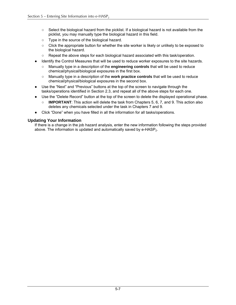- Select the biological hazard from the picklist. If a biological hazard is not available from the picklist, you may manually type the biological hazard in this field.
- Type in the source of the biological hazard.
- Click the appropriate button for whether the site worker is likely or unlikely to be exposed to the biological hazard.
- Repeat the above steps for each biological hazard associated with this task/operation.
- Identify the Control Measures that will be used to reduce worker exposures to the site hazards.
	- Manually type in a description of the **engineering controls** that will be used to reduce chemical/physical/biological exposures in the first box.
	- Manually type in a description of the **work practice controls** that will be used to reduce chemical/physical/biological exposures in the second box.
- Use the "Next" and "Previous" buttons at the top of the screen to navigate through the tasks/operations identified in Section 2.3, and repeat all of the above steps for each one.
- Use the "Delete Record" button at the top of the screen to delete the displayed operational phase.
	- **IMPORTANT**: This action will delete the task from Chapters 5, 6, 7, and 9. This action also deletes any chemicals selected under the task in Chapters 7 and 9.
- Click "Done" when you have filled in all the information for all tasks/operations.

#### **Updating Your Information**

If there is a change in the job hazard analysis, enter the new information following the steps provided above. The information is updated and automatically saved by e-HASP $_2$ .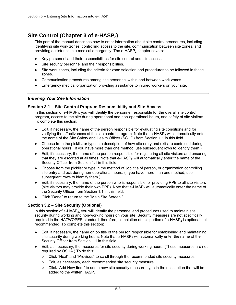# <span id="page-24-0"></span>Site Control (Chapter 3 of e-HASP<sub>2</sub>)

This part of the manual describes how to enter information about site control procedures, including identifying site work zones, controlling access to the site, communication between site zones, and providing assistance in a medical emergency. The e-HASP<sub>2</sub> chapter covers:

- Key personnel and their responsibilities for site control and site access.
- Site security personnel and their responsibilities.
- Site work zones, including the criteria for zone selection and procedures to be followed in these zones.
- Communication procedures among site personnel within and between work zones.
- Emergency medical organization providing assistance to injured workers on your site.

#### *Entering Your Site Information*

#### **Section 3.1 – Site Control Program Responsibility and Site Access**

In this section of e-HASP<sub>2</sub>, you will identify the personnel responsible for the overall site control program, access to the site during operational and non-operational hours, and safety of site visitors. To complete this section:

- Edit, if necessary, the name of the person responsible for evaluating site conditions and for verifying the effectiveness of the site control program. Note that  $e$ -HASP<sub>2</sub> will automatically enter the name of the Site Safety and Health Officer (SSHO) from Section 1.1 in this field.
- Choose from the picklist or type in a description of how site entry and exit are controlled during operational hours. (If you have more than one method, use subsequent rows to identify them.)
- Edit, if necessary, the name of the person responsible for registering all site visitors and ensuring that they are escorted at all times. Note that  $e$ -HASP<sub>2</sub> will automatically enter the name of the Security Officer from Section 1.1 in this field.
- Choose from the picklist or type in the method of, job title of person, or organization controlling site entry and exit during non-operational hours. (If you have more than one method, use subsequent rows to identify them.)
- Edit, if necessary, the name of the person who is responsible for providing PPE to all site visitors (site visitors may provide their own PPE). Note that  $e$ -HASP<sub>2</sub> will automatically enter the name of the Security Officer from Section 1.1 in this field.
- Click "Done" to return to the "Main Site Screen."

#### **Section 3.2 – Site Security (Optional)**

In this section of e-HASP<sub>2</sub>, you will identify the personnel and procedures used to maintain site security during working and non-working hours on your site. Security measures are not specifically required in the HAZWOPER standard; therefore, completion of this portion of e-HASP<sub>2</sub> is optional but recommended. To complete this section:

- Edit, if necessary, the name or job title of the person responsible for establishing and maintaining site security during working hours. Note that  $e$ -HASP<sub>2</sub> will automatically enter the name of the Security Officer from Section 1.1 in this field.
- Edit, as necessary, the measures for site security during working hours. (These measures are not required by OSHA.) To do this:
	- Click "Next" and "Previous" to scroll through the recommended site security measures.
	- Edit, as necessary, each recommended site security measure.
	- Click "Add New Item" to add a new site security measure; type in the description that will be added to the written HASP.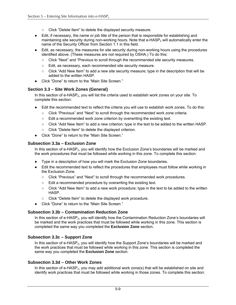- Click "Delete Item" to delete the displayed security measure.
- Edit, if necessary, the name or job title of the person that is responsible for establishing and maintaining site security during non-working hours. Note that e-HASP<sub>2</sub> will automatically enter the name of the Security Officer from Section 1.1 in this field.
- Edit, as necessary, the measures for site security during non-working hours using the procedures identified above. (These measures are not required by OSHA.) To do this:
	- Click "Next" and "Previous to scroll through the recommended site security measures.
	- Edit, as necessary, each recommended site security measure.
	- $\circ$  Click "Add New Item" to add a new site security measure; type in the description that will be added to the written HASP.
- Click "Done" to return to the "Main Site Screen."

#### **Section 3.3 – Site Work Zones (General)**

In this section of e-HASP<sub>2</sub>, you will list the criteria used to establish work zones on your site. To complete this section:

- Edit the recommended text to reflect the criteria you will use to establish work zones. To do this:
	- Click "Previous" and "Next" to scroll through the recommended work zone criteria.
	- Edit a recommended work zone criterion by overwriting the existing text.
	- Click "Add New Item" to add a new criterion; type in the text to be added to the written HASP.
	- Click "Delete Item" to delete the displayed criterion.
- Click "Done" to return to the "Main Site Screen."

#### **Subsection 3.3a – Exclusion Zone**

In this section of e-HASP<sub>2</sub>, you will identify how the Exclusion Zone's boundaries will be marked and the work procedures that must be followed while working in this zone. To complete this section:

- Type in a description of how you will mark the Exclusion Zone boundaries.
- Edit the recommended text to reflect the procedures that employees must follow while working in the Exclusion Zone.
	- Click "Previous" and "Next" to scroll through the recommended work procedures.
	- Edit a recommended procedure by overwriting the existing text.
	- Click "Add New Item" to add a new work procedure; type in the text to be added to the written HASP.
	- Click "Delete Item" to delete the displayed work procedure.
- Click "Done" to return to the "Main Site Screen."

#### **Subsection 3.3b – Contamination Reduction Zone**

In this section of e-HASP<sub>2</sub>, you will identify how the Contamination Reduction Zone's boundaries will be marked and the work practices that must be followed while working in this zone. This section is completed the same way you completed the **Exclusion Zone** section.

#### **Subsection 3.3c – Support Zone**

In this section of e-HASP<sub>2</sub>, you will identify how the Support Zone's boundaries will be marked and the work practices that must be followed while working in this zone. This section is completed the same way you completed the **Exclusion Zone** section.

#### **Subsection 3.3d – Other Work Zones**

In this section of e-HASP<sub>2</sub>, you may add additional work zone(s) that will be established on site and identify work practices that must be followed while working in those zones. To complete this section: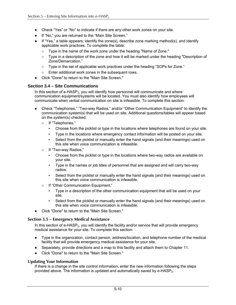- Check "Yes" or "No" to indicate if there are any other work zones on your site.
- If "No," you are returned to the "Main Site Screen."
- $\bullet$  If "Yes," a table appears; identify the zone(s), describe zone marking method(s), and identify applicable work practices. To complete the table:
	- Type in the name of the work zone under the heading "Name of Zone."
	- Type in a description of the zone and how it will be marked under the heading "Description of Zone/Demarcation."
	- Type in the set of applicable work practices under the heading "SOPs for Zone."
	- Enter additional work zones in the subsequent rows.
- Click "Done" to return to the "Main Site Screen."

#### **Section 3.4 – Site Communications**

In this section of  $e$ -HASP<sub>2</sub>, you will identify how personnel will communicate and where communication equipment/systems will be located. You must also identify how employees will communicate when verbal communication on site is infeasible. To complete this section:

- Check "Telephones," "Two-way Radios," and/or "Other Communication Equipment" to identify the communication system(s) that will be used on site. Additional questions/tables will appear based on the system(s) checked.
	- If "Telephones,"
		- Choose from the picklist or type in the locations where telephones are found on your site.
		- Type in the locations where emergency contact information will be posted on your site.
		- Select from the picklist or manually enter the hand signals (and their meanings) used on this site when voice communication is infeasible.
	- If "Two-way Radios,"
		- Choose from the picklist or type in the locations where two-way radios are available on your site.
		- Type in the names or job titles of personnel that are assigned and will carry two-way radios.
		- Select from the picklist or manually enter the hand signals (and their meanings) used on this site when voice communication is infeasible.
	- If "Other Communication Equipment,"
		- Type in a description of the other communication equipment that will be used on your site.
		- Select from the picklist or manually enter the hand signals (and their meanings) used on this site when voice communication is infeasible.
- Click "Done" to return to the "Main Site Screen."

#### **Section 3.5 – Emergency Medical Assistance**

In this section of  $e$ -HASP<sub>2</sub>, you will identify the facility and/or service that will provide emergency medical assistance for your site. To complete this section:

- Type in the organization, contact person, address/location, and telephone number of the medical facility that will provide emergency medical assistance for your site.
- Separately, provide directions and a map to this facility and attach them to Chapter 11.
- Click "Done" to return to the "Main Site Screen."

#### **Updating Your Information**

If there is a change in the site control information, enter the new information following the steps provided above. The information is updated and automatically saved by e-HASP $_2$ .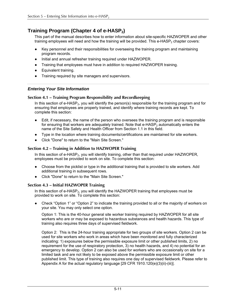# <span id="page-27-0"></span>**Training Program (Chapter 4 of e-HASP<sub>2</sub>)**

This part of the manual describes how to enter information about site-specific HAZWOPER and other training employees will need and how the training will be provided. This e-HASP<sub>2</sub> chapter covers:

- Key personnel and their responsibilities for overseeing the training program and maintaining program records.
- Initial and annual refresher training required under HAZWOPER.
- Training that employees must have in addition to required HAZWOPER training.
- Equivalent training.
- Training required by site managers and supervisors.

#### *Entering Your Site Information*

#### **Section 4.1 – Training Program Responsibility and Recordkeeping**

In this section of e-HASP<sub>2</sub>, you will identify the person(s) responsible for the training program and for ensuring that employees are properly trained, and identify where training records are kept. To complete this section:

- Edit, if necessary, the name of the person who oversees the training program and is responsible for ensuring that workers are adequately trained. Note that  $e$ -HASP $<sub>2</sub>$  automatically enters the</sub> name of the Site Safety and Health Officer from Section 1.1 in this field.
- Type in the location where training documents/certifications are maintained for site workers.
- Click "Done" to return to the "Main Site Screen."

#### **Section 4.2 – Training in Addition to HAZWOPER Training**

In this section of e-HASP<sub>2</sub>, you will identify training, other than that required under HAZWOPER, employees must be provided to work on site. To complete this section:

- Choose from the picklist or type in the additional training that is provided to site workers. Add additional training in subsequent rows.
- Click "Done" to return to the "Main Site Screen."

#### **Section 4.3 – Initial HAZWOPER Training**

In this section of  $e$ -HASP<sub>2</sub>, you will identify the HAZWOPER training that employees must be provided to work on site. To complete this section:

Check "Option 1" or "Option 2" to indicate the training provided to all or the majority of workers on your site. You may only select one option.

Option 1: This is the 40-hour general site worker training required by HAZWOPER for all site workers who are or may be exposed to hazardous substances and health hazards. This type of training also requires three days of supervised fieldwork.

Option 2: This is the 24-hour training appropriate for two groups of site workers. Option 2 can be used for site workers who work in areas which have been monitored and fully characterized indicating: 1) exposures below the permissible exposure limit or other published limits, 2) no requirement for the use of respiratory protection, 3) no health hazards, and 4) no potential for an emergency to develop. Option 2 can also be used for workers who are occasionally on site for a limited task and are not likely to be exposed above the permissible exposure limit or other published limit. This type of training also requires one day of supervised fieldwork. Please refer to Appendix A for the actual regulatory language [29 CFR 1910.120(e)(3)(ii)-(iii)].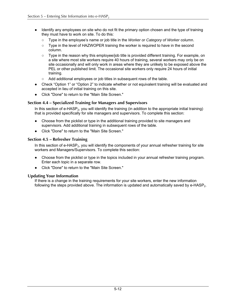- Identify any employees on site who do not fit the primary option chosen and the type of training they must have to work on site. To do this:
	- Type in the employee's name or job title in the *Worker or Category of Worker* column.
	- Type in the level of HAZWOPER training the worker is required to have in the second column.
	- Type in the reason why this employee/job title is provided different training. For example, on a site where most site workers require 40 hours of training, several workers may only be on site occasionally and will only work in areas where they are unlikely to be exposed above the PEL or other published limit. The occasional site workers only require 24 hours of initial training.
	- Add additional employees or job titles in subsequent rows of the table.
- Check "Option 1" or "Option 2" to indicate whether or not equivalent training will be evaluated and accepted in lieu of initial training on this site.
- Click "Done" to return to the "Main Site Screen."

#### **Section 4.4 – Specialized Training for Managers and Supervisors**

In this section of e-HASP<sub>2</sub>, you will identify the training (in addition to the appropriate initial training) that is provided specifically for site managers and supervisors. To complete this section:

- Choose from the picklist or type in the additional training provided to site managers and supervisors. Add additional training in subsequent rows of the table.
- Click "Done" to return to the "Main Site Screen."

#### **Section 4.5 – Refresher Training**

In this section of e-HASP<sub>2</sub>, you will identify the components of your annual refresher training for site workers and Managers/Supervisors. To complete this section:

- Choose from the picklist or type in the topics included in your annual refresher training program. Enter each topic in a separate row.
- Click "Done" to return to the "Main Site Screen."

#### **Updating Your Information**

If there is a change in the training requirements for your site workers, enter the new information following the steps provided above. The information is updated and automatically saved by e-HASP<sub>2</sub>.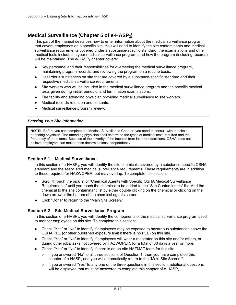# <span id="page-29-0"></span>Medical Surveillance (Chapter 5 of e-HASP<sub>2</sub>)

This part of the manual describes how to enter information about the medical surveillance program that covers employees on a specific site. You will need to identify the site contaminants and medical surveillance requirements covered under a substance-specific standard, the examinations and other medical tests included in your medical surveillance program, and how the program (including records) will be maintained. The  $e$ -HASP<sub>2</sub> chapter covers:

- Key personnel and their responsibilities for overseeing the medical surveillance program, maintaining program records, and reviewing the program on a routine basis.
- Hazardous substances on site that are covered by a substance-specific standard and their respective medical surveillance requirements.
- Site workers who will be included in the medical surveillance program and the specific medical tests given during initial, periodic, and termination examinations.
- The facility and attending physician providing medical surveillance to site workers.
- Medical records retention and contents.
- Medical surveillance program review.

#### *Entering Your Site Information*

**NOTE:** Before you can complete the Medical Surveillance Chapter, you need to consult with the site's attending physician. The attending physician shall determine the types of medical tests required and the frequency of the exams. Because of the severity of the impacts from incorrect decisions, OSHA does not believe employers can make these determinations independently.

#### **Section 5.1 – Medical Surveillance**

In this section of e-HASP<sub>2</sub>, you will identify the site chemicals covered by a substance-specific OSHA standard and the associated medical surveillance requirements. These requirements are in addition to those required for HAZWOPER, but may overlap. To complete this section:

- Scroll through the picklist of "Chemical Agents with Specific OSHA Medical Surveillance Requirements" until you reach the chemical to be added to the "Site Contaminants" list. Add the chemical to the site contaminant list by either double clicking on the chemical or clicking on the down arrow at the bottom of the chemical agents screen.
- Click "Done" to return to the "Main Site Screen."

#### **Section 5.2 – Site Medical Surveillance Program**

In this section of e-HASP<sub>2</sub>, you will identify the components of the medical surveillance program used to monitor employees on this site. To complete this section:

- Check "Yes" or "No" to identify if employees may be exposed to hazardous substances above the OSHA PEL (or other published exposure limit if there is no PEL) on this site.
- Check "Yes" or "No" to identify if employees will wear a respirator on this site and/or others, or during other jobs/tasks not covered by HAZWOPER, for a total of 30 days a year or more.
- Check "Yes" or "No" to identify if there is an on-site HAZMAT team for this site.
	- $\circ$  If you answered "No" to all three sections of Question 1, then you have completed this chapter of e-HASP<sub>2</sub> and you will automatically return to the "Main Site Screen."
	- If you answered "Yes" to any one of the three questions in this section, additional questions will be displayed that must be answered to complete this chapter of e-HASP<sub>2</sub>.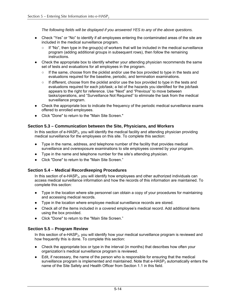*The following fields will be displayed if you answered YES to any of the above questions.* 

- Check "Yes" or "No" to identify if all employees entering the contaminated areas of the site are included in the medical surveillance program.
	- If "No", then type in the group(s) of workers that will be included in the medical surveillance program (adding additional groups in subsequent rows), then follow the remaining instructions.
- Check the appropriate box to identify whether your attending physician recommends the same set of tests and evaluations for all employees in the program.
	- If the same, choose from the picklist and/or use the box provided to type in the tests and evaluations required for the baseline, periodic, and termination examinations.
	- If different, choose from the picklist and/or use the box provided to type in the tests and evaluations required for each job/task; a list of the hazards you identified for the job/task appears to the right for reference. Use "Next" and "Previous" to move between tasks/operations, and "Surveillance Not Required" to eliminate the task from the medical surveillance program.
- Check the appropriate box to indicate the frequency of the periodic medical surveillance exams offered to enrolled employees.
- Click "Done" to return to the "Main Site Screen."

#### **Section 5.3 – Communication between the Site, Physicians, and Workers**

In this section of e-HASP<sub>2</sub>, you will identify the medical facility and attending physician providing medical surveillance for the employees on this site. To complete this section:

- Type in the name, address, and telephone number of the facility that provides medical surveillance and overexposure examinations to site employees covered by your program.
- Type in the name and telephone number for the site's attending physician.
- Click "Done" to return to the "Main Site Screen."

#### **Section 5.4 – Medical Recordkeeping Procedures**

In this section of  $e$ -HASP<sub>2</sub>, you will identify how employees and other authorized individuals can access medical surveillance information and how the records of this information are maintained. To complete this section:

- Type in the location where site personnel can obtain a copy of your procedures for maintaining and accessing medical records.
- Type in the location where employee medical surveillance records are stored.
- Check all of the items included in a covered employee's medical record. Add additional items using the box provided.
- Click "Done" to return to the "Main Site Screen."

#### **Section 5.5 – Program Review**

In this section of e-HASP<sub>2</sub>, you will identify how your medical surveillance program is reviewed and how frequently this is done. To complete this section:

- Check the appropriate box or type in the interval (in months) that describes how often your organization's medical surveillance program is reviewed.
- Edit, if necessary, the name of the person who is responsible for ensuring that the medical surveillance program is implemented and maintained. Note that e-HASP<sub>2</sub> automatically enters the name of the Site Safety and Health Officer from Section 1.1 in this field.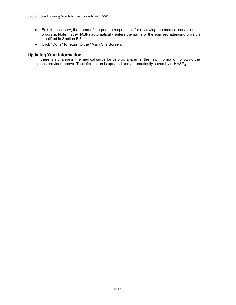- Edit, if necessary, the name of the person responsible for reviewing the medical surveillance program. Note that e-HASP<sub>2</sub> automatically enters the name of the licensed attending physician identified in Section 5.3.
- Click "Done" to return to the "Main Site Screen."

#### **Updating Your Information**

If there is a change in the medical surveillance program, enter the new information following the steps provided above. The information is updated and automatically saved by e-HASP<sub>2</sub>.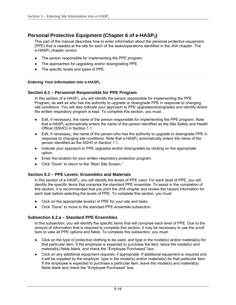# <span id="page-32-0"></span>Personal Protective Equipment (Chapter 6 of e-HASP<sub>2</sub>)

This part of the manual describes how to enter information about the personal protective equipment (PPE) that is needed at the site for each of the tasks/operations identified in the JHA chapter. The e-HASP<sub>2</sub> chapter covers:

- The person responsible for implementing the PPE program.
- The approaches for upgrading and/or downgrading PPE.
- The specific levels and types of PPE.

#### *Entering Your Information into e-HASP<sub>2</sub>*

#### **Section 6.1 – Personnel Responsible for PPE Program**

In this section of e-HASP<sub>2</sub>, you will identify the person responsible for implementing the PPE Program, as well as who has the authority to upgrade or downgrade PPE in response to changing site conditions. You will also indicate your approach to PPE upgrades/downgrades and identify where the written respiratory program is kept. To complete this section, you must:

- Edit, if necessary, the name of the person responsible for implementing the PPE program. Note that e-HASP<sub>2</sub> automatically enters the name of the person identified as the Site Safety and Health Officer (SSHO) in Section 1.1.
- Edit, if necessary, the name of the person who has the authority to upgrade or downgrade PPE in response to changing site conditions. Note that e-HASP<sub>2</sub> automatically enters the name of the person identified as the SSHO in Section 1.1.
- Indicate your approach to PPE upgrades and/or downgrades by clicking on the appropriate option.
- Enter the location for your written respiratory protection program.
- Click "Done" to return to the "Main Site Screen."

#### **Section 6.2 – PPE Levels: Ensembles and Materials**

In this section of e-HASP<sub>2</sub>, you will identify the levels of PPE used. For each level of PPE, you will identify the specific items that comprise the standard PPE ensemble. To assist in the completion of this section, it is recommended that you print the JHA chapter and review the hazard information for each task before selecting the levels of PPE. To complete this section, you must:

- Click on the appropriate level(s) of PPE for your site and tasks.
- Click "Done" to move to the standard PPE ensemble subsection.

#### **Subsection 6.2.a – Standard PPE Ensembles**

In this subsection, you will identify the specific items that will comprise each level of PPE. Due to the amount of information that is required to complete this section, it may be necessary to use the scroll bars to view all PPE options and fields. To complete this subsection, you must:

- Click on the type of protective clothing to be used, and type in the model(s) and/or material(s) for that particular item. If the employee is expected to purchase the item, leave the model(s) and material(s) fields blank, and check the "Employee Purchased" box.
- Click on any additional equipment required, if appropriate. If additional equipment is required and it will be supplied by the employer, type in the model(s) and/or material(s) for that particular item. If the employee is expected to purchase a particular item, leave the model(s) and material(s) fields blank and check the "Employee Purchased" box.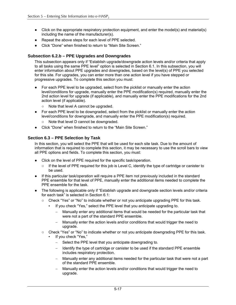- Click on the appropriate respiratory protection equipment, and enter the model(s) and material(s) including the name of the manufacturer(s).
- Repeat the above steps for each level of PPE selected.
- Click "Done" when finished to return to "Main Site Screen."

#### **Subsection 6.2.b – PPE Upgrades and Downgrades**

This subsection appears only if "Establish upgrade/downgrade action levels and/or criteria that apply to all tasks using the same PPE level" option is selected in Section 6.1. In this subsection, you will enter information about PPE upgrades and downgrades, based on the level(s) of PPE you selected for this site. For upgrades, you can enter more than one action level if you have stepped or progressive upgrades. To complete this section you must:

- For each PPE level to be upgraded, select from the picklist or manually enter the action level/conditions for upgrade, manually enter the PPE modification(s) required, manually enter the 2nd action level for upgrade (if applicable), and manually enter the PPE modifications for the 2nd action level (if applicable).
	- Note that level A cannot be upgraded.
- For each PPE level to be downgraded, select from the picklist or manually enter the action level/conditions for downgrade, and manually enter the PPE modification(s) required.
	- Note that level D cannot be downgraded.
- Click "Done" when finished to return to the "Main Site Screen."

#### **Section 6.3 – PPE Selection by Task**

In this section, you will select the PPE that will be used for each site task. Due to the amount of information that is required to complete this section, it may be necessary to use the scroll bars to view all PPE options and fields. To complete this section, you must:

- Click on the level of PPE required for the specific task/operation.
	- $\circ$  If the level of PPE required for this job is Level C, identify the type of cartridge or canister to be used.
- If this particular task/operation will require a PPE item not previously included in the standard PPE ensemble for that level of PPE, manually enter the additional items needed to complete the PPE ensemble for the task.
- The following is applicable only if "Establish upgrade and downgrade section levels and/or criteria for each task" is selected in Section 6.1:
	- Check "Yes" or "No" to indicate whether or not you anticipate upgrading PPE for this task.
		- If you check "Yes," select the PPE level that you anticipate upgrading to.
			- Manually enter any additional items that would be needed for the particular task that were not a part of the standard PPE ensemble.
			- − Manually enter the action levels and/or conditions that would trigger the need to upgrade.
	- Check "Yes" or "No" to indicate whether or not you anticipate downgrading PPE for this task.
		- If you check "Yes,"
			- − Select the PPE level that you anticipate downgrading to.
			- Helartify the type of cartridge or canister to be used if the standard PPE ensemble includes respiratory protection.
			- − Manually enter any additional items needed for the particular task that were not a part of the standard PPE ensemble.
			- Manually enter the action levels and/or conditions that would trigger the need to upgrade.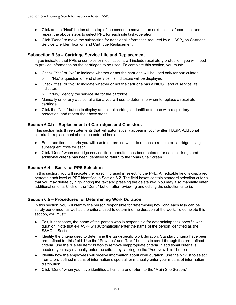- Click on the "Next" button at the top of the screen to move to the next site task/operation, and repeat the above steps to select PPE for each site task/operation.
- Click "Done" to move the subsection for additional information required by e-HASP<sub>2</sub> on Cartridge Service Life Identification and Cartridge Replacement.

#### **Subsection 6.3a – Cartridge Service Life and Replacement**

If you indicated that PPE ensembles or modifications will include respiratory protection, you will need to provide information on the cartridges to be used. To complete this section, you must:

- Check "Yes" or "No" to indicate whether or not the cartridge will be used only for particulates.
	- If "No," a question on end of service life indicators will be displayed.
- Check "Yes" or "No" to indicate whether or not the cartridge has a NIOSH end of service life indicator.
	- If "No," identify the service life for the cartridge.
- Manually enter any additional criteria you will use to determine when to replace a respirator cartridge.
- Click the "Next" button to display additional cartridges identified for use with respiratory protection, and repeat the above steps.

#### **Section 6.3.b – Replacement of Cartridges and Canisters**

This section lists three statements that will automatically appear in your written HASP. Additional criteria for replacement should be entered here.

- Enter additional criteria you will use to determine when to replace a respirator cartridge, using subsequent rows for each.
- Click "Done" when cartridge service life information has been entered for each cartridge and additional criteria has been identified to return to the "Main Site Screen."

#### **Section 6.4 – Basis for PPE Selection**

In this section, you will indicate the reasoning used in selecting the PPE. An editable field is displayed beneath each level of PPE identified in Section 6.2. The field boxes contain standard selection criteria that you may delete by highlighting the text and pressing the delete key. You may also manually enter additional criteria. Click on the "Done" button after reviewing and editing the selection criteria.

#### **Section 6.5 – Procedures for Determining Work Duration**

In this section, you will identify the person responsible for determining how long each task can be safely performed, as well as the criteria used to determine the duration of the work. To complete this section, you must:

- Edit, if necessary, the name of the person who is responsible for determining task-specific work duration. Note that  $e$ -HASP<sub>2</sub> will automatically enter the name of the person identified as the SSHO in Section 1.1.
- Identify the criteria used to determine the task-specific work duration. Standard criteria have been pre-defined for this field. Use the "Previous" and "Next" buttons to scroll through the pre-defined criteria. Use the "Delete Item" button to remove inappropriate criteria. If additional criteria is needed, you may manually enter the criteria by clicking on the "Add New Text" button.
- Identify how the employees will receive information about work duration. Use the picklist to select from a pre-defined means of information dispersal, or manually enter your means of information distribution.
- Click "Done" when you have identified all criteria and return to the "Main Site Screen."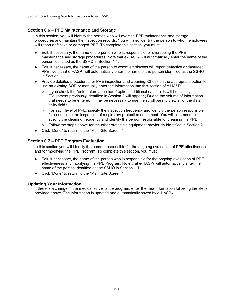#### **Section 6.6 – PPE Maintenance and Storage**

In this section, you will identify the person who will oversee PPE maintenance and storage procedures and maintain the inspection records. You will also identify the person to whom employees will report defective or damaged PPE. To complete this section, you must:

- Edit, if necessary, the name of the person who is responsible for overseeing the PPE maintenance and storage procedures. Note that e-HASP $<sub>2</sub>$  will automatically enter the name of the</sub> person identified as the SSHO in Section 1.1.
- Edit, if necessary, the name of the person to whom employees will report defective or damaged PPE. Note that e-HASP<sub>2</sub> will automatically enter the name of the person identified as the SSHO in Section 1.1.
- Provide detailed procedures for PPE inspection and cleaning. Check on the appropriate option to use an existing SOP or manually enter the information into this section of  $e$ -HASP<sub>2</sub>.
	- If you check the "enter information here" option, additional data fields will be displayed. (Equipment previously identified in Section 2 will appear.) Due to the volume of information that needs to be entered, it may be necessary to use the scroll bars to view all of the data entry fields.
	- For each level of PPE, specify the inspection frequency and identify the person responsible for conducting the inspection of respiratory protection equipment. You will also need to specify the cleaning frequency and identify the person responsible for cleaning the PPE.
	- Follow the steps above for the other protective equipment previously identified in Section 2.
- Click "Done" to return to the "Main Site Screen."

#### **Section 6.7 – PPE Program Evaluation**

In this section you will identify the person responsible for the ongoing evaluation of PPE effectiveness and for modifying the PPE Program. To complete this section, you must:

- Edit, if necessary, the name of the person who is responsible for the ongoing evaluation of PPE effectiveness and modifying the PPE Program. Note that  $e$ -HASP<sub>2</sub> will automatically enter the name of the person identified as the SSHO in Section 1.1.
- Click "Done" to return to the "Main Site Screen."

#### **Updating Your Information**

If there is a change in the medical surveillance program, enter the new information following the steps provided above. The information is updated and automatically saved by e-HASP<sub>2</sub>.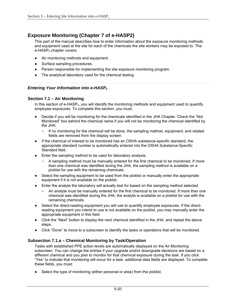## **Exposure Monitoring (Chapter 7 of e-HASP2)**

This part of the manual describes how to enter information about the exposure monitoring methods and equipment used at the site for each of the chemicals the site workers may be exposed to. The e-HASP<sub>2</sub> chapter covers:

- Air monitoring methods and equipment.
- Surface sampling procedures.
- Person responsible for implementing the site exposure monitoring program.
- The analytical laboratory used for the chemical testing.

#### *Entering Your Information into e-HASP2*

#### **Section 7.1 – Air Monitoring**

In this section of e-HASP<sub>2</sub>, you will identify the monitoring methods and equipment used to quantify employee exposures. To complete this section, you must:

- Decide if you will be monitoring for the chemicals identified in the JHA Chapter. Check the "Not Monitored" box behind the chemical name if you will not be monitoring the chemical identified by the JHA.
	- $\circ$  If no monitoring for the chemical will be done, the sampling method, equipment, and related fields are removed from the display screen.
- If the chemical of interest to be monitored has an OSHA substance-specific standard, the appropriate standard number is automatically entered into the OSHA Substance-Specific Standard field.
- Enter the sampling method to be used for laboratory analysis.
	- A sampling method must be manually entered for the first chemical to be monitored. If more than one chemical was identified during the JHA, the sampling method is available on a picklist for use with the remaining chemicals.
- Select the sampling equipment to be used from the picklist or manually enter the appropriate equipment if it is not available on the picklist.
- Enter the analyte the laboratory will actually test for based on the sampling method selected.
	- An analyte must be manually entered for the first chemical to be monitored. If more than one chemical was identified during the JHA, the analyte is available on a picklist for use with the remaining chemicals.
- Select the direct-reading equipment you will use to quantify employee exposures. If the directreading equipment you intend to use is not available on the picklist, you may manually enter the appropriate equipment in this field.
- Click the "Next" button to display the next chemical identified in the JHA, and repeat the above steps.
- Click "Done" to move to a subscreen to identify the tasks or operations that will be monitored.

#### **Subsection 7.1.a – Chemical Monitoring by Task/Operation**

Tasks with established PPE action levels are automatically displayed on the Air Monitoring subscreen. You can change the entries if your upgrade and/or downgrade decisions are based on a different chemical and you plan to monitor for that chemical exposure during the task. If you click "Yes" to indicate that monitoring will occur for a task, additional data fields are displayed. To complete these fields, you must:

● Select the type of monitoring (either personal or area) from the picklist.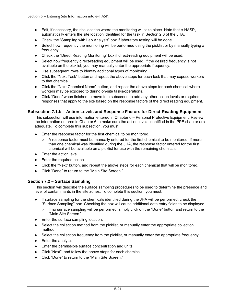- $\bullet$  Edit, if necessary, the site location where the monitoring will take place. Note that e-HASP<sub>2</sub> automatically enters the site location identified for the task in Section 2.3 of the JHA.
- Check the "Sampling with Lab Analysis" box if laboratory testing will be done.
- Select how frequently the monitoring will be performed using the picklist or by manually typing a frequency.
- Check the "Direct Reading Monitoring" box if direct-reading equipment will be used.
- Select how frequently direct-reading equipment will be used. If the desired frequency is not available on the picklist, you may manually enter the appropriate frequency.
- Use subsequent rows to identify additional types of monitoring.
- Click the "Next Task" button and repeat the above steps for each task that may expose workers to that chemical.
- Click the "Next Chemical Name" button, and repeat the above steps for each chemical where workers may be exposed to during on-site tasks/operations.
- Click "Done" when finished to move to a subscreen to add any other action levels or required responses that apply to the site based on the response factors of the direct reading equipment.

#### **Subsection 7.1.b – Action Levels and Response Factors for Direct-Reading Equipment**

This subsection will use information entered in Chapter 6 – Personal Protective Equipment. Review the information entered in Chapter 6 to make sure the action levels identified in the PPE chapter are adequate. To complete this subsection, you must:

- Enter the response factor for the first chemical to be monitored.
	- A response factor must be manually entered for the first chemical to be monitored. If more than one chemical was identified during the JHA, the response factor entered for the first chemical will be available on a picklist for use with the remaining chemicals.
- Enter the action level.
- Enter the required action.
- Click the "Next" button, and repeat the above steps for each chemical that will be monitored.
- Click "Done" to return to the "Main Site Screen."

#### **Section 7.2 – Surface Sampling**

This section will describe the surface sampling procedures to be used to determine the presence and level of contaminants in the site zones. To complete this section, you must:

- If surface sampling for the chemicals identified during the JHA will be performed, check the "Surface Sampling" box. Checking the box will cause additional data entry fields to be displayed.
	- If no surface sampling will be performed, simply click on the "Done" button and return to the "Main Site Screen."
- Enter the surface sampling location.
- Select the collection method from the picklist, or manually enter the appropriate collection method.
- Select the collection frequency from the picklist, or manually enter the appropriate frequency.
- Enter the analyte.
- Enter the permissible surface concentration and units.
- Click "Next", and follow the above steps for each chemical.
- Click "Done" to return to the "Main Site Screen."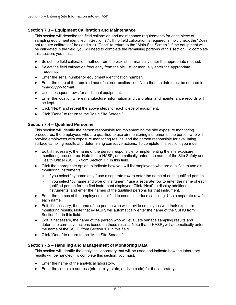#### **Section 7.3 – Equipment Calibration and Maintenance**

This section will describe the field calibration and maintenance requirements for each piece of sampling equipment identified in Section 7.1. If no field calibration is required, simply check the "Does not require calibration" box and click "Done" to return to the "Main Site Screen." If the equipment will be calibrated in the field, you will need to complete the remaining portions of this section. To complete this section, you must:

- Select the field calibration method from the picklist, or manually enter the appropriate method.
- Select the field calibration frequency from the picklist, or manually enter the appropriate frequency.
- Enter the serial number or equipment identification number.
- Enter the date of the required manufacturer recalibration. Note that the date must be entered in mm/dd/yyyy format.
- Use subsequent rows for additional equipment.
- Enter the location where manufacturer information and calibration and maintenance records will be kept.
- Click "Next" and repeat the above steps for each piece of equipment.
- Click "Done" to return to the "Main Site Screen."

#### **Section 7.4 – Qualified Personnel**

This section will identify the person responsible for implementing the site exposure monitoring procedures, the employees who are qualified to use air monitoring instruments, the person who will provide employees with exposure monitoring results, and the person responsible for evaluating surface sampling results and determining corrective actions. To complete this section, you must:

- Edit, if necessary, the name of the person responsible for implementing the site exposure monitoring procedures. Note that e-HASP<sub>2</sub> automatically enters the name of the Site Safety and Health Officer (SSHO) from Section 1.1 in this field.
- Click the appropriate option to indicate how you will list employees who are qualified to use air monitoring instruments.
	- $\circ$  If you select "by name only," use a separate row to enter the name of each qualified person.
	- $\circ$  If you select "by name and type of instrument," use a separate row to enter the name of each qualified person for the first instrument displayed. Click "Next" to display additional instruments, and enter the names of the qualified persons for that instrument.
- Enter the names of the employees qualified to conduct surface sampling. Use a separate row for each name.
- Edit, if necessary, the name of the person who will provide employees with their exposure monitoring results. Note that e-HASP<sub>2</sub> will automatically enter the name of the SSHO from Section 1.1 in this field.
- Edit, if necessary, the name of the person who will evaluate surface sampling results and determine corrective actions based on those results. Note that e-HASP<sub>2</sub> will automatically enter the name of the SSHO from Section 1.1 in this field.
- Click "Done" to return to the "Main Site Screen."

#### **Section 7.5 – Handling and Management of Monitoring Data**

This section will identify the analytical laboratory that will be used and indicate how the laboratory results will be handled. To complete this section, you must:

- Enter the name of the analytical laboratory.
- Enter the complete address (street, city, state, and zip code) for the laboratory.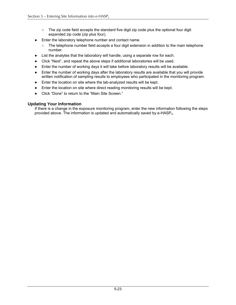- The zip code field accepts the standard five digit zip code plus the optional four digit expanded zip code (zip plus four).
- Enter the laboratory telephone number and contact name.
	- The telephone number field accepts a four digit extension in addition to the main telephone number.
- List the analytes that the laboratory will handle, using a separate row for each.
- Click "Next", and repeat the above steps if additional laboratories will be used.
- Enter the number of working days it will take before laboratory results will be available.
- Enter the number of working days after the laboratory results are available that you will provide written notification of sampling results to employees who participated in the monitoring program.
- Enter the location on site where the lab-analyzed results will be kept.
- Enter the location on site where direct reading monitoring results will be kept.
- Click "Done" to return to the "Main Site Screen."

#### **Updating Your Information**

If there is a change in the exposure monitoring program, enter the new information following the steps provided above. The information is updated and automatically saved by e-HASP<sub>2</sub>.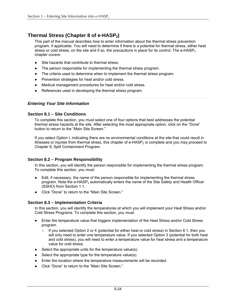# **Thermal Stress (Chapter 8 of e-HASP<sub>2</sub>)**

This part of the manual describes how to enter information about the thermal stress prevention program, if applicable. You will need to determine if there is a potential for thermal stress, either heat stress or cold stress, on the site and if so, the precautions in place for its control. The e-HASP<sub>2</sub> chapter covers:

- Site hazards that contribute to thermal stress.
- The person responsible for implementing the thermal stress program.
- The criteria used to determine when to implement the thermal stress program.
- Prevention strategies for heat and/or cold stress.
- Medical management procedures for heat and/or cold stress.
- References used in developing the thermal stress program.

#### *Entering Your Site Information*

#### **Section 8.1 – Site Conditions**

To complete this section, you must select one of four options that best addresses the potential thermal stress hazards at the site. After selecting the most appropriate option, click on the "Done" button to return to the "Main Site Screen."

If you select Option I, indicating there are no environmental conditions at the site that could result in illnesses or injuries from thermal stress, this chapter of  $e$ -HASP<sub>2</sub> is complete and you may proceed to Chapter 9, Spill Containment Program.

#### **Section 8.2 – Program Responsibility**

In this section, you will identify the person responsible for implementing the thermal stress program. To complete this section, you must:

- Edit, if necessary, the name of the person responsible for implementing the thermal stress program. Note the e-HASP<sub>2</sub> automatically enters the name of the Site Safety and Health Officer (SSHO) from Section 1.1.
- Click "Done" to return to the "Main Site Screen."

#### **Section 8.3 – Implementation Criteria**

In this section, you will identify the temperatures at which you will implement your Heat Stress and/or Cold Stress Programs. To complete this section, you must:

- Enter the temperature value that triggers implementation of the Heat Stress and/or Cold Stress program.
	- $\circ$  If you selected Option 2 or 4 (potential for either heat or cold stress) in Section 8.1, then you will only need to enter one temperature value. If you selected Option 3 (potential for both heat and cold stress), you will need to enter a temperature value for heat stress and a temperature value for cold stress.
- Select the appropriate units for the temperature value(s).
- Select the appropriate type for the temperature value(s).
- Enter the location where the temperature measurements will be recorded.
- Click "Done" to return to the "Main Site Screen."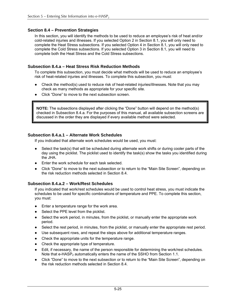#### **Section 8.4 – Prevention Strategies**

In this section, you will identify the methods to be used to reduce an employee's risk of heat and/or cold-related injuries and illnesses. If you selected Option 2 in Section 8.1, you will only need to complete the Heat Stress subsections. If you selected Option 4 in Section 8.1, you will only need to complete the Cold Stress subsections. If you selected Option 3 in Section 8.1, you will need to complete both the Heat Stress and the Cold Stress subsections.

#### **Subsection 8.4.a – Heat Stress Risk Reduction Methods**

To complete this subsection, you must decide what methods will be used to reduce an employee's risk of heat-related injuries and illnesses. To complete this subsection, you must:

- Check the method(s) used to reduce risk of heat-related injuries/illnesses. Note that you may check as many methods as appropriate for your specific site.
- Click "Done" to move to the next subsection screen.

**NOTE:** The subsections displayed after clicking the "Done" button will depend on the method(s) checked in Subsection 8.4.a. For the purposes of this manual, all available subsection screens are discussed in the order they are displayed if every available method were selected.

#### **Subsection 8.4.a.1 – Alternate Work Schedules**

If you indicated that alternate work schedules would be used, you must:

- Select the task(s) that will be scheduled during alternate work shifts or during cooler parts of the day using the picklist. The picklist used to identify the task(s) show the tasks you identified during the JHA.
- Enter the work schedule for each task selected.
- Click "Done" to move to the next subsection or to return to the "Main Site Screen", depending on the risk reduction methods selected in Section 8.4.

#### **Subsection 8.4.a.2 – Work/Rest Schedules**

If you indicated that work/rest schedules would be used to control heat stress, you must indicate the schedules to be used for specific combinations of temperature and PPE. To complete this section, you must:

- Enter a temperature range for the work area.
- Select the PPE level from the picklist.
- Select the work period, in minutes, from the picklist, or manually enter the appropriate work period.
- Select the rest period, in minutes, from the picklist, or manually enter the appropriate rest period.
- Use subsequent rows, and repeat the steps above for additional temperature ranges.
- Check the appropriate units for the temperature range.
- Check the appropriate type of temperature.
- Edit, if necessary, the name of the person responsible for determining the work/rest schedules. Note that e-HASP<sub>2</sub> automatically enters the name of the SSHO from Section 1.1.
- Click "Done" to move to the next subsection or to return to the "Main Site Screen", depending on the risk reduction methods selected in Section 8.4.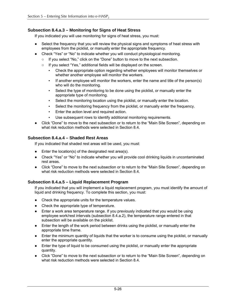#### **Subsection 8.4.a.3 – Monitoring for Signs of Heat Stress**

If you indicated you will use monitoring for signs of heat stress, you must:

- Select the frequency that you will review the physical signs and symptoms of heat stress with employees from the picklist, or manually enter the appropriate frequency.
- Check "Yes" or "No" to indicate whether you will conduct physiological monitoring.
	- If you select "No," click on the "Done" button to move to the next subsection.
	- If you select "Yes," additional fields will be displayed on the screen.
		- Check the appropriate option regarding whether employees will monitor themselves or whether another employee will monitor the workers.
		- If another employee will monitor the workers, enter the name and title of the person(s) who will do the monitoring.
		- Select the type of monitoring to be done using the picklist, or manually enter the appropriate type of monitoring.
		- Select the monitoring location using the picklist, or manually enter the location.
		- Select the monitoring frequency from the picklist, or manually enter the frequency.
		- Enter the action level and required action.
		- Use subsequent rows to identify additional monitoring requirements.
- Click "Done" to move to the next subsection or to return to the "Main Site Screen", depending on what risk reduction methods were selected in Section 8.4.

#### **Subsection 8.4.a.4 – Shaded Rest Areas**

If you indicated that shaded rest areas will be used, you must:

- Enter the location(s) of the designated rest area(s).
- Check "Yes" or "No" to indicate whether you will provide cool drinking liquids in uncontaminated rest areas.
- Click "Done" to move to the next subsection or to return to the "Main Site Screen", depending on what risk reduction methods were selected in Section 8.4.

#### **Subsection 8.4.a.5 – Liquid Replacement Program**

If you indicated that you will implement a liquid replacement program, you must identify the amount of liquid and drinking frequency. To complete this section, you must:

- Check the appropriate units for the temperature values.
- Check the appropriate type of temperature.
- Enter a work area temperature range. If you previously indicated that you would be using employee work/rest intervals (subsection 8.4.a.2), the temperature range entered in that subsection will be available on the picklist.
- Enter the length of the work period between drinks using the picklist, or manually enter the appropriate time frame.
- Enter the minimum quantity of liquids that the worker is to consume using the picklist, or manually enter the appropriate quantity.
- Enter the type of liquid to be consumed using the picklist, or manually enter the appropriate quantity.
- Click "Done" to move to the next subsection or to return to the "Main Site Screen", depending on what risk reduction methods were selected in Section 8.4.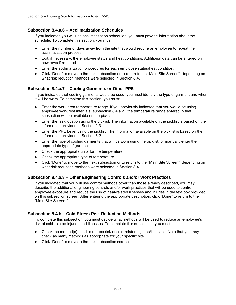#### **Subsection 8.4.a.6 – Acclimatization Schedules**

If you indicated you will use acclimatization schedules, you must provide information about the schedule. To complete this section, you must:

- Enter the number of days away from the site that would require an employee to repeat the acclimatization process.
- Edit, if necessary, the employee status and heat conditions. Additional data can be entered on new rows if required.
- Enter the acclimatization procedures for each employee status/heat condition.
- Click "Done" to move to the next subsection or to return to the "Main Site Screen", depending on what risk reduction methods were selected in Section 8.4.

#### **Subsection 8.4.a.7 – Cooling Garments or Other PPE**

If you indicated that cooling garments would be used, you must identify the type of garment and when it will be worn. To complete this section, you must:

- Enter the work area temperature range. If you previously indicated that you would be using employee work/rest intervals (subsection 8.4.a.2), the temperature range entered in that subsection will be available on the picklist.
- Enter the task/location using the picklist. The information available on the picklist is based on the information provided in Section 2.3.
- Enter the PPE Level using the picklist. The information available on the picklist is based on the information provided in Section 6.2.
- Enter the type of cooling garments that will be worn using the picklist, or manually enter the appropriate type of garment.
- Check the appropriate units for the temperature.
- Check the appropriate type of temperature.
- Click "Done" to move to the next subsection or to return to the "Main Site Screen", depending on what risk reduction methods were selected in Section 8.4.

#### **Subsection 8.4.a.8 – Other Engineering Controls and/or Work Practices**

If you indicated that you will use control methods other than those already described, you may describe the additional engineering controls and/or work practices that will be used to control employee exposure and reduce the risk of heat-related illnesses and injuries in the text box provided on this subsection screen. After entering the appropriate description, click "Done" to return to the "Main Site Screen."

#### **Subsection 8.4.b – Cold Stress Risk Reduction Methods**

To complete this subsection, you must decide what methods will be used to reduce an employee's risk of cold-related injuries and illnesses. To complete this subsection, you must:

- Check the method(s) used to reduce risk of cold-related injuries/illnesses. Note that you may check as many methods as appropriate for your specific site.
- Click "Done" to move to the next subsection screen.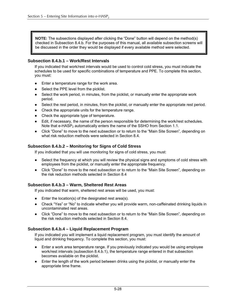**NOTE:** The subsections displayed after clicking the "Done" button will depend on the method(s) checked in Subsection 8.4.b. For the purposes of this manual, all available subsection screens will be discussed in the order they would be displayed if every available method were selected.

#### **Subsection 8.4.b.1 – Work/Rest Intervals**

If you indicated that work/rest intervals would be used to control cold stress, you must indicate the schedules to be used for specific combinations of temperature and PPE. To complete this section, you must:

- Enter a temperature range for the work area.
- Select the PPE level from the picklist.
- Select the work period, in minutes, from the picklist, or manually enter the appropriate work period.
- Select the rest period, in minutes, from the picklist, or manually enter the appropriate rest period.
- Check the appropriate units for the temperature range.
- Check the appropriate type of temperature.
- Edit, if necessary, the name of the person responsible for determining the work/rest schedules. Note that e-HASP<sub>2</sub> automatically enters the name of the SSHO from Section 1.1.
- Click "Done" to move to the next subsection or to return to the "Main Site Screen", depending on what risk reduction methods were selected in Section 8.4.

#### **Subsection 8.4.b.2 – Monitoring for Signs of Cold Stress**

If you indicated that you will use monitoring for signs of cold stress, you must:

- Select the frequency at which you will review the physical signs and symptoms of cold stress with employees from the picklist, or manually enter the appropriate frequency.
- Click "Done" to move to the next subsection or to return to the "Main Site Screen", depending on the risk reduction methods selected in Section 8.4

#### **Subsection 8.4.b.3 – Warm, Sheltered Rest Areas**

If you indicated that warm, sheltered rest areas will be used, you must:

- Enter the location(s) of the designated rest area(s).
- Check "Yes" or "No" to indicate whether you will provide warm, non-caffeinated drinking liquids in uncontaminated rest areas.
- Click "Done" to move to the next subsection or to return to the "Main Site Screen", depending on the risk reduction methods selected in Section 8.4.

#### **Subsection 8.4.b.4 – Liquid Replacement Program**

If you indicated you will implement a liquid replacement program, you must identify the amount of liquid and drinking frequency. To complete this section, you must:

- Enter a work area temperature range. If you previously indicated you would be using employee work/rest intervals (subsection 8.4.b.1), the temperature range entered in that subsection becomes available on the picklist.
- Enter the length of the work period between drinks using the picklist, or manually enter the appropriate time frame.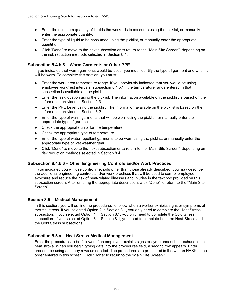- Enter the minimum quantity of liquids the worker is to consume using the picklist, or manually enter the appropriate quantity.
- Enter the type of liquid to be consumed using the picklist, or manually enter the appropriate quantity.
- Click "Done" to move to the next subsection or to return to the "Main Site Screen", depending on the risk reduction methods selected in Section 8.4.

#### **Subsection 8.4.b.5 – Warm Garments or Other PPE**

If you indicated that warm garments would be used, you must identify the type of garment and when it will be worn. To complete this section, you must:

- Enter the work area temperature range. If you previously indicated that you would be using employee work/rest intervals (subsection 8.4.b.1), the temperature range entered in that subsection is available on the picklist.
- Enter the task/location using the picklist. The information available on the picklist is based on the information provided in Section 2.3.
- Enter the PPE Level using the picklist. The information available on the picklist is based on the information provided in Section 6.2.
- Enter the type of warm garments that will be worn using the picklist, or manually enter the appropriate type of garment.
- Check the appropriate units for the temperature.
- Check the appropriate type of temperature.
- Enter the type of water repellant garments to be worn using the picklist, or manually enter the appropriate type of wet weather gear.
- Click "Done" to move to the next subsection or to return to the "Main Site Screen", depending on risk reduction methods selected in Section 8.4.

#### **Subsection 8.4.b.6 – Other Engineering Controls and/or Work Practices**

If you indicated you will use control methods other than those already described, you may describe the additional engineering controls and/or work practices that will be used to control employee exposure and reduce the risk of heat-related illnesses and injuries in the text box provided on this subsection screen. After entering the appropriate description, click "Done" to return to the "Main Site Screen".

#### **Section 8.5 – Medical Management**

In this section, you will outline the procedures to follow when a worker exhibits signs or symptoms of thermal stress. If you selected Option 2 in Section 8.1, you only need to complete the Heat Stress subsection. If you selected Option 4 in Section 8.1, you only need to complete the Cold Stress subsection. If you selected Option 3 in Section 8.1, you need to complete both the Heat Stress and the Cold Stress subsections.

#### **Subsection 8.5.a – Heat Stress Medical Management**

Enter the procedures to be followed if an employee exhibits signs or symptoms of heat exhaustion or heat stroke. When you begin typing data into the procedures field, a second row appears. Enter procedures using as many rows as needed. The procedures are presented in the written HASP in the order entered in this screen. Click "Done" to return to the "Main Site Screen."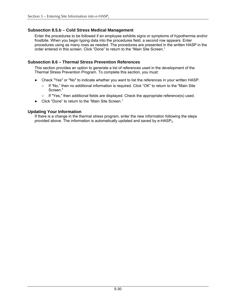#### **Subsection 8.5.b – Cold Stress Medical Management**

Enter the procedures to be followed if an employee exhibits signs or symptoms of hypothermia and/or frostbite. When you begin typing data into the procedures field, a second row appears. Enter procedures using as many rows as needed. The procedures are presented in the written HASP in the order entered in this screen. Click "Done" to return to the "Main Site Screen."

#### **Subsection 8.6 – Thermal Stress Prevention References**

This section provides an option to generate a list of references used in the development of the Thermal Stress Prevention Program. To complete this section, you must:

- Check "Yes" or "No" to indicate whether you want to list the references in your written HASP.
	- If "No," then no additional information is required. Click "OK" to return to the "Main Site Screen."
	- If "Yes," then additional fields are displayed. Check the appropriate reference(s) used.
- Click "Done" to return to the "Main Site Screen."

#### **Updating Your Information**

If there is a change in the thermal stress program, enter the new information following the steps provided above. The information is automatically updated and saved by e-HASP<sub>2</sub>.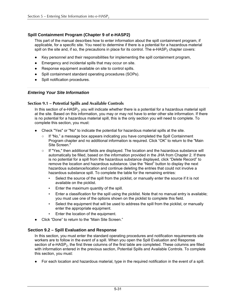#### **Spill Containment Program (Chapter 9 of e-HASP2)**

This part of the manual describes how to enter information about the spill containment program, if applicable, for a specific site. You need to determine if there is a potential for a hazardous material spill on the site and, if so, the precautions in place for its control. The e-HASP<sub>2</sub> chapter covers:

- Key personnel and their responsibilities for implementing the spill containment program,
- Emergency and incidental spills that may occur on site.
- Response equipment available on site to control spills.
- Spill containment standard operating procedures (SOPs).
- Spill notification procedures.

#### *Entering Your Site Information*

#### **Section 9.1 – Potential Spills and Available Controls**

In this section of  $e$ -HASP<sub>2</sub>, you will indicate whether there is a potential for a hazardous material spill at the site. Based on this information, you may or may not have to enter other site information. If there is no potential for a hazardous material spill, this is the only section you will need to complete. To complete this section, you must:

- Check "Yes" or "No" to indicate the potential for hazardous material spills at the site.
	- $\circ$  If "No," a message box appears indicating you have completed the Spill Containment Program chapter and no additional information is required. Click "OK" to return to the "Main Site Screen."
	- If "Yes," then additional fields are displayed. The location and the hazardous substance will automatically be filled, based on the information provided in the JHA from Chapter 2. If there is no potential for a spill from the hazardous substance displayed, click "Delete Record" to remove the location and hazardous substance. Use the "Next" button to display the next hazardous substance/location and continue deleting the entries that could not involve a hazardous substance spill. To complete the table for the remaining entries:
		- Select the source of the spill from the picklist, or manually enter the source if it is not available on the picklist.
		- Enter the maximum quantity of the spill.
		- Enter a classification for the spill using the picklist. Note that no manual entry is available; you must use one of the options shown on the picklist to complete this field.
		- Select the equipment that will be used to address the spill from the picklist, or manually enter the appropriate equipment.
		- Enter the location of the equipment.
- Click "Done" to return to the "Main Site Screen."

#### **Section 9.2 – Spill Evaluation and Response**

In this section, you must enter the standard operating procedures and notification requirements site workers are to follow in the event of a spill. When you open the Spill Evaluation and Response section of e-HASP<sub>2</sub>, the first three columns of the first table are completed. These columns are filled with information entered in the previous section, Potential Spills and Available Controls. To complete this section, you must:

• For each location and hazardous material, type in the required notification in the event of a spill.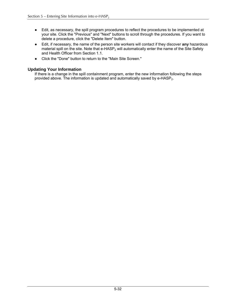- Edit, as necessary, the spill program procedures to reflect the procedures to be implemented at your site. Click the "Previous" and "Next" buttons to scroll through the procedures. If you want to delete a procedure, click the "Delete Item" button.
- Edit, if necessary, the name of the person site workers will contact if they discover **any** hazardous material spill on the site. Note that e-HASP<sub>2</sub> will automatically enter the name of the Site Safety and Health Officer from Section 1.1.
- Click the "Done" button to return to the "Main Site Screen."

#### **Updating Your Information**

If there is a change in the spill containment program, enter the new information following the steps provided above. The information is updated and automatically saved by e-HASP<sub>2</sub>.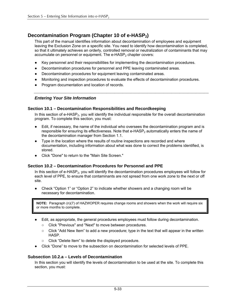# **Decontamination Program (Chapter 10 of e-HASP<sub>2</sub>)**

This part of the manual identifies information about decontamination of employees and equipment leaving the Exclusion Zone on a specific site. You need to identify how decontamination is completed, so that it ultimately achieves an orderly, controlled removal or neutralization of contaminants that may accumulate on personnel or equipment. The e-HASP<sub>2</sub> chapter covers:

- Key personnel and their responsibilities for implementing the decontamination procedures.
- Decontamination procedures for personnel and PPE leaving contaminated areas.
- Decontamination procedures for equipment leaving contaminated areas.
- Monitoring and inspection procedures to evaluate the effects of decontamination procedures.
- Program documentation and location of records.

#### *Entering Your Site Information*

#### **Section 10.1 – Decontamination Responsibilities and Recordkeeping**

In this section of e-HASP<sub>2</sub>, you will identify the individual responsible for the overall decontamination program. To complete this section, you must:

- Edit, if necessary, the name of the individual who oversees the decontamination program and is responsible for ensuring its effectiveness. Note that e-HASP<sub>2</sub> automatically enters the name of the decontamination manager from Section 1.1.
- Type in the location where the results of routine inspections are recorded and where documentation, including information about what was done to correct the problems identified, is stored.
- Click "Done" to return to the "Main Site Screen."

#### **Section 10.2 – Decontamination Procedures for Personnel and PPE**

In this section of  $e$ -HASP<sub>2</sub>, you will identify the decontamination procedures employees will follow for each level of PPE, to ensure that contaminants are not spread from one work zone to the next or off site.

Check "Option 1" or "Option 2" to indicate whether showers and a changing room will be necessary for decontamination.

**NOTE:** Paragraph (n)(7) of HAZWOPER requires change rooms and showers when the work will require six or more months to complete.

- Edit, as appropriate, the general procedures employees must follow during decontamination.
	- Click "Previous" and "Next" to move between procedures.
	- Click "Add New Item" to add a new procedure; type in the text that will appear in the written HASP.
	- Click "Delete Item" to delete the displayed procedure.
- Click "Done" to move to the subsection on decontamination for selected levels of PPE.

#### **Subsection 10.2.a – Levels of Decontamination**

In this section you will identify the levels of decontamination to be used at the site. To complete this section, you must: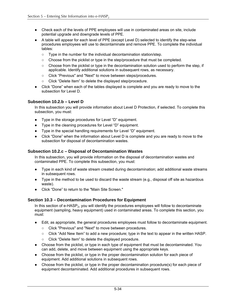- Check each of the levels of PPE employees will use in contaminated areas on site, include potential upgrade and downgrade levels of PPE.
- A table will appear for each level of PPE (except Level D) selected to identify the step-wise procedures employees will use to decontaminate and remove PPE. To complete the individual tables:
	- Type in the number for the individual decontamination station/step.
	- Choose from the picklist or type in the step/procedure that must be completed.
	- Choose from the picklist or type in the decontamination solution used to perform the step, if applicable. Identify additional solutions in subsequent rows, as necessary.
	- Click "Previous" and "Next" to move between steps/procedures.
	- Click "Delete Item" to delete the displayed step/procedure.
- Click "Done" when each of the tables displayed is complete and you are ready to move to the subsection for Level D.

#### **Subsection 10.2.b – Level D**

In this subsection you will provide information about Level D Protection, if selected. To complete this subsection, you must:

- Type in the storage procedures for Level "D" equipment.
- Type in the cleaning procedures for Level "D" equipment.
- Type in the special handling requirements for Level "D" equipment.
- Click "Done" when the information about Level D is complete and you are ready to move to the subsection for disposal of decontamination wastes.

#### **Subsection 10.2.c – Disposal of Decontamination Wastes**

In this subsection, you will provide information on the disposal of decontamination wastes and contaminated PPE. To complete this subsection, you must:

- Type in each kind of waste stream created during decontamination; add additional waste streams in subsequent rows.
- Type in the method to be used to discard the waste stream (e.g., disposal off site as hazardous waste).
- Click "Done" to return to the "Main Site Screen."

#### **Section 10.3 – Decontamination Procedures for Equipment**

In this section of  $e$ -HASP<sub>2</sub>, you will identify the procedures employees will follow to decontaminate equipment (sampling, heavy equipment) used in contaminated areas. To complete this section, you must:

- Edit, as appropriate, the general procedures employees must follow to decontaminate equipment.
	- Click "Previous" and "Next" to move between procedures.
	- Click "Add New Item" to add a new procedure; type in the text to appear in the written HASP.
	- Click "Delete Item" to delete the displayed procedure.
- Choose from the picklist, or type in each type of equipment that must be decontaminated. You can add, delete, and move between equipment using the appropriate keys.
- Choose from the picklist, or type in the proper decontamination solution for each piece of equipment. Add additional solutions in subsequent rows.
- Choose from the picklist, or type in the proper decontamination procedure(s) for each piece of equipment decontaminated. Add additional procedures in subsequent rows.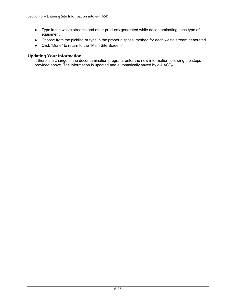- Type in the waste streams and other products generated while decontaminating each type of equipment.
- Choose from the picklist, or type in the proper disposal method for each waste stream generated.
- Click "Done" to return to the "Main Site Screen."

#### **Updating Your Information**

If there is a change in the decontamination program, enter the new information following the steps provided above. The information is updated and automatically saved by e-HASP<sub>2</sub>.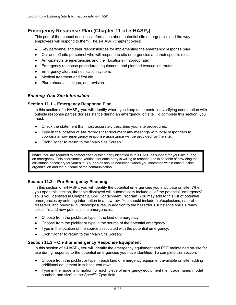## **Emergency Response Plan (Chapter 11 of e-HASP<sub>2</sub>)**

This part of the manual describes information about potential site emergencies and the way employees will respond to them. The  $e$ -HASP<sub>2</sub> chapter covers:

- Key personnel and their responsibilities for implementing the emergency response plan.
- On- and off-site personnel who will respond to site emergencies and their specific roles.
- Anticipated site emergencies and their locations (if appropriate).
- Emergency response procedures, equipment, and planned evacuation routes.
- Emergency alert and notification system.
- Medical treatment and first aid.
- Plan rehearsal, critique, and revision.

#### *Entering Your Site Information*

#### **Section 11.1 – Emergency Response Plan**

In this section of e-HASP<sub>2</sub>, you will identify where you keep documentation verifying coordination with outside response parties (for assistance during an emergency) on site. To complete this section, you must:

- Check the statement that most accurately describes your site procedures.
- Type in the location of site records that document any meetings with local responders to coordinate how emergency response assistance will be provided for the site.
- Click "Done" to return to the "Main Site Screen."

**Note:** You are required to contact each outside party identified in this HASP as support for your site during an emergency. This coordination verifies that each party is willing to respond and is capable of providing the assistance necessary for your site. Your notes should document whom you contacted within each outside organization and the outcome of the communication.

#### **Section 11.2 – Pre-Emergency Planning**

In this section of  $e$ -HASP<sub>2</sub>, you will identify the potential emergencies you anticipate on site. When you open this section, the table displayed will automatically include all of the potential "emergency" spills you identified in Chapter 9, Spill Containment Program. You may add to this list of potential emergencies by entering information in a new row. You should include fire/explosions, natural disasters, and physical injuries/exposures, in addition to the hazardous substance spills already listed. To add new potential site emergencies:

- Choose from the picklist or type in the kind of emergency.
- Choose from the picklist or type in the source of the potential emergency.
- Type in the location of the source associated with the potential emergency.
- Click "Done" to return to the "Main Site Screen."

#### **Section 11.3 – On-Site Emergency Response Equipment**

In this section of e-HASP<sub>2</sub>, you will identify the emergency equipment and PPE maintained on-site for use during response to the potential emergencies you have identified. To complete this section:

- Choose from the picklist or type in each kind of emergency equipment available on site, adding additional equipment in subsequent rows.
- Type in the model information for each piece of emergency equipment (i.e., trade name, model number, and size) in the *Specific Type* field.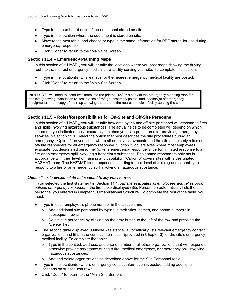- Type in the number of units of the equipment stored on site.
- Type in the location where the equipment is stored on site.
- Move to the next table, and choose or type in the same information for PPE stored for use during emergency response.
- Click "Done" to return to the "Main Site Screen."

#### **Section 11.4 – Emergency Planning Maps**

In this section of e-HASP<sub>2</sub>, you will identify the locations where you post maps showing the driving route to the nearest emergency medical care facility serving your site. To complete this section:

- Type in the location(s) where maps for the nearest emergency medical facility are posted.
- Click "Done" to return to the "Main Site Screen."

**NOTE:** You will need to insert two items into the printed HASP: a copy of the emergency planning map for the site (showing evacuation routes, places of refuge, assembly points, and location(s) of emergency equipment), and a copy of the map showing the route to the nearest medical facility serving the site.

#### **Section 11.5 – Roles/Responsibilities for On-Site and Off-Site Personnel**

In this section of e-HASP<sub>2</sub>, you will identify how employees and off-site personnel will respond to fires and spills involving hazardous substances. The actual fields to be completed will depend on which statement you indicated most accurately matched your site procedures for providing emergency services in Section 11.1. Select the option that best describes the site procedures during an emergency. "Option 1" covers sites where all employees evacuate and the site completely relies on off-site responders for all emergency response. "Option 2" covers sites where most employees evacuate, but designated personnel (on-site emergency responders) perform limited response to a fire or an emergency spill involving a hazardous substance. Designated responders only act in accordance with their level of training and capability. "Option 3" covers sites with a designated HAZMAT team. The HAZMAT team responds according to their level of training and capability to respond to a fire or an emergency spill involving a hazardous substance.

#### *Option 1 – site personnel do not respond to any emergencies*

If you selected the first statement in Section 11.1, *our site evacuates all employees and relies upon outside emergency responders*, the first table displayed (Site Personnel) automatically lists the site personnel you entered in Chapter 1, Organizational Structure. To complete the rest of the table, you must:

- Type in each employee's phone number in the last column.
	- Add additional site personnel by typing in their titles, names, and phone numbers in subsequent rows.
	- Delete site personnel by clicking on the gray button to the left of the row and pressing the "Delete" key.
- The second table displayed (Outside Assistance) automatically lists relevant emergency contact organizations and fills in the contact information (provided in Chapter 3) for the site's emergency medical facility. To complete the table:
	- Type in the contact, address, and phone number of all other organizations that will respond or otherwise provide assistance during a fire, medical emergency, or emergency spill involving hazardous substances.
	- Add and delete organizations as described above for the Site Personnel table.
- Type in the location(s) where emergency contact information is posted, adding additional locations on subsequent rows.
- Click "Done" to return to the "Main Site Screen."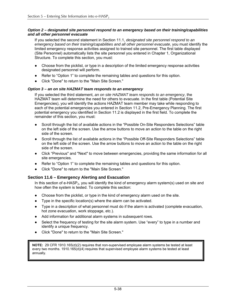#### *Option 2 – designated site personnel respond to an emergency based on their training/capabilities and all other personnel evacuate*

If you selected the second statement in Section 11.1, *designated site personnel respond to an emergency based on their training/capabilities and all other personnel evacuate*, you must identify the limited emergency response activities assigned to trained site personnel. The first table displayed (Site Personnel) automatically lists the site personnel you entered in Chapter 1, Organizational Structure. To complete this section, you must:

- Choose from the picklist, or type in a description of the limited emergency response activities designated personnel will perform.
- Refer to "Option 1" to complete the remaining tables and questions for this option.
- Click "Done" to return to the "Main Site Screen."

#### *Option 3 – an on site HAZMAT team responds to an emergency*

If you selected the third statement, *an on site HAZMAT team responds to an emergency*, the HAZMAT team will determine the need for others to evacuate. In the first table (Potential Site Emergencies), you will identify the actions HAZMAT team member may take while responding to each of the potential emergencies you entered in Section 11.2, Pre-Emergency Planning. The first potential emergency you identified in Section 11.2 is displayed in the first field. To complete the remainder of this section, you must:

- Scroll through the list of available actions in the "Possible On-Site Responders Selections" table on the left side of the screen. Use the arrow buttons to move an action to the table on the right side of the screen.
- Scroll through the list of available actions in the "Possible Off-Site Responders Selections" table on the left side of the screen. Use the arrow buttons to move an action to the table on the right side of the screen.
- Click "Previous" and "Next" to move between emergencies, providing the same information for all site emergencies.
- Refer to "Option 1" to complete the remaining tables and questions for this option.
- Click "Done" to return to the "Main Site Screen."

#### **Section 11.6 – Emergency Alerting and Evacuation**

In this section of e-HASP<sub>2</sub>, you will identify the kind of emergency alarm system(s) used on site and how often the system is tested. To complete this section:

- Choose from the picklist, or type in the kind of emergency alarm used on the site.
- Type in the specific location(s) where the alarm can be activated.
- Type in a description of what personnel must do if the alarm is activated (complete evacuation, hot zone evacuation, work stoppage, etc.).
- Add information for additional alarm systems in subsequent rows.
- Select the frequency of testing for the site alarm system. Use "every" to type in a number and identify a unique frequency.
- Click "Done" to return to the "Main Site Screen."

**NOTE:** 29 CFR 1910.165(d)(2) requires that non-supervised employee alarm systems be tested at least every two months. 1910.165(d)(4) requires that supervised employee alarm systems be tested at least annually.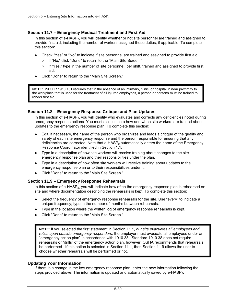#### **Section 11.7 – Emergency Medical Treatment and First Aid**

In this section of e-HASP<sub>2</sub>, you will identify whether or not site personnel are trained and assigned to provide first aid, including the number of workers assigned these duties, if applicable. To complete this section:

- Check "Yes" or "No" to indicate if site personnel are trained and assigned to provide first aid.
	- If "No," click "Done" to return to the "Main Site Screen."
	- If "Yes," type in the number of site personnel, per shift, trained and assigned to provide first aid.
- Click "Done" to return to the "Main Site Screen."

**NOTE:** 29 CFR 1910.151 requires that in the absence of an infirmary, clinic, or hospital in near proximity to the workplace that is used for the treatment of all injured employees, a person or persons must be trained to render first aid.

#### **Section 11.8 – Emergency Response Critique and Plan Updates**

In this section of e-HASP<sub>2</sub>, you will identify who evaluates and corrects any deficiencies noted during emergency response actions. You must also indicate how and when site workers are trained about updates to the emergency response plan. To complete this section:

- Edit, if necessary, the name of the person who organizes and leads a critique of the quality and safety of each site emergency response and the person responsible for ensuring that any deficiencies are corrected. Note that e-HASP<sub>2</sub> automatically enters the name of the Emergency Response Coordinator identified in Section 1.1.
- Type in a description of how site workers will receive training about changes to the site emergency response plan and their responsibilities under the plan.
- Type in a description of how often site workers will receive training about updates to the emergency response plan or to their responsibilities under it.
- Click "Done" to return to the "Main Site Screen."

#### **Section 11.9 – Emergency Response Rehearsals**

In this section of e-HASP<sub>2</sub>, you will indicate how often the emergency response plan is rehearsed on site and where documentation describing the rehearsals is kept. To complete this section:

- Select the frequency of emergency response rehearsals for the site. Use "every" to indicate a unique frequency; type in the number of months between rehearsals.
- Type in the location where the written log of emergency response rehearsals is kept.
- Click "Done" to return to the "Main Site Screen."

**NOTE:** If you selected the first statement in Section 11.1, *our site evacuates all employees and relies upon outside emergency responders,* the employer must evacuate all employees under an "emergency action plan" in accordance with 1910.38. Standard 1910.38 does not require rehearsals or "drills" of the emergency action plan, however, OSHA recommends that rehearsals be performed. If this option is selected in Section 11.1, then Section 11.9 allows the user to choose whether rehearsals will be performed or not.

#### **Updating Your Information**

If there is a change in the key emergency response plan, enter the new information following the steps provided above. The information is updated and automatically saved by e-HASP<sub>2</sub>.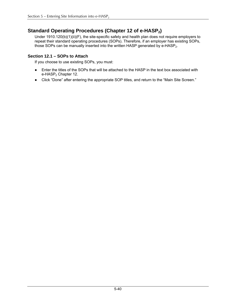# Standard Operating Procedures (Chapter 12 of e-HASP<sub>2</sub>)

Under 1910.120(b)(1)(ii)(F), the site-specific safety and health plan does not require employers to repeat their standard operating procedures (SOPs). Therefore, if an employer has existing SOPs, those SOPs can be manually inserted into the written HASP generated by e-HASP<sub>2</sub>.

#### **Section 12.1 – SOPs to Attach**

If you choose to use existing SOPs, you must:

- Enter the titles of the SOPs that will be attached to the HASP in the text box associated with e-HASP<sub>2</sub> Chapter 12.
- Click "Done" after entering the appropriate SOP titles, and return to the "Main Site Screen."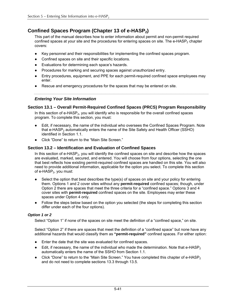## Confined Spaces Program (Chapter 13 of e-HASP<sub>2</sub>)

This part of the manual describes how to enter information about permit and non-permit required confined spaces at your site and the procedures for entering spaces on site. The  $e$ -HASP<sub>2</sub> chapter covers:

- Key personnel and their responsibilities for implementing the confined spaces program.
- Confined spaces on site and their specific locations.
- Evaluations for determining each space's hazards.
- Procedures for marking and securing spaces against unauthorized entry.
- Entry procedures, equipment, and PPE for each permit-required confined space employees may enter.
- Rescue and emergency procedures for the spaces that may be entered on site.

#### *Entering Your Site Information*

#### **Section 13.1 – Overall Permit-Required Confined Spaces (PRCS) Program Responsibility**

In this section of  $e$ -HASP $_2$ , you will identify who is responsible for the overall confined spaces program. To complete this section, you must:

- Edit, if necessary, the name of the individual who oversees the Confined Spaces Program. Note that e-HASP<sub>2</sub> automatically enters the name of the Site Safety and Health Officer (SSHO) identified in Section 1.1.
- Click "Done" to return to the "Main Site Screen."

#### **Section 13.2 – Identification and Evaluation of Confined Spaces**

In this section of  $e$ -HASP<sub>2</sub>, you will identify the confined spaces on site and describe how the spaces are evaluated, marked, secured, and entered. You will choose from four options, selecting the one that best reflects how existing permit-required confined spaces are handled on this site. You will also need to provide additional information, applicable for the option you select. To complete this section of e-HASP $_2$ , you must:

- Select the option that best describes the type(s) of spaces on site and your policy for entering them. Options 1 and 2 cover sites without any **permit-required** confined spaces; though, under Option 2 there are spaces that meet the three criteria for a "confined space." Options 3 and 4 cover sites with **permit-required** confined spaces on the site. Employees may enter these spaces under Option 4 only.
- Follow the steps below based on the option you selected (the steps for completing this section differ under each of the four options).

#### *Option 1 or 2*

Select "Option 1" if none of the spaces on site meet the definition of a "confined space," on site.

Select "Option 2" if there are spaces that meet the definition of a "confined space" but none have any additional hazards that would classify them as **"permit-required"** confined spaces. For either option:

- Enter the date that the site was evaluated for confined spaces.
- $\bullet$  Edit, if necessary, the name of the individual who made the determination. Note that e-HASP<sub>2</sub> automatically enters the name of the SSHO from Section 1.1.
- Click "Done" to return to the "Main Site Screen." You have completed this chapter of e-HASP<sub>2</sub> and do not need to complete sections 13.3 through 13.5.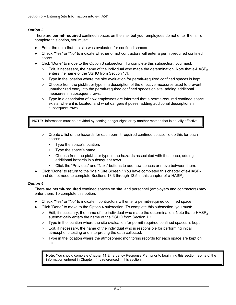#### *Option 3*

There are **permit-required** confined spaces on the site, but your employees do not enter them. To complete this option, you must:

- Enter the date that the site was evaluated for confined spaces.
- Check "Yes" or "No" to indicate whether or not contractors will enter a permit-required confined space.
- Click "Done" to move to the Option 3 subsection. To complete this subsection, you must:
	- $\circ$  Edit, if necessary, the name of the individual who made the determination. Note that e-HASP<sub>2</sub> enters the name of the SSHO from Section 1.1.
	- Type in the location where the site evaluation for permit–required confined spaces is kept.
	- Choose from the picklist or type in a description of the effective measures used to prevent unauthorized entry into the permit-required confined spaces on site, adding additional measures in subsequent rows.
	- Type in a description of how employees are informed that a permit-required confined space exists, where it is located, and what dangers it poses, adding additional descriptions in subsequent rows.

**NOTE:** Information must be provided by posting danger signs or by another method that is equally effective.

- Create a list of the hazards for each permit-required confined space. To do this for each space:
	- Type the space's location.
	- Type the space's name.
	- Choose from the picklist or type in the hazards associated with the space, adding additional hazards in subsequent rows.
	- Click the "Previous" and "Next" buttons to add new spaces or move between them.
- Click "Done" to return to the "Main Site Screen." You have completed this chapter of e-HASP<sub>2</sub> and do not need to complete Sections 13.3 through 13.5 in this chapter of e-HASP<sub>2</sub>.

#### *Option 4*

There are **permit-required** confined spaces on site, and personnel (employers and contractors) may enter them. To complete this option:

- Check "Yes" or "No" to indicate if contractors will enter a permit-required confined space.
- Click "Done" to move to the Option 4 subsection. To complete this subsection, you must:
	- $\circ$  Edit, if necessary, the name of the individual who made the determination. Note that e-HASP<sub>2</sub> automatically enters the name of the SSHO from Section 1.1.
	- Type in the location where the site evaluation for permit-required confined spaces is kept.
	- Edit, if necessary, the name of the individual who is responsible for performing initial atmospheric testing and interpreting the data collected.
	- Type in the location where the atmospheric monitoring records for each space are kept on site.

**Note:** You should complete Chapter 11 Emergency Response Plan prior to beginning this section. Some of the information entered in Chapter 11 is referenced in this section.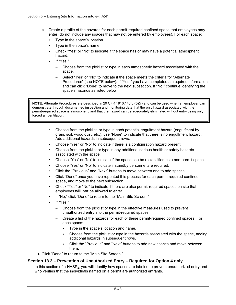- Create a profile of the hazards for each permit-required confined space that employees may enter (do not include any spaces that may not be entered by employees). For each space:
	- Type in the space's location.
	- Type in the space's name.
	- Check "Yes" or "No" to indicate if the space has or may have a potential atmospheric hazard.
	- If "Yes."
		- − Choose from the picklist or type in each atmospheric hazard associated with the space.
		- − Select "Yes" or "No" to indicate if the space meets the criteria for "Alternate Procedures" (see NOTE below). If "Yes," you have completed all required information and can click "Done" to move to the next subsection. If "No," continue identifying the space's hazards as listed below.

**NOTE:** Alternate Procedures are described in 29 CFR 1910.146(c)(5)(ii) and can be used when an employer can demonstrate through documented inspection and monitoring data that the only hazard associated with the permit-required space is atmospheric and that the hazard can be adequately eliminated without entry using only forced air ventilation.

- Choose from the picklist, or type in each potential engulfment hazard (engulfment by grain, soil, wood dust, etc.); use "None" to indicate that there is no engulfment hazard. Add additional hazards in subsequent rows.
- Choose "Yes" or "No" to indicate if there is a configuration hazard present.
- Choose from the picklist or type in any additional serious health or safety hazards associated with the space.
- Choose "Yes" or "No" to indicate if the space can be reclassified as a non-permit space.
- Choose "Yes" or "No" to indicate if standby personnel are required.
- Click the "Previous" and "Next" buttons to move between and to add spaces.
- Click "Done" once you have repeated this process for each permit-required confined space, and move to the next subsection.
- Check "Yes" or "No" to indicate if there are also permit-required spaces on site that employees **will not** be allowed to enter.
- If "No," click "Done" to return to the "Main Site Screen."
- If "Yes."
	- − Choose from the picklist or type in the effective measures used to prevent unauthorized entry into the permit-required spaces.
	- − Create a list of the hazards for each of these permit-required confined spaces. For each space:
		- Type in the space's location and name.
		- Choose from the picklist or type in the hazards associated with the space, adding additional hazards in subsequent rows.
		- Click the "Previous" and "Next" buttons to add new spaces and move between them.
- Click "Done" to return to the "Main Site Screen."

#### **Section 13.3 – Prevention of Unauthorized Entry – Required for Option 4 only**

In this section of e-HASP<sub>2</sub>, you will identify how spaces are labeled to prevent unauthorized entry and who verifies that the individuals named on a permit are authorized entrants.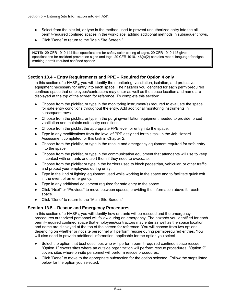- Select from the picklist, or type in the method used to prevent unauthorized entry into the all permit-required confined spaces in the workplace, adding additional methods in subsequent rows.
- Click "Done" to return to the "Main Site Screen."

**NOTE:** 29 CFR 1910.144 lists specifications for safety color-coding of signs. 29 CFR 1910.145 gives specifications for accident prevention signs and tags. 29 CFR 1910.146(c)(2) contains model language for signs marking permit-required confined spaces.

#### **Section 13.4 – Entry Requirements and PPE – Required for Option 4 only**

In this section of  $e$ -HASP<sub>2</sub>, you will identify the monitoring, ventilation, isolation, and protective equipment necessary for entry into each space. The hazards you identified for each permit-required confined space that employees/contractors may enter as well as the space location and name are displayed at the top of the screen for reference. To complete this section:

- Choose from the picklist, or type in the monitoring instrument(s) required to evaluate the space for safe entry conditions throughout the entry. Add additional monitoring instruments in subsequent rows.
- Choose from the picklist, or type in the purging/ventilation equipment needed to provide forced ventilation and maintain safe entry conditions.
- Choose from the picklist the appropriate PPE level for entry into the space.
- Type in any modifications from the level of PPE assigned for this task in the Job Hazard Assessment completed for this task in Chapter 2.
- Choose from the picklist, or type in the rescue and emergency equipment required for safe entry into the space.
- Choose from the picklist, or type in the communication equipment that attendants will use to keep in contact with entrants and alert them if they need to evacuate.
- Choose from the picklist or type in the barriers used to block pedestrian, vehicular, or other traffic and protect your employees during entry.
- Type in the kind of lighting equipment used while working in the space and to facilitate quick exit in the event of an emergency.
- Type in any additional equipment required for safe entry to the space.
- Click "Next" or "Previous" to move between spaces, providing the information above for each space.
- Click "Done" to return to the "Main Site Screen."

#### **Section 13.5 – Rescue and Emergency Procedures**

In this section of  $e$ -HASP<sub>2</sub>, you will identify how entrants will be rescued and the emergency procedures authorized personnel will follow during an emergency. The hazards you identified for each permit-required confined space that employees/contractors may enter as well as the space location and name are displayed at the top of the screen for reference. You will choose from two options, depending on whether or not site personnel will perform rescue during permit-required entries. You will also need to provide additional information, applicable for the option you select.

- Select the option that best describes who will perform permit-required confined space rescue. "Option 1" covers sites where an outside organization will perform rescue procedures. "Option 2" covers sites where on-site personnel will perform rescue procedures.
- Click "Done" to move to the appropriate subsection for the option selected. Follow the steps listed below for the option you selected.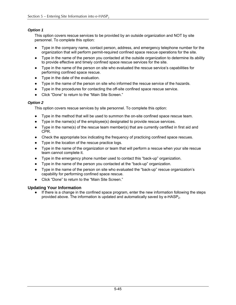#### *Option 1*

This option covers rescue services to be provided by an outside organization and NOT by site personnel. To complete this option:

- Type in the company name, contact person, address, and emergency telephone number for the organization that will perform permit-required confined space rescue operations for the site.
- Type in the name of the person you contacted at the outside organization to determine its ability to provide effective and timely confined space rescue services for the site.
- Type in the name of the person on site who evaluated the rescue service's capabilities for performing confined space rescue.
- Type in the date of the evaluation.
- Type in the name of the person on site who informed the rescue service of the hazards.
- Type in the procedures for contacting the off-site confined space rescue service.
- Click "Done" to return to the "Main Site Screen."

#### *Option 2*

This option covers rescue services by site personnel. To complete this option:

- Type in the method that will be used to summon the on-site confined space rescue team.
- Type in the name(s) of the employee(s) designated to provide rescue services.
- Type in the name(s) of the rescue team member(s) that are currently certified in first aid and CPR.
- Check the appropriate box indicating the frequency of practicing confined space rescues.
- Type in the location of the rescue practice logs.
- Type in the name of the organization or team that will perform a rescue when your site rescue team cannot complete it.
- Type in the emergency phone number used to contact this "back-up" organization.
- Type in the name of the person you contacted at the "back-up" organization.
- Type in the name of the person on site who evaluated the "back-up" rescue organization's capability for performing confined space rescue.
- Click "Done" to return to the "Main Site Screen."

#### **Updating Your Information**

If there is a change in the confined space program, enter the new information following the steps provided above. The information is updated and automatically saved by e-HASP<sub>2</sub>.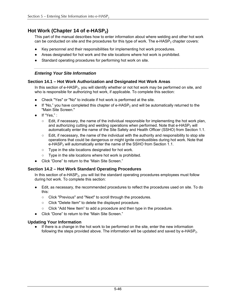### Hot Work (Chapter 14 of e-HASP<sub>2</sub>)

This part of the manual describes how to enter information about where welding and other hot work can be conducted on site and the procedures for this type of work. The e-HASP<sub>2</sub> chapter covers:

- Key personnel and their responsibilities for implementing hot work procedures.
- Areas designated for hot work and the site locations where hot work is prohibited.
- Standard operating procedures for performing hot work on site.

#### *Entering Your Site Information*

#### **Section 14.1 – Hot Work Authorization and Designated Hot Work Areas**

In this section of e-HASP<sub>2</sub>, you will identify whether or not hot work may be performed on site, and who is responsible for authorizing hot work, if applicable. To complete this section:

- Check "Yes" or "No" to indicate if hot work is performed at the site.
- $\bullet$  If "No," you have completed this chapter of e-HASP<sub>2</sub> and will be automatically returned to the "Main Site Screen."
- If "Yes," :
	- $\circ$  Edit, if necessary, the name of the individual responsible for implementing the hot work plan, and authorizing cutting and welding operations when performed. Note that  $e$ -HASP<sub>2</sub> will automatically enter the name of the Site Safety and Health Officer (SSHO) from Section 1.1.
	- $\circ$  Edit, if necessary, the name of the individual with the authority and responsibility to stop site operations that could be dangerous or might ignite combustibles during hot work. Note that e-HASP<sub>2</sub> will automatically enter the name of the SSHO from Section 1.1.
	- Type in the site locations designated for hot work.
	- Type in the site locations where hot work is prohibited.
- Click "Done" to return to the "Main Site Screen."

#### **Section 14.2 – Hot Work Standard Operating Procedures**

In this section of  $e$ -HASP<sub>2</sub>, you will list the standard operating procedures employees must follow during hot work. To complete this section:

- Edit, as necessary, the recommended procedures to reflect the procedures used on site. To do this:
	- Click "Previous" and "Next" to scroll through the procedures.
	- Click "Delete Item" to delete the displayed procedure.
	- Click "Add New Item" to add a procedure and then type in the procedure.
- Click "Done" to return to the "Main Site Screen."

#### **Updating Your Information**

If there is a change in the hot work to be performed on the site, enter the new information following the steps provided above. The information will be updated and saved by e-HASP<sub>2</sub>.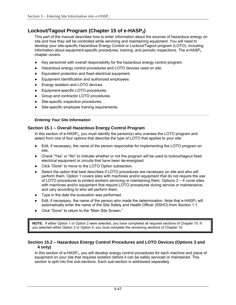# Lockout/Tagout Program (Chapter 15 of e-HASP<sub>2</sub>)

This part of the manual describes how to enter information about the sources of hazardous energy on site and how they will be controlled while servicing and maintaining equipment. You will need to develop your site-specific Hazardous Energy Control or Lockout/Tagout program (LOTO), including information about equipment-specific procedures, training, and periodic inspections. The e-HASP<sub>2</sub> chapter covers:

- Key personnel with overall responsibility for the hazardous energy control program.
- Hazardous energy control procedures and LOTO devices used on site.
- Equivalent protection and fixed electrical equipment.
- Equipment identification and authorized employees.
- Energy isolation and LOTO devices.
- Equipment-specific LOTO procedures.
- Group and contractor LOTO procedures.
- Site-specific inspection procedures.
- Site-specific employee training requirements.

#### *Entering Your Site Information*

#### **Section 15.1 – Overall Hazardous Energy Control Program**

In this section of e-HASP<sub>2</sub>, you must identify the person(s) who oversee the LOTO program and select from one of four options that describe the type of LOTO that applies to your site:

- Edit, if necessary, the name of the person responsible for implementing the LOTO program on site.
- Check "Yes" or "No" to indicate whether or not the program will be used to lockout/tagout fixed electrical equipment or circuits that have been de-energized.
- Click "Done" to move to the LOTO Option subsection.
- Select the option that best describes if LOTO procedures are necessary on site and who will perform them. Option 1 covers sites with machines and/or equipment that do not require the use of LOTO procedures to protect workers servicing or maintaining them. Options 2 – 4 cover sites with machines and/or equipment that require LOTO procedures during service or maintenance, and vary according to who will perform them.
- Type in the date the evaluation was performed.
- Edit, if necessary, the name of the person who made the determination. Note that e-HASP<sub>2</sub> will automatically enter the name of the Site Safety and Health Officer (SSHO) from Section 1.1.
- Click "Done" to return to the "Main Site Screen."

**NOTE:** If either Option 1 or Option 2 were selected, you have completed all required sections of Chapter 15. If you selected either Option 3 or Option 4, you must complete the remaining sections of Chapter 15.

#### **Section 15.2 – Hazardous Energy Control Procedures and LOTO Devices (Options 3 and 4 only)**

In this section of  $e$ -HASP<sub>2</sub>, you will develop energy control procedures for each machine and piece of equipment on your site that requires isolation before it can be safely serviced or maintained. This section is split into five sub-sections. Each sub-section is addressed separately.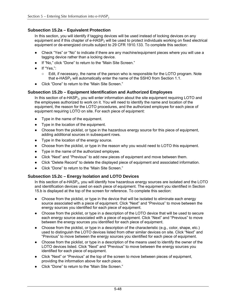#### **Subsection 15.2a – Equivalent Protection**

In this section, you will identify if tagging devices will be used instead of locking devices on any equipment and if this chapter of  $e$ -HASP<sub>2</sub> will be used to protect individuals working on fixed electrical equipment or de-energized circuits subject to 29 CFR 1910.133. To complete this section:

- Check "Yes" or "No" to indicate if there are any machine/equipment pieces where you will use a tagging device rather than a locking device.
- If "No," click "Done" to return to the "Main Site Screen."
- If "Yes.":
	- Edit, if necessary, the name of the person who is responsible for the LOTO program. Note that e-HASP<sub>2</sub> will automatically enter the name of the SSHO from Section 1.1.
- Click "Done" to return to the "Main Site Screen."

#### **Subsection 15.2b – Equipment Identification and Authorized Employees**

In this section of  $e$ -HASP<sub>2</sub>, you will enter information about the site equipment requiring LOTO and the employees authorized to work on it. You will need to identify the name and location of the equipment, the reason for the LOTO procedures, and the authorized employee for each piece of equipment requiring LOTO on site. For each piece of equipment:

- Type in the name of the equipment.
- Type in the location of the equipment.
- Choose from the picklist, or type in the hazardous energy source for this piece of equipment, adding additional sources in subsequent rows.
- Type in the location of the energy source.
- Choose from the picklist, or type in the reason why you would need to LOTO this equipment.
- Type in the name of the authorized employee.
- Click "Next" and "Previous" to add new pieces of equipment and move between them.
- Click "Delete Record" to delete the displayed piece of equipment and associated information.
- Click "Done" to return to the "Main Site Screen."

#### **Subsection 15.2c – Energy Isolation and LOTO Devices**

In this section of e-HASP<sub>2</sub>, you will identify how hazardous energy sources are isolated and the LOTO and identification devices used on each piece of equipment. The equipment you identified in Section 15.b is displayed at the top of the screen for reference. To complete this section:

- Choose from the picklist, or type in the device that will be isolated to eliminate each energy source associated with a piece of equipment. Click "Next" and "Previous" to move between the energy sources you identified for each piece of equipment.
- Choose from the picklist, or type in a description of the LOTO device that will be used to secure each energy source associated with a piece of equipment. Click "Next" and "Previous" to move between the energy sources you identified for each piece of equipment.
- Choose from the picklist, or type in a description of the characteristic (e.g., color, shape, etc.) used to distinguish the LOTO devices listed from other similar devices on site. Click "Next" and "Previous" to move between the energy sources you identified for each piece of equipment.
- Choose from the picklist, or type in a description of the means used to identify the owner of the LOTO devices listed. Click "Next" and "Previous" to move between the energy sources you identified for each piece of equipment.
- Click "Next" or "Previous" at the top of the screen to move between pieces of equipment, providing the information above for each piece.
- Click "Done" to return to the "Main Site Screen."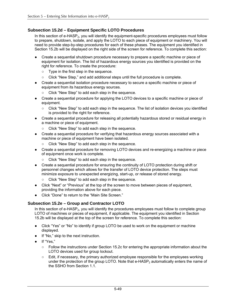#### **Subsection 15.2d – Equipment Specific LOTO Procedures**

In this section of e-HASP<sub>2</sub>, you will identify the equipment-specific procedures employees must follow to prepare, shutdown, isolate, and apply the LOTO to each piece of equipment or machinery. You will need to provide step-by-step procedures for each of these phases. The equipment you identified in Section 15.2b will be displayed on the right side of the screen for reference. To complete this section:

- Create a sequential shutdown procedure necessary to prepare a specific machine or piece of equipment for isolation. The list of hazardous energy sources you identified is provided on the right for reference. To create the procedure:
	- Type in the first step in the sequence.
	- Click "New Step," and add additional steps until the full procedure is complete.
- Create a sequential isolation procedure necessary to secure a specific machine or piece of equipment from its hazardous energy sources.
	- Click "New Step" to add each step in the sequence.
- Create a sequential procedure for applying the LOTO devices to a specific machine or piece of equipment.
	- Click "New Step" to add each step in the sequence. The list of isolation devices you identified is provided to the right for reference.
- Create a sequential procedure for releasing all potentially hazardous stored or residual energy in a machine or piece of equipment.
	- Click "New Step" to add each step in the sequence.
- Create a sequential procedure for verifying that hazardous energy sources associated with a machine or piece of equipment have been isolated.
	- Click "New Step" to add each step in the sequence.
- Create a sequential procedure for removing LOTO devices and re-energizing a machine or piece of equipment once work is complete.
	- Click "New Step" to add each step in the sequence.
- Create a sequential procedure for ensuring the continuity of LOTO protection during shift or personnel changes which allows for the transfer of LOTO device protection. The steps must minimize exposure to unexpected energizing, start-up, or release of stored energy.
	- Click "New Step" to add each step in the sequence.
- Click "Next" or "Previous" at the top of the screen to move between pieces of equipment, providing the information above for each piece.
- Click "Done" to return to the "Main Site Screen."

#### **Subsection 15.2e – Group and Contractor LOTO**

In this section of  $e$ -HASP<sub>2</sub>, you will identify the procedures employees must follow to complete group LOTO of machines or pieces of equipment, if applicable. The equipment you identified in Section 15.2b will be displayed at the top of the screen for reference. To complete this section:

- Click "Yes" or "No" to identify if group LOTO be used to work on the equipment or machine displayed.
- If "No," skip to the next instruction.
- If "Yes,"
	- Follow the instructions under Section 15.2c for entering the appropriate information about the LOTO devices used for group lockout.
	- Edit, if necessary, the primary authorized employee responsible for the employees working under the protection of the group LOTO. Note that e-HASP<sub>2</sub> automatically enters the name of the SSHO from Section 1.1.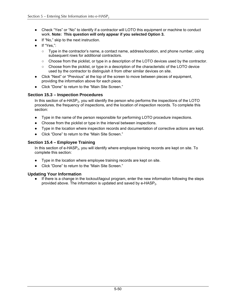- Check "Yes" or "No" to identify if a contractor will LOTO this equipment or machine to conduct work. **Note: This question will only appear if you selected Option 3.**
- If "No," skip to the next instruction.
- If "Yes.":
	- Type in the contractor's name, a contact name, address/location, and phone number, using subsequent rows for additional contractors.
	- Choose from the picklist, or type in a description of the LOTO devices used by the contractor.
	- Choose from the picklist, or type in a description of the characteristic of the LOTO device used by the contractor to distinguish it from other similar devices on site.
- Click "Next" or "Previous" at the top of the screen to move between pieces of equipment, providing the information above for each piece.
- Click "Done" to return to the "Main Site Screen."

#### **Section 15.3 – Inspection Procedures**

In this section of e-HASP<sub>2</sub>, you will identify the person who performs the inspections of the LOTO procedures, the frequency of inspections, and the location of inspection records. To complete this section:

- Type in the name of the person responsible for performing LOTO procedure inspections.
- Choose from the picklist or type in the interval between inspections.
- Type in the location where inspection records and documentation of corrective actions are kept.
- Click "Done" to return to the "Main Site Screen."

#### **Section 15.4 – Employee Training**

In this section of  $e$ -HASP<sub>2</sub>, you will identify where employee training records are kept on site. To complete this section:

- Type in the location where employee training records are kept on site.
- Click "Done" to return to the "Main Site Screen."

#### **Updating Your Information**

● If there is a change in the lockout/tagout program, enter the new information following the steps provided above. The information is updated and saved by e-HASP<sub>2</sub>.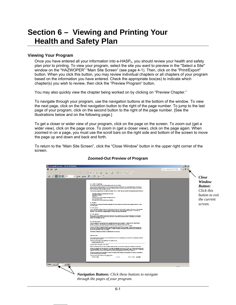# **Section 6 – Viewing and Printing Your Health and Safety Plan**

#### **Viewing Your Program**

Once you have entered all your information into e-HASP<sub>2</sub>, you should review your health and safety plan prior to printing. To view your program, select the site you want to preview in the "Select a Site" window on the "HAZWOPER" "Main Site Screen" (see page 4-1). Then, click on the "Print/Export" button. When you click this button, you may review individual chapters or all chapters of your program based on the information you have entered. Check the appropriate box(es) to indicate which chapter(s) you wish to review, then click the "Preview Program" button.

You may also quickly view the chapter being worked on by clicking on "Preview Chapter."

To navigate through your program, use the navigation buttons at the bottom of the window. To view the next page, click on the first navigation button to the right of the page number. To jump to the last page of your program, click on the second button to the right of the page number. [See the illustrations below and on the following page.]

To get a closer or wider view of your program, click on the page on the screen. To zoom out (get a wider view), click on the page once. To zoom in (get a closer view), click on the page again. When zoomed in on a page, you must use the scroll bars on the right side and bottom of the screen to move the page up and down and back and forth.

To return to the "Main Site Screen", click the "Close Window" button in the upper right corner of the screen.

| Microsoft Access - [SITE CONTROL]                                                                                                                                                                                                                                                                                                                                                                                                                                                                                                                                                                                                                                                                                                                                                                                                                                                                                                                                                                                                                                                                                                                                                                                                                                                                                                                                                                                                                                                                                                                                                                                                                                                                                                                                                                                                                                                                                                                                                                                                                                                                                                                                                                                                                                                                                                                                                                                                                                                                                                                                                                                                                                                                                                                                                                                                                                                                                                                                                                                                                                                                                                                                                                                                                                                                                                                                                                                                                                                                                                                                                                                            | $-10x$                                                                                                           |
|------------------------------------------------------------------------------------------------------------------------------------------------------------------------------------------------------------------------------------------------------------------------------------------------------------------------------------------------------------------------------------------------------------------------------------------------------------------------------------------------------------------------------------------------------------------------------------------------------------------------------------------------------------------------------------------------------------------------------------------------------------------------------------------------------------------------------------------------------------------------------------------------------------------------------------------------------------------------------------------------------------------------------------------------------------------------------------------------------------------------------------------------------------------------------------------------------------------------------------------------------------------------------------------------------------------------------------------------------------------------------------------------------------------------------------------------------------------------------------------------------------------------------------------------------------------------------------------------------------------------------------------------------------------------------------------------------------------------------------------------------------------------------------------------------------------------------------------------------------------------------------------------------------------------------------------------------------------------------------------------------------------------------------------------------------------------------------------------------------------------------------------------------------------------------------------------------------------------------------------------------------------------------------------------------------------------------------------------------------------------------------------------------------------------------------------------------------------------------------------------------------------------------------------------------------------------------------------------------------------------------------------------------------------------------------------------------------------------------------------------------------------------------------------------------------------------------------------------------------------------------------------------------------------------------------------------------------------------------------------------------------------------------------------------------------------------------------------------------------------------------------------------------------------------------------------------------------------------------------------------------------------------------------------------------------------------------------------------------------------------------------------------------------------------------------------------------------------------------------------------------------------------------------------------------------------------------------------------------------------------------|------------------------------------------------------------------------------------------------------------------|
| <b>B</b> File Edit                                                                                                                                                                                                                                                                                                                                                                                                                                                                                                                                                                                                                                                                                                                                                                                                                                                                                                                                                                                                                                                                                                                                                                                                                                                                                                                                                                                                                                                                                                                                                                                                                                                                                                                                                                                                                                                                                                                                                                                                                                                                                                                                                                                                                                                                                                                                                                                                                                                                                                                                                                                                                                                                                                                                                                                                                                                                                                                                                                                                                                                                                                                                                                                                                                                                                                                                                                                                                                                                                                                                                                                                           | $   \rightarrow$<br>Type a question for help                                                                     |
| $\mathbf{B} \quad I \quad \underline{\mathbf{U}} \quad \underline{\mathbf{0}} \cdot \underline{\mathbf{A}} \cdot \underline{\mathbf{A}} \cdot \underline{\mathbf{U}} \cdot \underline{\mathbf{H}} \cdot \underline{\mathbf{I}} \cdot \underline{\mathbf{I}} \cdot \underline{\mathbf{I}} \quad .$                                                                                                                                                                                                                                                                                                                                                                                                                                                                                                                                                                                                                                                                                                                                                                                                                                                                                                                                                                                                                                                                                                                                                                                                                                                                                                                                                                                                                                                                                                                                                                                                                                                                                                                                                                                                                                                                                                                                                                                                                                                                                                                                                                                                                                                                                                                                                                                                                                                                                                                                                                                                                                                                                                                                                                                                                                                                                                                                                                                                                                                                                                                                                                                                                                                                                                                            |                                                                                                                  |
| $\overline{\phantom{a}}$ Close Setup $\overline{\phantom{a}}$ $\overline{\phantom{a}}$ $\overline{\phantom{a}}$ $\overline{\phantom{a}}$ $\overline{\phantom{a}}$ $\overline{\phantom{a}}$ $\overline{\phantom{a}}$ $\overline{\phantom{a}}$ $\overline{\phantom{a}}$ $\overline{\phantom{a}}$ $\overline{\phantom{a}}$ $\overline{\phantom{a}}$ $\overline{\phantom{a}}$ $\overline{\phantom{a}}$ $\overline{\phantom{a}}$ $\overline{\phantom{a}}$ $\overline{\$<br>88<br>$\bigoplus$ $\bigcirc$ $\bigcirc$<br>Fit                                                                                                                                                                                                                                                                                                                                                                                                                                                                                                                                                                                                                                                                                                                                                                                                                                                                                                                                                                                                                                                                                                                                                                                                                                                                                                                                                                                                                                                                                                                                                                                                                                                                                                                                                                                                                                                                                                                                                                                                                                                                                                                                                                                                                                                                                                                                                                                                                                                                                                                                                                                                                                                                                                                                                                                                                                                                                                                                                                                                                                                                                                         | <b>Close</b>                                                                                                     |
| 3.0 SITE CONTROL<br>(h complement in 29 C FR 1910.12000(400(F) and 29 C FR 1910.12000)<br>This sith control program is designed to reduce the spread orihanantous substances from conteminated areas to dean areas, b<br>tionity and lookie conteminated areas of the site, to dedilate emergency execution and medical care, to gregoritmed increase<br>enty to he site, and todeler usualtern and he's.<br>The site control program includes the elements specified in 290 FR 1913.12020) and proubles the following site-specific information:<br>* a site map, indicating site perime to and work zones<br>* site access procedures<br>* descarty<br>1 site work zones including standard querating procedures<br>* use of the buddy system.<br>* both internal (on-site) and external communications<br>2.1 Blb Map<br>Amap of his site, showing site boundaries, designated work zones, and points of entry and exilis provided in Figure 3-1, all he<br>and of his chapter.<br>2.2 Bis connect<br>Access to his site is restricted to reduce the potential for exposure to its seekly and heat in hasands. During hours of site operation,<br>sit anly and colle authorized oriyal he point(s) benifed in Figure 3-1. Bhiy and collat here points is contributiby he<br>following: When he site is not operating, access to he site is controlled by the following:<br>2.2 Bib Boourity<br>Security all his site is maintained during both working hours and non-working hours is present unauthorized entry; removal of<br>contembered material from the exclusion sone; exposure of unsuborbed unprotected people to site hexands; and increased<br>has add due to sended on and then).<br>2.4 Bib Wark Cones<br>This site is dialized into three (3) meter cores, described below and shown in Figure 3-1. These cones are characterized by<br>presence or absence of bid color and chemical hazards and the actuales performed within them.<br>Zone boundaries are deally marked at all lines and the tow origensomel among the zones is controlled<br>The site is mortioned for changing conditions that may warrantastics from it code boundaries. Zone boundaries are adjusted<br>as recessary loprotecipersonnel and dean areas. Whenever boundaries are adjusted, zone markings are also changed and<br>workers are inmediately notfed of the change.<br>The following criteriowere considered investablishing the site work corest.<br>Esglu don Con e<br>Personnel and equipment will enter and est the Exclusion Zore trom the designated access points in the Contemination Reduction<br>Zone (C RZ), shown in Flavre 3-1.<br>Personnel in the Exclusion Zone will address to the dillowing SO Ps:<br>Extrator Zore Eve Softs<br>Contamination Reduction Cone (CRC)<br>Based on monitoring results, the CRZ boundaries may be adjusted to ensure that he Support Zone remains unconteminated.<br>Workers and equipmentexit the Biotuston Zione through the destgrasted appear points) in bithe CRZ. Workers and equipmentage<br>then deconteminated in the 0 RZ, according to the procedures spectral in the Decontemination section of his HASP<br>equipment henext the CRZ into he Support Zone though the designated access points, shown in Figure 3-1.<br>lineateary, energency decontraintation procedures are implemented. Energency decontraintation procedures are described in<br>Incidibis energency response program.<br>Personnel in the CRZ will achieve to the following SO Pst.<br>Warrant West Concerns from the<br>311,000<br>Univertitionen DeDeckDe<br>Page: II<br>$1 \rightarrow 1$ | Window<br><b>Button:</b><br>Click this<br><i>button to exit</i><br><i>the current</i><br>screen.<br>$1.11 - 1.1$ |
|                                                                                                                                                                                                                                                                                                                                                                                                                                                                                                                                                                                                                                                                                                                                                                                                                                                                                                                                                                                                                                                                                                                                                                                                                                                                                                                                                                                                                                                                                                                                                                                                                                                                                                                                                                                                                                                                                                                                                                                                                                                                                                                                                                                                                                                                                                                                                                                                                                                                                                                                                                                                                                                                                                                                                                                                                                                                                                                                                                                                                                                                                                                                                                                                                                                                                                                                                                                                                                                                                                                                                                                                                              |                                                                                                                  |
| <b>Navigation Buttons:</b> Click these buttons to navigate                                                                                                                                                                                                                                                                                                                                                                                                                                                                                                                                                                                                                                                                                                                                                                                                                                                                                                                                                                                                                                                                                                                                                                                                                                                                                                                                                                                                                                                                                                                                                                                                                                                                                                                                                                                                                                                                                                                                                                                                                                                                                                                                                                                                                                                                                                                                                                                                                                                                                                                                                                                                                                                                                                                                                                                                                                                                                                                                                                                                                                                                                                                                                                                                                                                                                                                                                                                                                                                                                                                                                                   |                                                                                                                  |

#### **Zoomed-Out Preview of Program**

*Navigation Buttons: Click these buttons to navigate through the pages of your program.*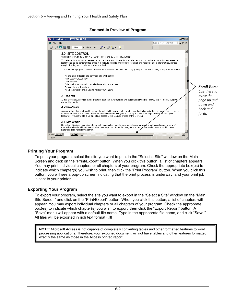#### **Zoomed-in Preview of Program**



#### **Printing Your Program**

To print your program, select the site you want to print in the "Select a Site" window on the Main Screen and click on the "Print/Export" button. When you click this button, a list of chapters appears. You may print individual chapters or all chapters of your program. Check the appropriate box(es) to indicate which chapter(s) you wish to print, then click the "Print Program" button. When you click this button, you will see a pop-up screen indicating that the print process is underway, and your print job is sent to your printer.

#### **Exporting Your Program**

To export your program, select the site you want to export in the "Select a Site" window on the "Main Site Screen" and click on the "Print/Export" button. When you click this button, a list of chapters will appear. You may export individual chapters or all chapters of your program. Check the approprate box(es) to indicate which chapter(s) you wish to export, then click the "Export Report" button. A "Save" menu will appear with a default file name. Type in the apprioprate file name, and click "Save." All files will be exported in rich text format (.rtf).

**NOTE:** Microsoft Access is not capable of completely converting tables and other formatted features to word processing applications. Therefore, your exported document will not have tables and other features formatted exactly the same as those in the Access printed report.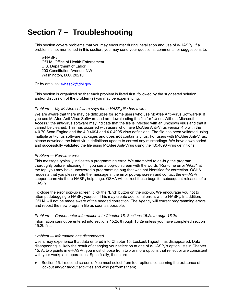# **Section 7 – Troubleshooting**

This section covers problems that you may encounter during installation and use of e-HASP<sub>2</sub>. If a problem is not mentioned in this section, you may send your questions, comments, or suggestions to:

e-HAS $P_2$  OSHA, Office of Health Enforcement U.S. Department of Labor 200 Constitution Avenue, NW Washington, D.C. 20210

Or by email to: [e-hasp2@dol.gov](mailto:e-hasp2@dol.gov)

This section is organized so that each problem is listed first, followed by the suggested solution and/or discussion of the problem(s) you may be experiencing.

#### *Problem — My McAfee software says the e-HASP2 file has a virus*

We are aware that there may be difficulties for some users who use McAfee Anti-Virus Software®. If you use McAfee Anti-Virus Software and are downloading the file for "Users Without Microsoft Access," the anti-virus software may indicate that the file is infected with an unknown virus and that it cannot be cleaned. This has occurred with users who have McAfee Anti-Virus version 4.5 with the 4.0.70 Scan Engine and the 4.0.4094 and 4.0.4095 virus definitions. The file has been validated using multiple anti-virus software packages and does **not** contain a virus. For users with McAfee Anti-Virus, please download the latest virus definitions update to correct any misreadings. We have downloaded and successfully validated the file using McAfee Anti-Virus using the 4.0.4096 virus definitions.

#### *Problem — Run-time error*

This message typically indicates a programming error. We attempted to de-bug the program thoroughly before releasing it. If you see a pop-up screen with the words "Run-time error '####"" at the top, you may have uncovered a programming bug that was not identified for correction. OSHA requests that you please note the message in the error pop-up screen and contact the e-HASP<sub>2</sub> support team via the e-HASP<sub>2</sub> help page. OSHA will correct these bugs for subsequent releases of e- $HASP<sub>2</sub>$ .

To close the error pop-up screen, click the "End" button on the pop-up. We encourage you not to attempt debugging e-HASP<sub>2</sub> yourself. This may create additional errors with e-HASP<sub>2</sub>. In addition, OSHA will not be made aware of the needed correction. The Agency will correct programming errors and repost the new program file as soon as possible.

#### *Problem — Cannot enter information into Chapter 15, Sections 15.2c through 15.2e*

Information cannot be entered into sections 15.2c through 15.2e unless you have completed section 15.2b first.

#### *Problem — Information has disappeared*

Users may experience that data entered into Chapter 15, Lockout/Tagout, has disappeared. Data disappearing is likely the result of changing your selection at one of e-HASP<sub>2</sub>'s option lists in Chapter 15. At two points in e-HASP<sub>2</sub>, you must choose from two or more options that reflect or are consistent with your workplace operations. Specifically, these are:

• Section 15.1 (second screen): You must select from four options concerning the existence of lockout and/or tagout activities and who performs them;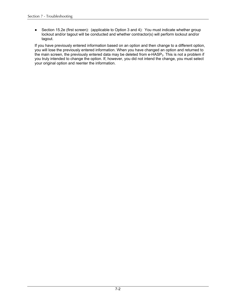● Section 15.2e (first screen): (applicable to Option 3 and 4): You must indicate whether group lockout and/or tagout will be conducted and whether contractor(s) will perform lockout and/or tagout.

If you have previously entered information based on an option and then change to a different option, you will lose the previously entered information. When you have changed an option and returned to the main screen, the previously entered data may be deleted from  $e$ -HASP<sub>2</sub>. This is not a problem if you truly intended to change the option. If, however, you did not intend the change, you must select your original option and reenter the information.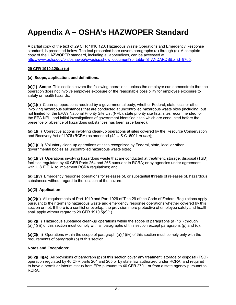# **Appendix A – OSHA's HAZWOPER Standard**

A partial copy of the text of 29 CFR 1910.120, Hazardous Waste Operations and Emergency Response standard, is presented below. The text presented here covers paragraphs (a) through (o). A complete copy of the HAZWOPER standard, including all appendices, can be accessed at [http://www.osha.gov/pls/oshaweb/owadisp.show\\_document?p\\_table=STANDARDS&p\\_id=9765.](http://www.osha.gov/pls/oshaweb/owadisp.show_document?p_table=STANDARDS&p_id=9765)

#### **29 CFR 1910.120(a)-(o)**

#### **(a) Scope, application, and definitions.**

**(a)(1) Scope**. This section covers the following operations, unless the employer can demonstrate that the operation does not involve employee exposure or the reasonable possibility for employee exposure to safety or health hazards:

**(a)(1)(i)** Clean-up operations required by a governmental body, whether Federal, state local or other involving hazardous substances that are conducted at uncontrolled hazardous waste sites (including, but not limited to, the EPA's National Priority Site List (NPL), state priority site lists, sites recommended for the EPA NPL, and initial investigations of government identified sites which are conducted before the presence or absence of hazardous substances has been ascertained);

**(a)(1)(ii)** Corrective actions involving clean-up operations at sites covered by the Resource Conservation and Recovery Act of 1976 (RCRA) as amended (42 U.S.C. 6901 *et seq*);

**(a)(1)(iii)** Voluntary clean-up operations at sites recognized by Federal, state, local or other governmental bodies as uncontrolled hazardous waste sites;

**(a)(1)(iv)** Operations involving hazardous waste that are conducted at treatment, storage, disposal (TSD) facilities regulated by 40 CFR Parts 264 and 265 pursuant to RCRA; or by agencies under agreement with U.S.E.P.A. to implement RCRA regulations; and

**(a)(1)(v)** Emergency response operations for releases of, or substantial threats of releases of, hazardous substances without regard to the location of the hazard.

#### **(a)(2) Application**.

**(a)(2)(i)** All requirements of Part 1910 and Part 1926 of Title 29 of the Code of Federal Regulations apply pursuant to their terms to hazardous waste and emergency response operations whether covered by this section or not. If there is a conflict or overlap, the provision more protective of employee safety and health shall apply without regard to 29 CFR 1910.5(c)(1).

**(a)(2)(ii)** Hazardous substance clean-up operations within the scope of paragraphs (a)(1)(i) through (a)(1)(iii) of this section must comply with all paragraphs of this section except paragraphs (p) and (q).

**(a)(2)(iii)** Operations within the scope of paragraph (a)(1)(iv) of this section must comply only with the requirements of paragraph (p) of this section.

#### **Notes and Exceptions***:*

**(a)(2)(iii)(A)** All provisions of paragraph (p) of this section cover any treatment, storage or disposal (TSD) operation regulated by 40 CFR parts 264 and 265 or by state law authorized under RCRA, and required to have a permit or interim status from EPA pursuant to 40 CFR 270.1 or from a state agency pursuant to RCRA.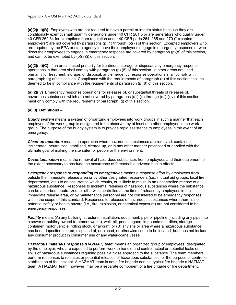**(a)(2)(iii)(B)** Employers who are not required to have a permit or interim status because they are conditionally exempt small quantity generators under 40 CFR 261.5 or are generators who qualify under 40 CFR 262.34 for exemptions from regulation under 40 CFR parts 264, 265 and 270 ("excepted employers") are not covered by paragraphs  $(p)(1)$  through  $(p)(7)$  of this section. Excepted employers who are required by the EPA or state agency to have their employees engage in emergency response or who direct their employees to engage in emergency response are covered by paragraph (p)(8) of this section, and cannot be exempted by (p)(8)(i) of this section.

**(a)(2)(iii)(C)** If an area is used primarily for treatment, storage or disposal, any emergency response operations in that area shall comply with paragraph (p) (8) of this section. In other areas not used primarily for treatment, storage, or disposal, any emergency response operations shall comply with paragraph (q) of this section. Compliance with the requirements of paragraph (q) of this section shall be deemed to be in compliance with the requirements of paragraph (p)(8) of this section.

**(a)(2)(iv)** Emergency response operations for releases of, or substantial threats of releases of, hazardous substances which are not covered by paragraphs  $(a)(1)(i)$  through  $(a)(1)(iv)$  of this section must only comply with the requirements of paragraph (q) of this section.

# **(a)(3) Definitions** –

*Buddy system* means a system of organizing employees into work groups in such a manner that each employee of the work group is designated to be observed by at least one other employee in the work group. The purpose of the buddy system is to provide rapid assistance to employees in the event of an emergency.

*Clean-up operation* means an operation where hazardous substances are removed, contained, incinerated, neutralized, stabilized, cleared-up, or in any other manner processed or handled with the ultimate goal of making the site safer for people or the environment.

**Decontamination** means the removal of hazardous substances from employees and their equipment to the extent necessary to preclude the occurrence of foreseeable adverse health effects.

*Emergency response* or *responding to emergencies* means a response effort by employees from outside the immediate release area or by other designated responders (i.e., mutual aid groups, local fire departments, etc.) to an occurrence which results, or is likely to result, in an uncontrolled release of a hazardous substance. Responses to incidental releases of hazardous substances where the substance can be absorbed, neutralized, or otherwise controlled at the time of release by employees in the immediate release area, or by maintenance personnel are not considered to be emergency responses within the scope of this standard. Responses to releases of hazardous substances where there is no potential safety or health hazard (i.e., fire, explosion, or chemical exposure) are not considered to be emergency responses.

*Facility* means (A) any building, structure, installation, equipment, pipe or pipeline (including any pipe into a sewer or publicly owned treatment works), well, pit, pond, lagoon, impoundment, ditch, storage container, motor vehicle, rolling stock, or aircraft, or (B) any site or area where a hazardous substance has been deposited, stored, disposed of, or placed, or otherwise come to be located; but does not include any consumer product in consumer use or any water-borne vessel.

*Hazardous materials response (HAZMAT) team* means an organized group of employees, designated by the employer, who are expected to perform work to handle and control actual or potential leaks or spills of hazardous substances requiring possible close approach to the substance. The team members perform responses to releases or potential releases of hazardous substances for the purpose of control or stabilization of the incident. A HAZMAT team is not a fire brigade nor is a typical fire brigade a HAZMAT team. A HAZMAT team, however, may be a separate component of a fire brigade or fire department.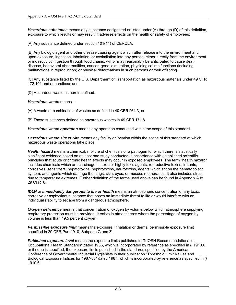*Hazardous substance* means any substance designated or listed under (A) through (D) of this definition, exposure to which results or may result in adverse effects on the health or safety of employees:

[A] Any substance defined under section 101(14) of CERCLA;

[B] Any biologic agent and other disease causing agent which after release into the environment and upon exposure, ingestion, inhalation, or assimilation into any person, either directly from the environment or indirectly by ingestion through food chains, will or may reasonably be anticipated to cause death, disease, behavioral abnormalities, cancer, genetic mutation, physiological malfunctions (including malfunctions in reproduction) or physical deformations in such persons or their offspring.

[C] Any substance listed by the U.S. Department of Transportation as hazardous materials under 49 CFR 172.101 and appendices; and

[D] Hazardous waste as herein defined.

## *Hazardous waste* means –

[A] A waste or combination of wastes as defined in 40 CFR 261.3, or

[B] Those substances defined as hazardous wastes in 49 CFR 171.8.

*Hazardous waste operation* means any operation conducted within the scope of this standard.

*Hazardous waste site* or *Site* means any facility or location within the scope of this standard at which hazardous waste operations take place.

*Health hazard* means a chemical, mixture of chemicals or a pathogen for which there is statistically significant evidence based on at least one study conducted in accordance with established scientific principles that acute or chronic health effects may occur in exposed employees. The term "health hazard" includes chemicals which are carcinogens, toxic or highly toxic agents, reproductive toxins, irritants, corrosives, sensitizers, hepatotoxins, nephrotoxins, neurotoxins, agents which act on the hematopoietic system, and agents which damage the lungs, skin, eyes, or mucous membranes. It also includes stress due to temperature extremes. Further definition of the terms used above can be found in Appendix A to 29 CFR 0.

*IDLH* or *Immediately dangerous to life or health* means an atmospheric concentration of any toxic, corrosive or asphyxiant substance that poses an immediate threat to life or would interfere with an individual's ability to escape from a dangerous atmosphere.

*Oxygen deficiency* means that concentration of oxygen by volume below which atmosphere supplying respiratory protection must be provided. It exists in atmospheres where the percentage of oxygen by volume is less than 19.5 percent oxygen.

*Permissible exposure limit* means the exposure, inhalation or dermal permissible exposure limit specified in 29 CFR Part 1910, Subparts G and Z.

*Published exposure level* means the exposure limits published in "NIOSH Recommendations for Occupational Health Standards" dated 1986, which is incorporated by reference as specified in § 1910.6, or if none is specified, the exposure limits published in the standards specified by the American Conference of Governmental Industrial Hygienists in their publication "Threshold Limit Values and Biological Exposure Indices for 1987-88" dated 1987, which is incorporated by reference as specified in § 1910.6.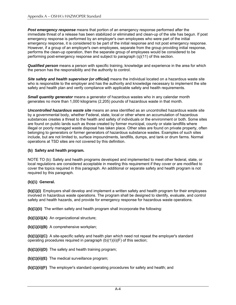*Post emergency response* means that portion of an emergency response performed after the immediate threat of a release has been stabilized or eliminated and clean-up of the site has begun. If post emergency response is performed by an employer's own employees who were part of the initial emergency response, it is considered to be part of the initial response and not post emergency response. However, if a group of an employer's own employees, separate from the group providing initial response, performs the clean-up operation, then the separate group of employees would be considered to be performing post-emergency response and subject to paragraph (q)(11) of this section.

*Qualified person* means a person with specific training, knowledge and experience in the area for which the person has the responsibility and the authority to control.

*Site safety and health supervisor (or official)* means the individual located on a hazardous waste site who is responsible to the employer and has the authority and knowledge necessary to implement the site safety and health plan and verify compliance with applicable safety and health requirements.

*Small quantity generator* means a generator of hazardous wastes who in any calendar month generates no more than 1,000 kilograms (2,205) pounds of hazardous waste in that month.

*Uncontrolled hazardous waste site* means an area identified as an uncontrolled hazardous waste site by a governmental body, whether Federal, state, local or other where an accumulation of hazardous substances creates a threat to the health and safety of individuals or the environment or both. Some sites are found on public lands such as those created by former municipal, county or state landfills where illegal or poorly managed waste disposal has taken place. Other sites are found on private property, often belonging to generators or former generators of hazardous substance wastes. Examples of such sites include, but are not limited to, surface impoundments, landfills, dumps, and tank or drum farms. Normal operations at TSD sites are not covered by this definition.

## **(b) Safety and health program***.*

NOTE TO (b): Safety and health programs developed and implemented to meet other federal, state, or local regulations are considered acceptable in meeting this requirement if they cover or are modified to cover the topics required in this paragraph. An additional or separate safety and health program is not required by this paragraph.

## **(b)(1) General.**

**(b)(1)(i)** Employers shall develop and implement a written safety and health program for their employees involved in hazardous waste operations. The program shall be designed to identify, evaluate, and control safety and health hazards, and provide for emergency response for hazardous waste operations.

**(b)(1)(ii)** The written safety and health program shall incorporate the following:

**(b)(1)(ii)(A)** An organizational structure;

**(b)(1)(ii)(B)** A comprehensive workplan;

**(b)(1)(ii)(C)** A site-specific safety and health plan which need not repeat the employer's standard operating procedures required in paragraph  $(b)(1)(ii)(F)$  of this section;

**(b)(1)(ii)(D)** The safety and health training program;

**(b)(1)(ii)(E)** The medical surveillance program;

**(b)(1)(ii)(F)** The employer's standard operating procedures for safety and health; and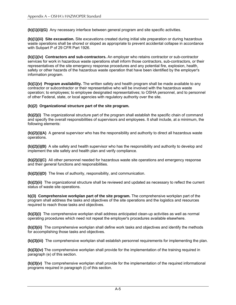**(b)(1)(ii)(G)** Any necessary interface between general program and site specific activities.

**(b)(1)(iii) Site excavation***.* Site excavations created during initial site preparation or during hazardous waste operations shall be shored or sloped as appropriate to prevent accidental collapse in accordance with Subpart P of 29 CFR Part 1926.

**(b)(1)(iv) Contractors and sub-contractors.** An employer who retains contractor or sub-contractor services for work in hazardous waste operations shall inform those contractors, sub-contractors, or their representatives of the site emergency response procedures and any potential fire, explosion, health, safety or other hazards of the hazardous waste operation that have been identified by the employer's information program.

**(b)(1)(v) Program availability***.* The written safety and health program shall be made available to any contractor or subcontractor or their representative who will be involved with the hazardous waste operation; to employees; to employee designated representatives; to OSHA personnel, and to personnel of other Federal, state, or local agencies with regulatory authority over the site.

## **(b)(2) Organizational structure part of the site program***.*

**(b)(2)(i)** The organizational structure part of the program shall establish the specific chain of command and specify the overall responsibilities of supervisors and employees. It shall include, at a minimum, the following elements:

**(b)(2)(i)(A)** A general supervisor who has the responsibility and authority to direct all hazardous waste operations.

**(b)(2)(i)(B)** A site safety and health supervisor who has the responsibility and authority to develop and implement the site safety and health plan and verify compliance.

**(b)(2)(i)(C)** All other personnel needed for hazardous waste site operations and emergency response and their general functions and responsibilities.

**(b)(2)(i)(D)** The lines of authority, responsibility, and communication.

**(b)(2)(ii)** The organizational structure shall be reviewed and updated as necessary to reflect the current status of waste site operations.

**b)(3) Comprehensive workplan part of the site program***.* The comprehensive workplan part of the program shall address the tasks and objectives of the site operations and the logistics and resources required to reach those tasks and objectives.

**(b)(3)(i)** The comprehensive workplan shall address anticipated clean-up activities as well as normal operating procedures which need not repeat the employer's procedures available elsewhere.

**(b)(3)(ii)** The comprehensive workplan shall define work tasks and objectives and identify the methods for accomplishing those tasks and objectives.

**(b)(3)(iii)** The comprehensive workplan shall establish personnel requirements for implementing the plan.

**(b)(3)(iv)** The comprehensive workplan shall provide for the implementation of the training required in paragraph (e) of this section.

**(b)(3)(v)** The comprehensive workplan shall provide for the implementation of the required informational programs required in paragraph (i) of this section.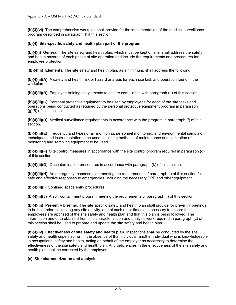**(b)(3)(vi)** The comprehensive workplan shall provide for the implementation of the medical surveillance program described in paragraph (f) if this section.

## **(b)(4) Site-specific safety and health plan part of the program.**

**(b)(4)(i) General***.* The site safety and health plan, which must be kept on site, shall address the safety and health hazards of each phase of site operation and include the requirements and procedures for employee protection.

 **(b)(4)(ii) Elements***.* The site safety and health plan, as a minimum, shall address the following:

**(b)(4)(ii)(A)** A safety and health risk or hazard analysis for each site task and operation found in the workplan.

**(b)(4)(ii)(B)** Employee training assignments to assure compliance with paragraph (e) of this section.

**(b)(4)(ii)(C)** Personal protective equipment to be used by employees for each of the site tasks and operations being conducted as required by the personal protective equipment program in paragraph (g)(5) of this section.

**(b)(4)(ii)(D)** Medical surveillance requirements in accordance with the program in paragraph (f) of this section.

**(b)(4)(ii)(E)** Frequency and types of air monitoring, personnel monitoring, and environmental sampling techniques and instrumentation to be used, including methods of maintenance and calibration of monitoring and sampling equipment to be used

**(b)(4)(ii)(F)** Site control measures in accordance with the site control program required in paragraph (d) of this section.

**(b)(4)(ii)(G)** Decontamination procedures in accordance with paragraph (k) of this section.

**(b)(4)(ii)(H)** An emergency response plan meeting the requirements of paragraph (l) of this section for safe and effective responses to emergencies, including the necessary PPE and other equipment.

**(b)(4)(ii)(I)** Confined space entry procedures.

**(b)(4)(ii)(J)** A spill containment program meeting the requirements of paragraph (j) of this section.

**(b)(4)(iii) Pre-entry briefing***.* The site specific safety and health plan shall provide for pre-entry briefings to be held prior to initiating any site activity, and at such other times as necessary to ensure that employees are apprised of the site safety and health plan and that this plan is being followed. The information and data obtained from site characterization and analysis work required in paragraph (c) of this section shall be used to prepare and update the site safety and health plan.

**(b)(4)(iv) Effectiveness of site safety and health plan***.* Inspections shall be conducted by the site safety and health supervisor or, in the absence of that individual, another individual who is knowledgeable in occupational safety and health, acting on behalf of the employer as necessary to determine the effectiveness of the site safety and health plan. Any deficiencies in the effectiveness of the site safety and health plan shall be corrected by the employer.

## **(c) Site characterization and analysis**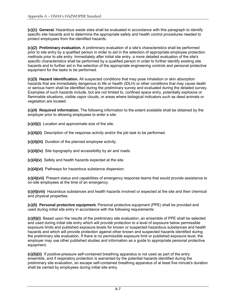**(c)(1) General***.* Hazardous waste sites shall be evaluated in accordance with this paragraph to identify specific site hazards and to determine the appropriate safety and health control procedures needed to protect employees from the identified hazards.

**(c)(2) Preliminary evaluation***.* A preliminary evaluation of a site's characteristics shall be performed prior to site entry by a qualified person in order to aid in the selection of appropriate employee protection methods prior to site entry. Immediately after initial site entry, a more detailed evaluation of the site's specific characteristics shall be performed by a qualified person in order to further identify existing site hazards and to further aid in the selection of the appropriate engineering controls and personal protective equipment for the tasks to be performed.

**(c)(3) Hazard identification***.* All suspected conditions that may pose inhalation or skin absorption hazards that are immediately dangerous to life or health (IDLH) or other conditions that may cause death or serious harm shall be identified during the preliminary survey and evaluated during the detailed survey. Examples of such hazards include, but are not limited to, confined space entry, potentially explosive or flammable situations, visible vapor clouds, or areas where biological indicators such as dead animals or vegetation are located.

**(c)(4) Required information***.* The following information to the extent available shall be obtained by the employer prior to allowing employees to enter a site:

**(c)(4)(i)** Location and approximate size of the site.

**(c)(4)(ii)** Description of the response activity and/or the job task to be performed.

**(c)(4)(iii)** Duration of the planned employee activity.

**(c)(4)(iv)** Site topography and accessibility by air and roads.

**(c)(4)(v)** Safety and health hazards expected at the site.

**(c)(4)(vi)** Pathways for hazardous substance dispersion.

**(c)(4)(vii)** Present status and capabilities of emergency response teams that would provide assistance to on-site employees at the time of an emergency.

**(c)(4)(viii)** Hazardous substances and health hazards involved or expected at the site and their chemical and physical properties.

**(c)(5) Personal protective equipment***.* Personal protective equipment (PPE) shall be provided and used during initial site entry in accordance with the following requirements:

**(c)(5)(i)** Based upon the results of the preliminary site evaluation, an ensemble of PPE shall be selected and used during initial site entry which will provide protection to a level of exposure below permissible exposure limits and published exposure levels for known or suspected hazardous substances and health hazards and which will provide protection against other known and suspected hazards identified during the preliminary site evaluation. If there is no permissible exposure limit or published exposure level, the employer may use other published studies and information as a guide to appropriate personal protective equipment.

**(c)(5)(ii)** If positive-pressure self-contained breathing apparatus is not used as part of the entry ensemble, and if respiratory protection is warranted by the potential hazards identified during the preliminary site evaluation, an escape self-contained breathing apparatus of at least five minute's duration shall be carried by employees during initial site entry.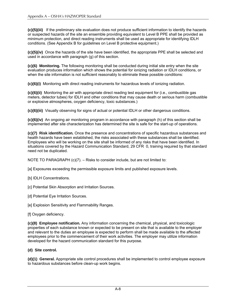**(c)(5)(iii)** If the preliminary site evaluation does not produce sufficient information to identify the hazards or suspected hazards of the site an ensemble providing equivalent to Level B PPE shall be provided as minimum protection, and direct reading instruments shall be used as appropriate for identifying IDLH conditions. (See Appendix B for guidelines on Level B protective equipment.)

**(c)(5)(iv)** Once the hazards of the site have been identified, the appropriate PPE shall be selected and used in accordance with paragraph (g) of this section.

**(c)(6) Monitoring***.* The following monitoring shall be conducted during initial site entry when the site evaluation produces information which shows the potential for ionizing radiation or IDLH conditions, or when the site information is not sufficient reasonably to eliminate these possible conditions:

**(c)(6)(i)** Monitoring with direct reading instruments for hazardous levels of ionizing radiation.

**(c)(6)(ii)** Monitoring the air with appropriate direct reading test equipment for (i.e., combustible gas meters, detector tubes) for IDLH and other conditions that may cause death or serious harm (combustible or explosive atmospheres, oxygen deficiency, toxic substances.)

**(c)(6)(iii)** Visually observing for signs of actual or potential IDLH or other dangerous conditions.

**(c)(6)(iv)** An ongoing air monitoring program in accordance with paragraph (h) of this section shall be implemented after site characterization has determined the site is safe for the start-up of operations.

**(c)(7) Risk identification***.* Once the presence and concentrations of specific hazardous substances and health hazards have been established, the risks associated with these substances shall be identified. Employees who will be working on the site shall be informed of any risks that have been identified. In situations covered by the Hazard Communication Standard, 29 CFR 0, training required by that standard need not be duplicated.

NOTE TO PARAGRAPH (c)(7). – Risks to consider include, but are not limited to:

[a] Exposures exceeding the permissible exposure limits and published exposure levels.

[b] IDLH Concentrations.

[c] Potential Skin Absorption and Irritation Sources.

[d] Potential Eye Irritation Sources.

[e] Explosion Sensitivity and Flammability Ranges.

[f] Oxygen deficiency.

**(c)(8) Employee notification***.* Any information concerning the chemical, physical, and toxicologic properties of each substance known or expected to be present on site that is available to the employer and relevant to the duties an employee is expected to perform shall be made available to the affected employees prior to the commencement of their work activities. The employer may utilize information developed for the hazard communication standard for this purpose.

## **(d) Site control***.*

**(d)(1) General***.* Appropriate site control procedures shall be implemented to control employee exposure to hazardous substances before clean-up work begins.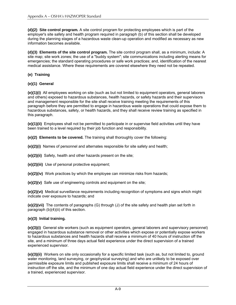**(d)(2) Site control program***.* A site control program for protecting employees which is part of the employer's site safety and health program required in paragraph (b) of this section shall be developed during the planning stages of a hazardous waste clean-up operation and modified as necessary as new information becomes available.

**(d)(3) Elements of the site control program***.* The site control program shall, as a minimum, include: A site map; site work zones; the use of a "buddy system"; site communications including alerting means for emergencies; the standard operating procedures or safe work practices; and, identification of the nearest medical assistance. Where these requirements are covered elsewhere they need not be repeated.

# **(e) Training**

# **(e)(1) General**

**(e)(1)(i)** All employees working on site (such as but not limited to equipment operators, general laborers and others) exposed to hazardous substances, health hazards, or safety hazards and their supervisors and management responsible for the site shall receive training meeting the requirements of this paragraph before they are permitted to engage in hazardous waste operations that could expose them to hazardous substances, safety, or health hazards, and they shall receive review training as specified in this paragraph.

**(e)(1)(ii)** Employees shall not be permitted to participate in or supervise field activities until they have been trained to a level required by their job function and responsibility.

**(e)(2) Elements to be covered***.* The training shall thoroughly cover the following:

**(e)(2)(i)** Names of personnel and alternates responsible for site safety and health;

**(e)(2)(ii)** Safety, health and other hazards present on the site;

**(e)(2)(iii)** Use of personal protective equipment;

**(e)(2)(iv)** Work practices by which the employee can minimize risks from hazards;

**(e)(2)(v)** Safe use of engineering controls and equipment on the site;

**(e)(2)(vi)** Medical surveillance requirements including recognition of symptoms and signs which might indicate over exposure to hazards; and

**(e)(2)(vii)** The contents of paragraphs (G) through (J) of the site safety and health plan set forth in paragraph (b)(4)(ii) of this section.

# **(e)(3) Initial training***.*

**(e)(3)(i)** General site workers (such as equipment operators, general laborers and supervisory personnel) engaged in hazardous substance removal or other activities which expose or potentially expose workers to hazardous substances and health hazards shall receive a minimum of 40 hours of instruction off the site, and a minimum of three days actual field experience under the direct supervision of a trained experienced supervisor.

**(e)(3)(ii)** Workers on site only occasionally for a specific limited task (such as, but not limited to, ground water monitoring, land surveying, or geophysical surveying) and who are unlikely to be exposed over permissible exposure limits and published exposure limits shall receive a minimum of 24 hours of instruction off the site, and the minimum of one day actual field experience under the direct supervision of a trained, experienced supervisor.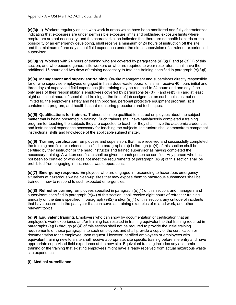**(e)(3)(iii)** Workers regularly on site who work in areas which have been monitored and fully characterized indicating that exposures are under permissible exposure limits and published exposure limits where respirators are not necessary, and the characterization indicates that there are no health hazards or the possibility of an emergency developing, shall receive a minimum of 24 hours of instruction off the site, and the minimum of one day actual field experience under the direct supervision of a trained, experienced supervisor.

**(e)(3)(iv)** Workers with 24 hours of training who are covered by paragraphs (e)(3)(ii) and (e)(3)(iii) of this section, and who become general site workers or who are required to wear respirators, shall have the additional 16 hours and two days of training necessary to total the training specified in paragraph (e)(3)(i).

**(e)(4) Management and supervisor training***.* On-site management and supervisors directly responsible for or who supervise employees engaged in hazardous waste operations shall receive 40 hours initial and three days of supervised field experience (the training may be reduced to 24 hours and one day if the only area of their responsibility is employees covered by paragraphs (e)(3)(ii) and (e)(3)(iii) and at least eight additional hours of specialized training at the time of job assignment on such topics as, but no limited to, the employer's safety and health program, personal protective equipment program, spill containment program, and health hazard monitoring procedure and techniques.

**(e)(5) Qualifications for trainers***.* Trainers shall be qualified to instruct employees about the subject matter that is being presented in training. Such trainers shall have satisfactorily completed a training program for teaching the subjects they are expected to teach, or they shall have the academic credentials and instructional experience necessary for teaching the subjects. Instructors shall demonstrate competent instructional skills and knowledge of the applicable subject matter.

**(e)(6) Training certification.** Employees and supervisors that have received and successfully completed the training and field experience specified in paragraphs (e)(1) through (e)(4) of this section shall be certified by their instructor or the head instructor and trained supervisor as having completed the necessary training. A written certificate shall be given to each person so certified. Any person who has not been so certified or who does not meet the requirements of paragraph (e)(9) of this section shall be prohibited from engaging in hazardous waste operations.

**(e)(7) Emergency response***.* Employees who are engaged in responding to hazardous emergency situations at hazardous waste clean-up sites that may expose them to hazardous substances shall be trained in how to respond to such expected emergencies.

**(e)(8) Refresher training***.* Employees specified in paragraph (e)(1) of this section, and managers and supervisors specified in paragraph (e)(4) of this section, shall receive eight hours of refresher training annually on the items specified in paragraph (e)(2) and/or (e)(4) of this section, any critique of incidents that have occurred in the past year that can serve as training examples of related work, and other relevant topics.

**(e)(9) Equivalent training***.* Employers who can show by documentation or certification that an employee's work experience and/or training has resulted in training equivalent to that training required in paragraphs (e)(1) through (e)(4) of this section shall not be required to provide the initial training requirements of those paragraphs to such employees and shall provide a copy of the certification or documentation to the employee upon request. However, certified employees or employees with equivalent training new to a site shall receive appropriate, site specific training before site entry and have appropriate supervised field experience at the new site. Equivalent training includes any academic training or the training that existing employees might have already received from actual hazardous waste site experience.

# **(f) Medical surveillance**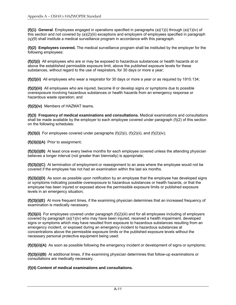**(f)(1) General**. Employees engaged in operations specified in paragraphs (a)(1)(i) through (a)(1)(iv) of this section and not covered by (a)(2)(iii) exceptions and employers of employees specified in paragraph (q)(9) shall institute a medical surveillance program in accordance with this paragraph.

**(f)(2) Employees covered***.* The medical surveillance program shall be instituted by the employer for the following employees:

**(f)(2)(i)** All employees who are or may be exposed to hazardous substances or health hazards at or above the established permissible exposure limit, above the published exposure levels for these substances, without regard to the use of respirators, for 30 days or more a year;

**(f)(2)(ii)** All employees who wear a respirator for 30 days or more a year or as required by 1910.134;

**(f)(2)(iii)** All employees who are injured, become ill or develop signs or symptoms due to possible overexposure involving hazardous substances or health hazards from an emergency response or hazardous waste operation; and

**(f)(2)(iv)** Members of HAZMAT teams.

**(f)(3) Frequency of medical examinations and consultations***.* Medical examinations and consultations shall be made available by the employer to each employee covered under paragraph (f)(2) of this section on the following schedules:

**(f)(3)(i)** For employees covered under paragraphs (f)(2)(i), (f)(2)(ii), and (f)(2)(iv);

**(f)(3)(i)(A)** Prior to assignment;

**(f)(3)(i)(B)** At least once every twelve months for each employee covered unless the attending physician believes a longer interval (not greater than biennially) is appropriate;

**(f)(3)(i)(C)** At termination of employment or reassignment to an area where the employee would not be covered if the employee has not had an examination within the last six months.

**(f)(3)(i)(D)** As soon as possible upon notification by an employee that the employee has developed signs or symptoms indicating possible overexposure to hazardous substances or health hazards, or that the employee has been injured or exposed above the permissible exposure limits or published exposure levels in an emergency situation;

**(f)(3)(i)(E)** At more frequent times, if the examining physician determines that an increased frequency of examination is medically necessary.

**(f)(3)(ii)** For employees covered under paragraph (f)(2)(iii) and for all employees including of employers covered by paragraph (a)(1)(iv) who may have been injured, received a health impairment, developed signs or symptoms which may have resulted from exposure to hazardous substances resulting from an emergency incident, or exposed during an emergency incident to hazardous substances at concentrations above the permissible exposure limits or the published exposure levels without the necessary personal protective equipment being used:

**(f)(3)(ii)(A)** As soon as possible following the emergency incident or development of signs or symptoms;

**(f)(3)(ii)(B)** At additional times, if the examining physician determines that follow-up examinations or consultations are medically necessary.

**(f)(4) Content of medical examinations and consultations***.*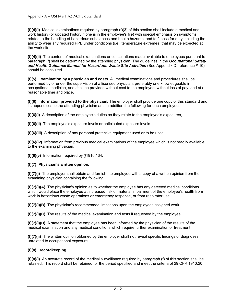**(f)(4)(i)** Medical examinations required by paragraph (f)(3) of this section shall include a medical and work history (or updated history if one is in the employee's file) with special emphasis on symptoms related to the handling of hazardous substances and health hazards, and to fitness for duty including the ability to wear any required PPE under conditions (i.e., temperature extremes) that may be expected at the work site.

**(f)(4)(ii)** The content of medical examinations or consultations made available to employees pursuant to paragraph (f) shall be determined by the attending physician. The guidelines in the *Occupational Safety and Health Guidance Manual for Hazardous Waste Site Activities* (See Appendix D, reference # 10) should be consulted.

**(f)(5) Examination by a physician and costs***.* All medical examinations and procedures shall be performed by or under the supervision of a licensed physician, preferably one knowledgeable in occupational medicine, and shall be provided without cost to the employee, without loss of pay, and at a reasonable time and place.

**(f)(6) Information provided to the physician***.* The employer shall provide one copy of this standard and its appendices to the attending physician and in addition the following for each employee:

**(f)(6)(i)** A description of the employee's duties as they relate to the employee's exposures,

**(f)(6)(ii)** The employee's exposure levels or anticipated exposure levels.

**(f)(6)(iii)** A description of any personal protective equipment used or to be used.

**(f)(6)(iv)** Information from previous medical examinations of the employee which is not readily available to the examining physician.

**(f)(6)(v)** Information required by §1910.134.

## **(f)(7) Physician's written opinion***.*

**(f)(7)(i)** The employer shall obtain and furnish the employee with a copy of a written opinion from the examining physician containing the following:

**(f)(7)(i)(A)** The physician's opinion as to whether the employee has any detected medical conditions which would place the employee at increased risk of material impairment of the employee's health from work in hazardous waste operations or emergency response, or from respirator use.

**(f)(7)(i)(B)** The physician's recommended limitations upon the employees assigned work.

**(f)(7)(i)(C)** The results of the medical examination and tests if requested by the employee.

**(f)(7)(i)(D)** A statement that the employee has been informed by the physician of the results of the medical examination and any medical conditions which require further examination or treatment.

**(f)(7)(ii)** The written opinion obtained by the employer shall not reveal specific findings or diagnoses unrelated to occupational exposure.

# **(f)(8) Recordkeeping***.*

**(f)(8)(i)** An accurate record of the medical surveillance required by paragraph (f) of this section shall be retained. This record shall be retained for the period specified and meet the criteria of 29 CFR 1910.20.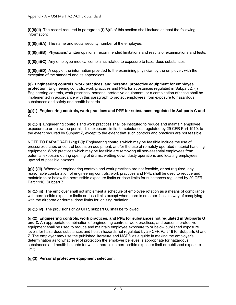**(f)(8)(ii)** The record required in paragraph (f)(8)(i) of this section shall include at least the following information:

**(f)(8)(ii)(A)** The name and social security number of the employee;

**(f)(8)(ii)(B)** Physicians' written opinions, recommended limitations and results of examinations and tests;

**(f)(8)(ii)(C)** Any employee medical complaints related to exposure to hazardous substances;

**(f)(8)(ii)(D)** A copy of the information provided to the examining physician by the employer, with the exception of the standard and its appendices.

**(g) Engineering controls, work practices, and personal protective equipment for employee protection.** Engineering controls, work practices and PPE for substances regulated in Subpart Z. (i) Engineering controls, work practices, personal protective equipment, or a combination of these shall be implemented in accordance with this paragraph to protect employees from exposure to hazardous substances and safety and health hazards.

## **(g)(1) Engineering controls, work practices and PPE for substances regulated in Subparts G and Z.**

**(g)(1)(i)** Engineering controls and work practices shall be instituted to reduce and maintain employee exposure to or below the permissible exposure limits for substances regulated by 29 CFR Part 1910, to the extent required by Subpart Z, except to the extent that such controls and practices are not feasible.

NOTE TO PARAGRAPH  $(g)(1)(i)$ : Engineering controls which may be feasible include the use of pressurized cabs or control booths on equipment, and/or the use of remotely operated material handling equipment. Work practices which may be feasible are removing all non-essential employees from potential exposure during opening of drums, wetting down dusty operations and locating employees upwind of possible hazards.

**(g)(1)(ii)** Whenever engineering controls and work practices are not feasible, or not required, any reasonable combination of engineering controls, work practices and PPE shall be used to reduce and maintain to or below the permissible exposure limits or dose limits for substances regulated by 29 CFR Part 1910, Subpart Z.

**(g)(1)(iii)** The employer shall not implement a schedule of employee rotation as a means of compliance with permissible exposure limits or dose limits except when there is no other feasible way of complying with the airborne or dermal dose limits for ionizing radiation.

**(g)(1)(iv)** The provisions of 29 CFR, subpart G, shall be followed.

**(g)(2) Engineering controls, work practices, and PPE for substances not regulated in Subparts G and Z.** An appropriate combination of engineering controls, work practices, and personal protective equipment shall be used to reduce and maintain employee exposure to or below published exposure levels for hazardous substances and health hazards not regulated by 29 CFR Part 1910, Subparts G and Z. The employer may use the published literature and MSDS as a guide in making the employer's determination as to what level of protection the employer believes is appropriate for hazardous substances and health hazards for which there is no permissible exposure limit or published exposure limit.

# **(g)(3) Personal protective equipment selection.**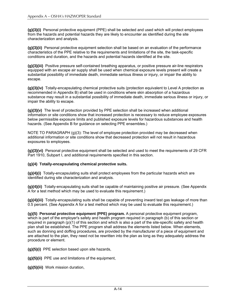**(g)(3)(i)** Personal protective equipment (PPE) shall be selected and used which will protect employees from the hazards and potential hazards they are likely to encounter as identified during the site characterization and analysis.

**(g)(3)(ii)** Personal protective equipment selection shall be based on an evaluation of the performance characteristics of the PPE relative to the requirements and limitations of the site, the task-specific conditions and duration, and the hazards and potential hazards identified at the site.

**(g)(3)(iii)** Positive pressure self-contained breathing apparatus, or positive pressure air-line respirators equipped with an escape air supply shall be used when chemical exposure levels present will create a substantial possibility of immediate death, immediate serious illness or injury, or impair the ability to escape.

**(g)(3)(iv)** Totally-encapsulating chemical protective suits (protection equivalent to Level A protection as recommended in Appendix B) shall be used in conditions where skin absorption of a hazardous substance may result in a substantial possibility of immediate death, immediate serious illness or injury, or impair the ability to escape.

**(g)(3)(v)** The level of protection provided by PPE selection shall be increased when additional information or site conditions show that increased protection is necessary to reduce employee exposures below permissible exposure limits and published exposure levels for hazardous substances and health hazards. (See Appendix B for guidance on selecting PPE ensembles.)

NOTE TO PARAGRAPH (g)(3): The level of employee protection provided may be decreased when additional information or site conditions show that decreased protection will not result in hazardous exposures to employees.

**(g)(3)(vi)** Personal protective equipment shall be selected and used to meet the requirements of 29 CFR Part 1910, Subpart I, and additional requirements specified in this section.

## **(g)(4) Totally-encapsulating chemical protective suits.**

**(g)(4)(i)** Totally-encapsulating suits shall protect employees from the particular hazards which are identified during site characterization and analysis.

**(g)(4)(ii)** Totally-encapsulating suits shall be capable of maintaining positive air pressure. (See Appendix A for a test method which may be used to evaluate this requirement.)

**(g)(4)(iii)** Totally-encapsulating suits shall be capable of preventing inward test gas leakage of more than 0.5 percent. (See Appendix A for a test method which may be used to evaluate this requirement.)

**(g)(5) Personal protective equipment (PPE) program***.* A personal protective equipment program, which is part of the employer's safety and health program required in paragraph (b) of this section or required in paragraph (p)(1) of this section and which is also a part of the site-specific safety and health plan shall be established. The PPE program shall address the elements listed below. When elements, such as donning and doffing procedures, are provided by the manufacturer of a piece of equipment and are attached to the plan, they need not be rewritten into the plan as long as they adequately address the procedure or element.

**(g)(5)(i)** PPE selection based upon site hazards,

**(g)(5)(ii)** PPE use and limitations of the equipment,

**(g)(5)(iii)** Work mission duration,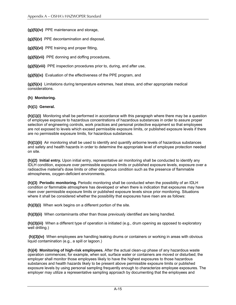**(g)(5)(iv)** PPE maintenance and storage,

**(g)(5)(v)** PPE decontamination and disposal,

**(g)(5)(vi)** PPE training and proper fitting,

**(g)(5)(vii)** PPE donning and doffing procedures,

**(g)(5)(viii)** PPE inspection procedures prior to, during, and after use,

**(g)(5)(ix)** Evaluation of the effectiveness of the PPE program, and

**(g)(5)(x)** Limitations during temperature extremes, heat stress, and other appropriate medical considerations.

**(h) Monitoring***.* 

#### **(h)(1) General.**

**(h)(1)(i)** Monitoring shall be performed in accordance with this paragraph where there may be a question of employee exposure to hazardous concentrations of hazardous substances in order to assure proper selection of engineering controls, work practices and personal protective equipment so that employees are not exposed to levels which exceed permissible exposure limits, or published exposure levels if there are no permissible exposure limits, for hazardous substances.

**(h)(1)(ii)** Air monitoring shall be used to identify and quantify airborne levels of hazardous substances and safety and health hazards in order to determine the appropriate level of employee protection needed on site.

**(h)(2) Initial entry***.* Upon initial entry, representative air monitoring shall be conducted to identify any IDLH condition, exposure over permissible exposure limits or published exposure levels, exposure over a radioactive material's dose limits or other dangerous condition such as the presence of flammable atmospheres, oxygen-deficient environments.

**(h)(3) Periodic monitoring***.* Periodic monitoring shall be conducted when the possibility of an IDLH condition or flammable atmosphere has developed or when there is indication that exposures may have risen over permissible exposure limits or published exposure levels since prior monitoring. Situations where it shall be considered whether the possibility that exposures have risen are as follows:

**(h)(3)(i)** When work begins on a different portion of the site.

**(h)(3)(ii)** When contaminants other than those previously identified are being handled.

**(h)(3)(iii)** When a different type of operation is initiated (e.g., drum opening as opposed to exploratory well drilling.)

 **(h)(3)(iv)** When employees are handling leaking drums or containers or working in areas with obvious liquid contamination (e.g., a spill or lagoon.)

**(h)(4) Monitoring of high-risk employees***.* After the actual clean-up phase of any hazardous waste operation commences; for example, when soil, surface water or containers are moved or disturbed; the employer shall monitor those employees likely to have the highest exposures to those hazardous substances and health hazards likely to be present above permissible exposure limits or published exposure levels by using personal sampling frequently enough to characterize employee exposures. The employer may utilize a representative sampling approach by documenting that the employees and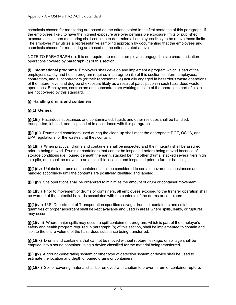chemicals chosen for monitoring are based on the criteria stated in the first sentence of this paragraph. If the employees likely to have the highest exposure are over permissible exposure limits or published exposure limits, then monitoring shall continue to determine all employees likely to be above those limits. The employer may utilize a representative sampling approach by documenting that the employees and chemicals chosen for monitoring are based on the criteria stated above.

NOTE TO PARAGRAPH (h): It is not required to monitor employees engaged in site characterization operations covered by paragraph (c) of this section.

**(i) Informational programs***.* Employers shall develop and implement a program which is part of the employer's safety and health program required in paragraph (b) of this section to inform employees, contractors, and subcontractors (or their representative) actually engaged in hazardous waste operations of the nature, level and degree of exposure likely as a result of participation in such hazardous waste operations. Employees, contractors and subcontractors working outside of the operations part of a site are not covered by this standard.

# **(j) Handling drums and containers**

## **(j)(1) General**.

**(j)(1)(i)** Hazardous substances and contaminated, liquids and other residues shall be handled, transported, labeled, and disposed of in accordance with this paragraph.

**(j)(1)(ii)** Drums and containers used during the clean-up shall meet the appropriate DOT, OSHA, and EPA regulations for the wastes that they contain.

**(j)(1)(iii)** When practical, drums and containers shall be inspected and their integrity shall be assured prior to being moved. Drums or containers that cannot be inspected before being moved because of storage conditions (i.e., buried beneath the earth, stacked behind other drums, stacked several tiers high in a pile, etc.) shall be moved to an accessible location and inspected prior to further handling.

**(j)(1)(iv)** Unlabeled drums and containers shall be considered to contain hazardous substances and handled accordingly until the contents are positively identified and labeled.

**(j)(1)(v)** Site operations shall be organized to minimize the amount of drum or container movement.

**(j)(1)(vi)** Prior to movement of drums or containers, all employees exposed to the transfer operation shall be warned of the potential hazards associated with the contents of the drums or containers.

**(j)(1)(vii)** U.S. Department of Transportation specified salvage drums or containers and suitable quantities of proper absorbent shall be kept available and used in areas where spills, leaks, or ruptures may occur.

**(j)(1)(viii)** Where major spills may occur, a spill containment program, which is part of the employer's safety and health program required in paragraph (b) of this section, shall be implemented to contain and isolate the entire volume of the hazardous substance being transferred.

**(j)(1)(ix)** Drums and containers that cannot be moved without rupture, leakage, or spillage shall be emptied into a sound container using a device classified for the material being transferred.

**(j)(1)(x)** A ground-penetrating system or other type of detection system or device shall be used to estimate the location and depth of buried drums or containers.

**(j)(1)(xi)** Soil or covering material shall be removed with caution to prevent drum or container rupture.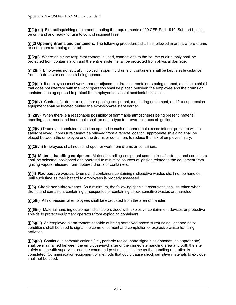**(j)(1)(xii)** Fire extinguishing equipment meeting the requirements of 29 CFR Part 1910, Subpart L, shall be on hand and ready for use to control incipient fires.

**(j)(2) Opening drums and containers***.* The following procedures shall be followed in areas where drums or containers are being opened:

**(j)(2)(i)** Where an airline respirator system is used, connections to the source of air supply shall be protected from contamination and the entire system shall be protected from physical damage.

**(j)(2)(ii)** Employees not actually involved in opening drums or containers shall be kept a safe distance from the drums or containers being opened.

**(j)(2)(iii)** If employees must work near or adjacent to drums or containers being opened, a suitable shield that does not interfere with the work operation shall be placed between the employee and the drums or containers being opened to protect the employee in case of accidental explosion.

**(j)(2)(iv)** Controls for drum or container opening equipment, monitoring equipment, and fire suppression equipment shall be located behind the explosion-resistant barrier.

**(j)(2)(v)** When there is a reasonable possibility of flammable atmospheres being present, material handling equipment and hand tools shall be of the type to prevent sources of ignition.

**(j)(2)(vi)** Drums and containers shall be opened in such a manner that excess interior pressure will be safely relieved. If pressure cannot be relieved from a remote location, appropriate shielding shall be placed between the employee and the drums or containers to reduce the risk of employee injury.

**(j)(2)(vii)** Employees shall not stand upon or work from drums or containers.

**(j)(3) Material handling equipment***.* Material handling equipment used to transfer drums and containers shall be selected, positioned and operated to minimize sources of ignition related to the equipment from igniting vapors released from ruptured drums or containers.

**(j)(4) Radioactive wastes***.* Drums and containers containing radioactive wastes shall not be handled until such time as their hazard to employees is properly assessed.

**(j)(5) Shock sensitive wastes***.* As a minimum, the following special precautions shall be taken when drums and containers containing or suspected of containing shock-sensitive wastes are handled:

**(j)(5)(i)** All non-essential employees shall be evacuated from the area of transfer.

**(j)(5)(ii)** Material handling equipment shall be provided with explosive containment devices or protective shields to protect equipment operators from exploding containers.

**(j)(5)(iii)** An employee alarm system capable of being perceived above surrounding light and noise conditions shall be used to signal the commencement and completion of explosive waste handling activities.

**(j)(5)(iv)** Continuous communications (i.e., portable radios, hand signals, telephones, as appropriate) shall be maintained between the employee-in-charge of the immediate handling area and both the site safety and health supervisor and the command post until such time as the handling operation is completed. Communication equipment or methods that could cause shock sensitive materials to explode shall not be used.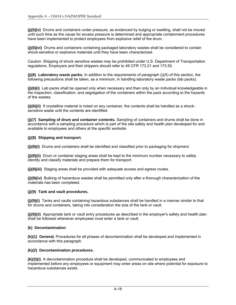**(j)(5)(v)** Drums and containers under pressure, as evidenced by bulging or swelling, shall not be moved until such time as the cause for excess pressure is determined and appropriate containment procedures have been implemented to protect employees from explosive relief of the drum.

**(j)(5)(vi)** Drums and containers containing packaged laboratory wastes shall be considered to contain shock-sensitive or explosive materials until they have been characterized.

Caution: Shipping of shock sensitive wastes may be prohibited under U.S. Department of Transportation regulations. Employers and their shippers should refer to 49 CFR 173.21 and 173.50.

**(j)(6) Laboratory waste packs***.* In addition to the requirements of paragraph (j)(5) of this section, the following precautions shall be taken, as a minimum, in handling laboratory waste packs (lab packs):

**(j)(6)(i)** Lab packs shall be opened only when necessary and then only by an individual knowledgeable in the inspection, classification, and segregation of the containers within the pack according to the hazards of the wastes.

**(j)(6)(ii)** If crystalline material is noted on any container, the contents shall be handled as a shocksensitive waste until the contents are identified.

**(j)(7) Sampling of drum and container contents***.* Sampling of containers and drums shall be done in accordance with a sampling procedure which is part of the site safety and health plan developed for and available to employees and others at the specific worksite.

## **(j)(8) Shipping and transport***.*

**(j)(8)(i)** Drums and containers shall be identified and classified prior to packaging for shipment.

**(j)(8)(ii)** Drum or container staging areas shall be kept to the minimum number necessary to safely identify and classify materials and prepare them for transport.

**(j)(8)(iii)** Staging areas shall be provided with adequate access and egress routes.

**(j)(8)(iv)** Bulking of hazardous wastes shall be permitted only after a thorough characterization of the materials has been completed.

## **(j)(9) Tank and vault procedures***.*

**(j)(9)(i)** Tanks and vaults containing hazardous substances shall be handled in a manner similar to that for drums and containers, taking into consideration the size of the tank or vault.

**(j)(9)(ii)** Appropriate tank or vault entry procedures as described in the employer's safety and health plan shall be followed whenever employees must enter a tank or vault.

## **(k) Decontamination**

**(k)(1) General***.* Procedures for all phases of decontamination shall be developed and implemented in accordance with this paragraph.

## **(k)(2) Decontamination procedures***.*

**(k)(2)(i)** A decontamination procedure shall be developed, communicated to employees and implemented before any employees or equipment may enter areas on site where potential for exposure to hazardous substances exists.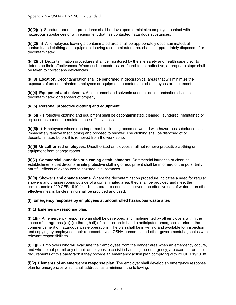**(k)(2)(ii)** Standard operating procedures shall be developed to minimize employee contact with hazardous substances or with equipment that has contacted hazardous substances.

**(k)(2)(iii)** All employees leaving a contaminated area shall be appropriately decontaminated; all contaminated clothing and equipment leaving a contaminated area shall be appropriately disposed of or decontaminated.

**(k)(2)(iv)** Decontamination procedures shall be monitored by the site safety and health supervisor to determine their effectiveness. When such procedures are found to be ineffective, appropriate steps shall be taken to correct any deficiencies.

**(k)(3) Location***.* Decontamination shall be performed in geographical areas that will minimize the exposure of uncontaminated employees or equipment to contaminated employees or equipment.

**(k)(4) Equipment and solvents***.* All equipment and solvents used for decontamination shall be decontaminated or disposed of properly.

## **(k)(5) Personal protective clothing and equipment***.*

**(k)(5)(i)** Protective clothing and equipment shall be decontaminated, cleaned, laundered, maintained or replaced as needed to maintain their effectiveness.

**(k)(5)(ii)** Employees whose non-impermeable clothing becomes wetted with hazardous substances shall immediately remove that clothing and proceed to shower. The clothing shall be disposed of or decontaminated before it is removed from the work zone.

**(k)(6) Unauthorized employees**. Unauthorized employees shall not remove protective clothing or equipment from change rooms.

**(k)(7) Commercial laundries or cleaning establishments***.* Commercial laundries or cleaning establishments that decontaminate protective clothing or equipment shall be informed of the potentially harmful effects of exposures to hazardous substances.

**(k)(8) Showers and change rooms***.* Where the decontamination procedure indicates a need for regular showers and change rooms outside of a contaminated area, they shall be provided and meet the requirements of 29 CFR 1910.141. If temperature conditions prevent the effective use of water, then other effective means for cleansing shall be provided and used.

## **(l) Emergency response by employees at uncontrolled hazardous waste sites**

## **(l)(1) Emergency response plan***.*

**(l)(1)(i)** An emergency response plan shall be developed and implemented by all employers within the scope of paragraphs (a)(1)(i) through (ii) of this section to handle anticipated emergencies prior to the commencement of hazardous waste operations. The plan shall be in writing and available for inspection and copying by employees, their representatives, OSHA personnel and other governmental agencies with relevant responsibilities.

**(l)(1)(ii)** Employers who will evacuate their employees from the danger area when an emergency occurs, and who do not permit any of their employees to assist in handling the emergency, are exempt from the requirements of this paragraph if they provide an emergency action plan complying with 29 CFR 1910.38.

**(l)(2) Elements of an emergency response plan***.* The employer shall develop an emergency response plan for emergencies which shall address, as a minimum, the following: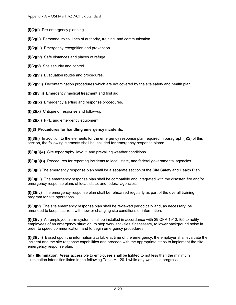**(l)(2)(i)** Pre-emergency planning.

**(l)(2)(ii)** Personnel roles, lines of authority, training, and communication.

**(l)(2)(iii)** Emergency recognition and prevention.

**(l)(2)(iv)** Safe distances and places of refuge.

**(l)(2)(v)** Site security and control.

**(l)(2)(vi)** Evacuation routes and procedures.

**(l)(2)(vii)** Decontamination procedures which are not covered by the site safety and health plan.

**(l)(2)(viii)** Emergency medical treatment and first aid.

**(l)(2)(ix)** Emergency alerting and response procedures.

**(l)(2)(x)** Critique of response and follow-up.

**(l)(2)(xi)** PPE and emergency equipment.

## **(l)(3) Procedures for handling emergency incidents***.*

**(l)(3)(i)** In addition to the elements for the emergency response plan required in paragraph (l)(2) of this section, the following elements shall be included for emergency response plans:

**(l)(3)(i)(A)** Site topography, layout, and prevailing weather conditions.

**(l)(3)(i)(B)** Procedures for reporting incidents to local, state, and federal governmental agencies.

**(l)(3)(ii)** The emergency response plan shall be a separate section of the Site Safety and Health Plan.

**(l)(3)(iii)** The emergency response plan shall be compatible and integrated with the disaster, fire and/or emergency response plans of local, state, and federal agencies.

**(l)(3)(iv)** The emergency response plan shall be rehearsed regularly as part of the overall training program for site operations.

**(l)(3)(v)** The site emergency response plan shall be reviewed periodically and, as necessary, be amended to keep it current with new or changing site conditions or information.

**(l)(3)(vi)** An employee alarm system shall be installed in accordance with 29 CFR 1910.165 to notify employees of an emergency situation, to stop work activities if necessary, to lower background noise in order to speed communication, and to begin emergency procedures.

**(l)(3)(vii)** Based upon the information available at time of the emergency, the employer shall evaluate the incident and the site response capabilities and proceed with the appropriate steps to implement the site emergency response plan.

**(m) Illumination***.* Areas accessible to employees shall be lighted to not less than the minimum illumination intensities listed in the following Table H-120.1 while any work is in progress: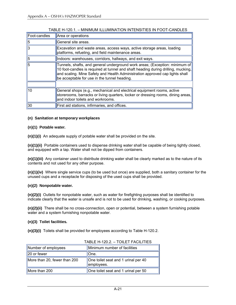| Foot-candles | Area or operations                                                                                                                                                                                                                                                                               |
|--------------|--------------------------------------------------------------------------------------------------------------------------------------------------------------------------------------------------------------------------------------------------------------------------------------------------|
| ∥5           | General site areas.                                                                                                                                                                                                                                                                              |
| ll3          | Excavation and waste areas, access ways, active storage areas, loading<br>platforms, refueling, and field maintenance areas.                                                                                                                                                                     |
| 5            | Indoors: warehouses, corridors, hallways, and exit ways.                                                                                                                                                                                                                                         |
| ll5          | Tunnels, shafts, and general underground work areas; (Exception: minimum of<br>10 foot-candles is required at tunnel and shaft heading during drilling, mucking,<br>and scaling. Mine Safety and Health Administration approved cap lights shall<br>be acceptable for use in the tunnel heading. |
|              |                                                                                                                                                                                                                                                                                                  |
| 110          | General shops (e.g., mechanical and electrical equipment rooms, active<br>storerooms, barracks or living quarters, locker or dressing rooms, dining areas,<br>and indoor toilets and workrooms.                                                                                                  |
| 30           | First aid stations, infirmaries, and offices.                                                                                                                                                                                                                                                    |

## TABLE H-120.1. – MINIMUM ILLUMINATION INTENSITIES IN FOOT-CANDLES

## **(n) Sanitation at temporary workplaces**

#### **(n)(1) Potable water***.*

**(n)(1)(i)** An adequate supply of potable water shall be provided on the site.

**(n)(1)(ii)** Portable containers used to dispense drinking water shall be capable of being tightly closed, and equipped with a tap. Water shall not be dipped from containers.

**(n)(1)(iii)** Any container used to distribute drinking water shall be clearly marked as to the nature of its contents and not used for any other purpose.

**(n)(1)(iv)** Where single service cups (to be used but once) are supplied, both a sanitary container for the unused cups and a receptacle for disposing of the used cups shall be provided.

## **(n)(2) Nonpotable water***.*

**(n)(2)(i)** Outlets for nonpotable water, such as water for firefighting purposes shall be identified to indicate clearly that the water is unsafe and is not to be used for drinking, washing, or cooking purposes.

**(n)(2)(ii)** There shall be no cross-connection, open or potential, between a system furnishing potable water and a system furnishing nonpotable water.

#### **(n)(3) Toilet facilities***.*

**(n)(3)(i)** Toilets shall be provided for employees according to Table H-120.2.

| Number of employees          | Minimum number of facilities                      |
|------------------------------|---------------------------------------------------|
| $\ $ 20 or fewer             | IOne.                                             |
| More than 20, fewer than 200 | One toilet seat and 1 urinal per 40<br>employees. |
| More than 200                | One toilet seat and 1 urinal per 50               |

#### TABLE H-120.2. – TOILET FACILITIES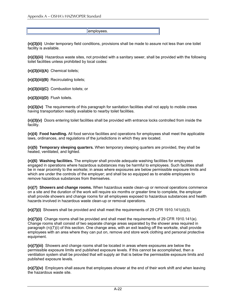employees.

**(n)(3)(ii)** Under temporary field conditions, provisions shall be made to assure not less than one toilet facility is available.

**(n)(3)(iii)** Hazardous waste sites, not provided with a sanitary sewer, shall be provided with the following toilet facilities unless prohibited by local codes:

**(n)(3)(iii)(A)** Chemical toilets;

**(n)(3)(iii)(B)** Recirculating toilets;

**(n)(3)(iii)(C)** Combustion toilets; or

**(n)(3)(iii)(D)** Flush toilets.

**(n)(3)(iv)** The requirements of this paragraph for sanitation facilities shall not apply to mobile crews having transportation readily available to nearby toilet facilities.

**(n)(3)(v)** Doors entering toilet facilities shall be provided with entrance locks controlled from inside the facility.

**(n)(4) Food handling***.* All food service facilities and operations for employees shall meet the applicable laws, ordinances, and regulations of the jurisdictions in which they are located.

**(n)(5) Temporary sleeping quarters***.* When temporary sleeping quarters are provided, they shall be heated, ventilated, and lighted.

**(n)(6) Washing facilities***.* The employer shall provide adequate washing facilities for employees engaged in operations where hazardous substances may be harmful to employees. Such facilities shall be in near proximity to the worksite; in areas where exposures are below permissible exposure limits and which are under the controls of the employer; and shall be so equipped as to enable employees to remove hazardous substances from themselves.

**(n)(7) Showers and change rooms***.* When hazardous waste clean-up or removal operations commence on a site and the duration of the work will require six months or greater time to complete, the employer shall provide showers and change rooms for all employees exposed to hazardous substances and health hazards involved in hazardous waste clean-up or removal operations.

**(n)(7)(i)** Showers shall be provided and shall meet the requirements of 29 CFR 1910.141(d)(3).

**(n)(7)(ii)** Change rooms shall be provided and shall meet the requirements of 29 CFR 1910.141(e). Change rooms shall consist of two separate change areas separated by the shower area required in paragraph (n)(7)(i) of this section. One change area, with an exit leading off the worksite, shall provide employees with an area where they can put on, remove and store work clothing and personal protective equipment.

**(n)(7)(iii)** Showers and change rooms shall be located in areas where exposures are below the permissible exposure limits and published exposure levels. If this cannot be accomplished, then a ventilation system shall be provided that will supply air that is below the permissible exposure limits and published exposure levels.

**(n)(7)(iv)** Employers shall assure that employees shower at the end of their work shift and when leaving the hazardous waste site.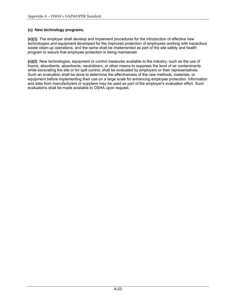## **(o) New technology programs***.*

**(o)(1)** The employer shall develop and implement procedures for the introduction of effective new technologies and equipment developed for the improved protection of employees working with hazardous waste clean-up operations, and the same shall be implemented as part of the site safety and health program to assure that employee protection is being maintained.

**(o)(2)** New technologies, equipment or control measures available to the industry, such as the use of foams, absorbents, absorbents, neutralizers, or other means to suppress the level of air contaminants while excavating the site or for spill control, shall be evaluated by employers or their representatives. Such an evaluation shall be done to determine the effectiveness of the new methods, materials, or equipment before implementing their use on a large scale for enhancing employee protection. Information and data from manufacturers or suppliers may be used as part of the employer's evaluation effort. Such evaluations shall be made available to OSHA upon request.